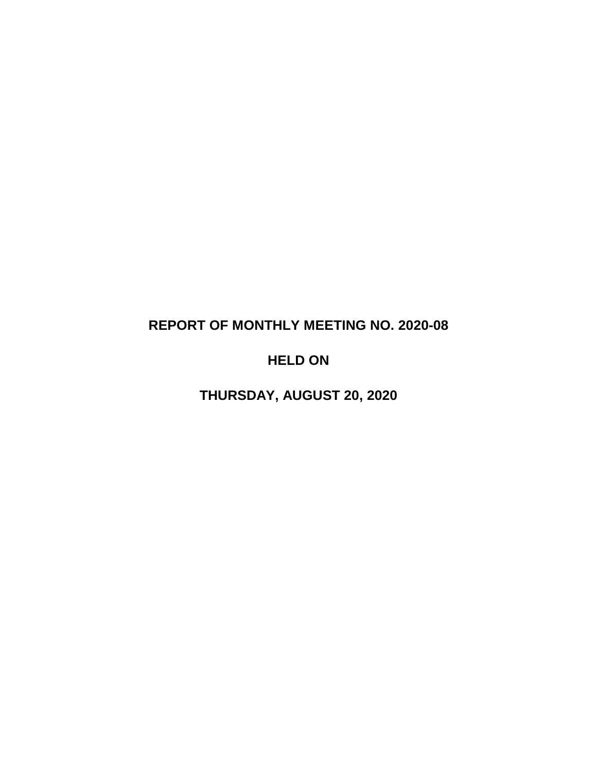# **REPORT OF MONTHLY MEETING NO. 2020-08**

# **HELD ON**

**THURSDAY, AUGUST 20, 2020**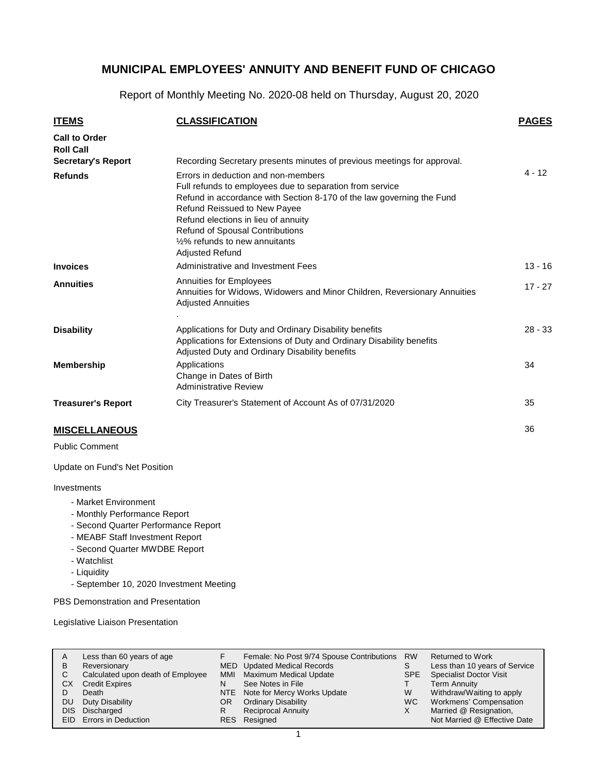Report of Monthly Meeting No. 2020-08 held on Thursday, August 20, 2020

| <b>ITEMS</b>                             | <b>CLASSIFICATION</b>                                                                                                                                                                                                                                                                                                                                       | <b>PAGES</b> |
|------------------------------------------|-------------------------------------------------------------------------------------------------------------------------------------------------------------------------------------------------------------------------------------------------------------------------------------------------------------------------------------------------------------|--------------|
| <b>Call to Order</b><br><b>Roll Call</b> |                                                                                                                                                                                                                                                                                                                                                             |              |
| <b>Secretary's Report</b>                | Recording Secretary presents minutes of previous meetings for approval.                                                                                                                                                                                                                                                                                     | $4 - 12$     |
| <b>Refunds</b>                           | Errors in deduction and non-members<br>Full refunds to employees due to separation from service<br>Refund in accordance with Section 8-170 of the law governing the Fund<br>Refund Reissued to New Payee<br>Refund elections in lieu of annuity<br>Refund of Spousal Contributions<br>1/ <sub>2</sub> % refunds to new annuitants<br><b>Adjusted Refund</b> |              |
| <b>Invoices</b>                          | Administrative and Investment Fees                                                                                                                                                                                                                                                                                                                          | $13 - 16$    |
| <b>Annuities</b>                         | Annuities for Employees<br>Annuities for Widows, Widowers and Minor Children, Reversionary Annuities<br><b>Adjusted Annuities</b>                                                                                                                                                                                                                           | $17 - 27$    |
| <b>Disability</b>                        | Applications for Duty and Ordinary Disability benefits<br>Applications for Extensions of Duty and Ordinary Disability benefits<br>Adjusted Duty and Ordinary Disability benefits                                                                                                                                                                            | $28 - 33$    |
| <b>Membership</b>                        | Applications<br>Change in Dates of Birth<br><b>Administrative Review</b>                                                                                                                                                                                                                                                                                    | 34           |
| <b>Treasurer's Report</b>                | City Treasurer's Statement of Account As of 07/31/2020                                                                                                                                                                                                                                                                                                      | 35           |
| <b>MISCELLANEOUS</b>                     |                                                                                                                                                                                                                                                                                                                                                             | 36           |

#### **MISCELLANEOUS**

Public Comment

Update on Fund's Net Position

#### Investments

- Market Environment
- Monthly Performance Report
- Second Quarter Performance Report
- MEABF Staff Investment Report
- Second Quarter MWDBE Report
- Watchlist
- Liquidity
- September 10, 2020 Investment Meeting

PBS Demonstration and Presentation

Legislative Liaison Presentation

| A<br>в<br>С<br>СX<br>DU<br><b>DIS</b> | Less than 60 years of age<br>Reversionary<br>Calculated upon death of Employee<br><b>Credit Expires</b><br>Death<br>Duty Disability<br>Discharged | MMI<br><b>NTE</b><br>OR.<br>R | Female: No Post 9/74 Spouse Contributions<br>MED Updated Medical Records<br><b>Maximum Medical Update</b><br>See Notes in File<br>Note for Mercy Works Update<br><b>Ordinary Disability</b><br><b>Reciprocal Annuity</b> | <b>RW</b><br>SPE.<br>W<br>WC. | <b>Returned to Work</b><br>Less than 10 years of Service<br><b>Specialist Doctor Visit</b><br><b>Term Annuity</b><br>Withdraw/Waiting to apply<br>Workmens' Compensation<br>Married @ Resignation, |
|---------------------------------------|---------------------------------------------------------------------------------------------------------------------------------------------------|-------------------------------|--------------------------------------------------------------------------------------------------------------------------------------------------------------------------------------------------------------------------|-------------------------------|----------------------------------------------------------------------------------------------------------------------------------------------------------------------------------------------------|
|                                       | EID Errors in Deduction                                                                                                                           |                               | RES Resigned                                                                                                                                                                                                             |                               | Not Married @ Effective Date                                                                                                                                                                       |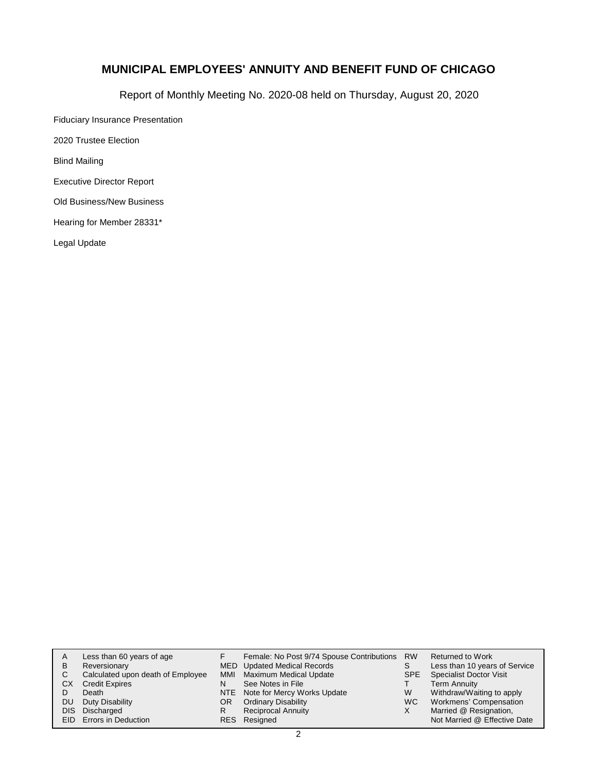Report of Monthly Meeting No. 2020-08 held on Thursday, August 20, 2020

Fiduciary Insurance Presentation 2020 Trustee Election

Blind Mailing

Executive Director Report

Old Business/New Business

Hearing for Member 28331\*

Legal Update

| A          | Less than 60 years of age         |     | Female: No Post 9/74 Spouse Contributions RW |      | Returned to Work               |
|------------|-----------------------------------|-----|----------------------------------------------|------|--------------------------------|
| в          | Reversionary                      |     | MED Updated Medical Records                  | S    | Less than 10 years of Service  |
| С          | Calculated upon death of Employee | MMI | Maximum Medical Update                       | SPE. | <b>Specialist Doctor Visit</b> |
| СX         | <b>Credit Expires</b>             | N   | See Notes in File                            |      | <b>Term Annuity</b>            |
|            | Death                             |     | NTE Note for Mercy Works Update              | W    | Withdraw/Waiting to apply      |
| DU         | Duty Disability                   | OR. | <b>Ordinary Disability</b>                   | WC.  | Workmens' Compensation         |
| <b>DIS</b> | Discharged                        |     | <b>Reciprocal Annuity</b>                    | X    | Married @ Resignation,         |
|            | EID Errors in Deduction           |     | RES Resigned                                 |      | Not Married @ Effective Date   |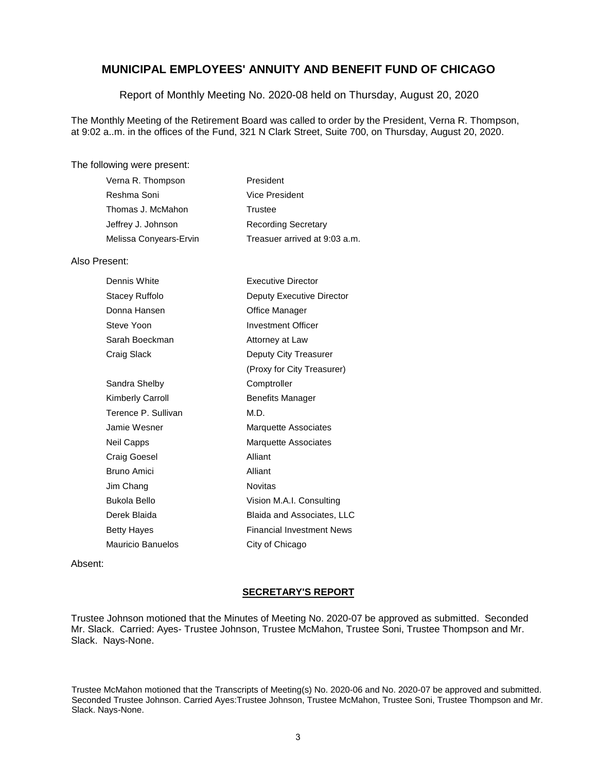Report of Monthly Meeting No. 2020-08 held on Thursday, August 20, 2020

The Monthly Meeting of the Retirement Board was called to order by the President, Verna R. Thompson, at 9:02 a..m. in the offices of the Fund, 321 N Clark Street, Suite 700, on Thursday, August 20, 2020.

#### The following were present:

| Verna R. Thompson      | President                     |
|------------------------|-------------------------------|
| Reshma Soni            | Vice President                |
| Thomas J. McMahon      | Trustee                       |
| Jeffrey J. Johnson     | <b>Recording Secretary</b>    |
| Melissa Conyears-Ervin | Treasuer arrived at 9:03 a.m. |

#### Also Present:

| Dennis White             | Executive Director               |
|--------------------------|----------------------------------|
| Stacey Ruffolo           | Deputy Executive Director        |
| Donna Hansen             | Office Manager                   |
| Steve Yoon               | <b>Investment Officer</b>        |
| Sarah Boeckman           | Attorney at Law                  |
| Craig Slack              | Deputy City Treasurer            |
|                          | (Proxy for City Treasurer)       |
| Sandra Shelby            | Comptroller                      |
| <b>Kimberly Carroll</b>  | <b>Benefits Manager</b>          |
| Terence P. Sullivan      | M.D.                             |
| Jamie Wesner             | <b>Marquette Associates</b>      |
| Neil Capps               | <b>Marquette Associates</b>      |
| Craig Goesel             | Alliant                          |
| Bruno Amici              | Alliant                          |
| Jim Chang                | <b>Novitas</b>                   |
| Bukola Bello             | Vision M.A.I. Consulting         |
| Derek Blaida             | Blaida and Associates, LLC       |
| <b>Betty Hayes</b>       | <b>Financial Investment News</b> |
| <b>Mauricio Banuelos</b> | City of Chicago                  |

Absent:

### **SECRETARY'S REPORT**

Trustee Johnson motioned that the Minutes of Meeting No. 2020-07 be approved as submitted. Seconded Mr. Slack. Carried: Ayes- Trustee Johnson, Trustee McMahon, Trustee Soni, Trustee Thompson and Mr. Slack. Nays-None.

Trustee McMahon motioned that the Transcripts of Meeting(s) No. 2020-06 and No. 2020-07 be approved and submitted. Seconded Trustee Johnson. Carried Ayes:Trustee Johnson, Trustee McMahon, Trustee Soni, Trustee Thompson and Mr. Slack. Nays-None.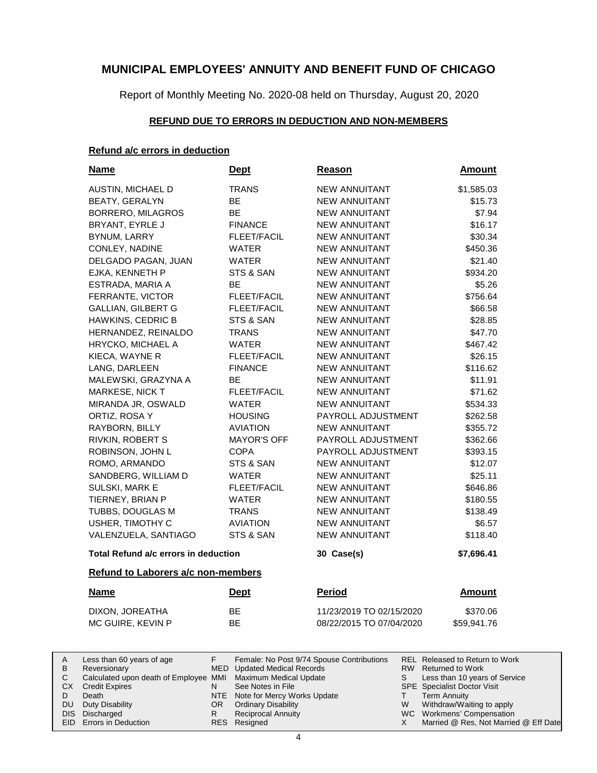Report of Monthly Meeting No. 2020-08 held on Thursday, August 20, 2020

### **REFUND DUE TO ERRORS IN DEDUCTION AND NON-MEMBERS**

### **Refund a/c errors in deduction**

| <b>Name</b>                          | <u>Dept</u>        | Reason                   | <b>Amount</b> |
|--------------------------------------|--------------------|--------------------------|---------------|
| AUSTIN, MICHAEL D                    | <b>TRANS</b>       | <b>NEW ANNUITANT</b>     | \$1,585.03    |
| <b>BEATY, GERALYN</b>                | BE                 | <b>NEW ANNUITANT</b>     | \$15.73       |
| BORRERO, MILAGROS                    | <b>BE</b>          | <b>NEW ANNUITANT</b>     | \$7.94        |
| BRYANT, EYRLE J                      | <b>FINANCE</b>     | <b>NEW ANNUITANT</b>     | \$16.17       |
| <b>BYNUM, LARRY</b>                  | <b>FLEET/FACIL</b> | <b>NEW ANNUITANT</b>     | \$30.34       |
| CONLEY, NADINE                       | <b>WATER</b>       | <b>NEW ANNUITANT</b>     | \$450.36      |
| DELGADO PAGAN, JUAN                  | WATER              | <b>NEW ANNUITANT</b>     | \$21.40       |
| EJKA, KENNETH P                      | STS & SAN          | <b>NEW ANNUITANT</b>     | \$934.20      |
| ESTRADA, MARIA A                     | BE                 | <b>NEW ANNUITANT</b>     | \$5.26        |
| FERRANTE, VICTOR                     | FLEET/FACIL        | <b>NEW ANNUITANT</b>     | \$756.64      |
| <b>GALLIAN, GILBERT G</b>            | FLEET/FACIL        | <b>NEW ANNUITANT</b>     | \$66.58       |
| HAWKINS, CEDRIC B                    | STS & SAN          | <b>NEW ANNUITANT</b>     | \$28.85       |
| HERNANDEZ, REINALDO                  | <b>TRANS</b>       | <b>NEW ANNUITANT</b>     | \$47.70       |
| HRYCKO, MICHAEL A                    | WATER              | <b>NEW ANNUITANT</b>     | \$467.42      |
| KIECA, WAYNE R                       | <b>FLEET/FACIL</b> | <b>NEW ANNUITANT</b>     | \$26.15       |
| LANG, DARLEEN                        | <b>FINANCE</b>     | <b>NEW ANNUITANT</b>     | \$116.62      |
| MALEWSKI, GRAZYNA A                  | <b>BE</b>          | <b>NEW ANNUITANT</b>     | \$11.91       |
| MARKESE, NICK T                      | <b>FLEET/FACIL</b> | <b>NEW ANNUITANT</b>     | \$71.62       |
| MIRANDA JR, OSWALD                   | <b>WATER</b>       | <b>NEW ANNUITANT</b>     | \$534.33      |
| ORTIZ, ROSA Y                        | <b>HOUSING</b>     | PAYROLL ADJUSTMENT       | \$262.58      |
| RAYBORN, BILLY                       | <b>AVIATION</b>    | <b>NEW ANNUITANT</b>     | \$355.72      |
| RIVKIN, ROBERT S                     | <b>MAYOR'S OFF</b> | PAYROLL ADJUSTMENT       | \$362.66      |
| ROBINSON, JOHN L                     | <b>COPA</b>        | PAYROLL ADJUSTMENT       | \$393.15      |
| ROMO, ARMANDO                        | STS & SAN          | <b>NEW ANNUITANT</b>     | \$12.07       |
| SANDBERG, WILLIAM D                  | <b>WATER</b>       | <b>NEW ANNUITANT</b>     | \$25.11       |
| SULSKI, MARK E                       | FLEET/FACIL        | <b>NEW ANNUITANT</b>     | \$646.86      |
| TIERNEY, BRIAN P                     | <b>WATER</b>       | <b>NEW ANNUITANT</b>     | \$180.55      |
| TUBBS, DOUGLAS M                     | <b>TRANS</b>       | <b>NEW ANNUITANT</b>     | \$138.49      |
| USHER, TIMOTHY C                     | <b>AVIATION</b>    | <b>NEW ANNUITANT</b>     | \$6.57        |
| VALENZUELA, SANTIAGO                 | STS & SAN          | <b>NEW ANNUITANT</b>     | \$118.40      |
| Total Refund a/c errors in deduction |                    | 30 Case(s)               | \$7,696.41    |
| Refund to Laborers a/c non-members   |                    |                          |               |
| <b>Name</b>                          | <u>Dept</u>        | <b>Period</b>            | <b>Amount</b> |
| DIXON, JOREATHA                      | BЕ                 | 11/23/2019 TO 02/15/2020 | \$370.06      |
| MC GUIRE, KEVIN P                    | BE                 | 08/22/2015 TO 07/04/2020 | \$59,941.76   |
|                                      |                    |                          |               |

|     | Less than 60 years of age                                    |     | Female: No Post 9/74 Spouse Contributions |   | REL Released to Return to Work        |
|-----|--------------------------------------------------------------|-----|-------------------------------------------|---|---------------------------------------|
| B   | Reversionary                                                 |     | MED Updated Medical Records               |   | RW Returned to Work                   |
|     | Calculated upon death of Employee MMI Maximum Medical Update |     |                                           |   | Less than 10 years of Service         |
| CX. | <b>Credit Expires</b>                                        |     | See Notes in File                         |   | <b>SPE</b> Specialist Doctor Visit    |
|     | Death                                                        |     | NTE Note for Mercy Works Update           |   | <b>Term Annuity</b>                   |
|     | DU Duty Disability                                           | OR. | <b>Ordinary Disability</b>                | W | Withdraw/Waiting to apply             |
|     | DIS Discharged                                               |     | <b>Reciprocal Annuity</b>                 |   | WC Workmens' Compensation             |
|     | <b>EID</b> Errors in Deduction                               |     | RES Resigned                              |   | Married @ Res, Not Married @ Eff Date |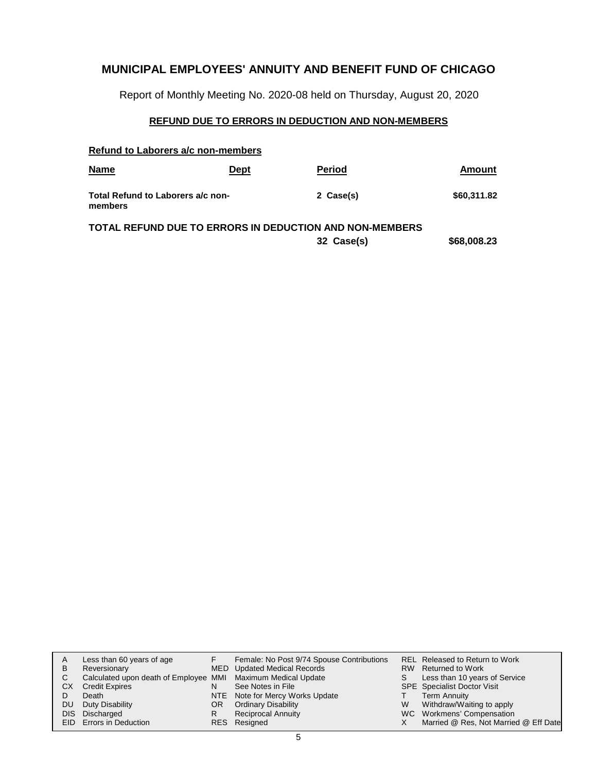Report of Monthly Meeting No. 2020-08 held on Thursday, August 20, 2020

### **REFUND DUE TO ERRORS IN DEDUCTION AND NON-MEMBERS**

|  |  | Refund to Laborers a/c non-members |
|--|--|------------------------------------|
|  |  |                                    |

| <b>Name</b>                                  | <b>Dept</b> | <b>Period</b>                                           | Amount      |
|----------------------------------------------|-------------|---------------------------------------------------------|-------------|
| Total Refund to Laborers a/c non-<br>members |             | 2 Case(s)                                               | \$60,311.82 |
|                                              |             | TOTAL REFUND DUE TO ERRORS IN DEDUCTION AND NON-MEMBERS |             |

**32 Case(s) \$68,008.23**

| A   | Less than 60 years of age                                    |     | Female: No Post 9/74 Spouse Contributions |   | REL Released to Return to Work        |
|-----|--------------------------------------------------------------|-----|-------------------------------------------|---|---------------------------------------|
| B   | Reversionary                                                 |     | MED Updated Medical Records               |   | RW Returned to Work                   |
|     | Calculated upon death of Employee MMI Maximum Medical Update |     |                                           |   | Less than 10 years of Service         |
| CX. | <b>Credit Expires</b>                                        |     | See Notes in File                         |   | <b>SPE</b> Specialist Doctor Visit    |
|     | Death                                                        |     | NTE Note for Mercy Works Update           |   | Term Annuity                          |
| DU. | Duty Disability                                              | OR. | <b>Ordinary Disability</b>                | W | Withdraw/Waiting to apply             |
|     | DIS Discharged                                               |     | <b>Reciprocal Annuity</b>                 |   | WC Workmens' Compensation             |
|     | EID Errors in Deduction                                      |     | RES Resigned                              |   | Married @ Res, Not Married @ Eff Date |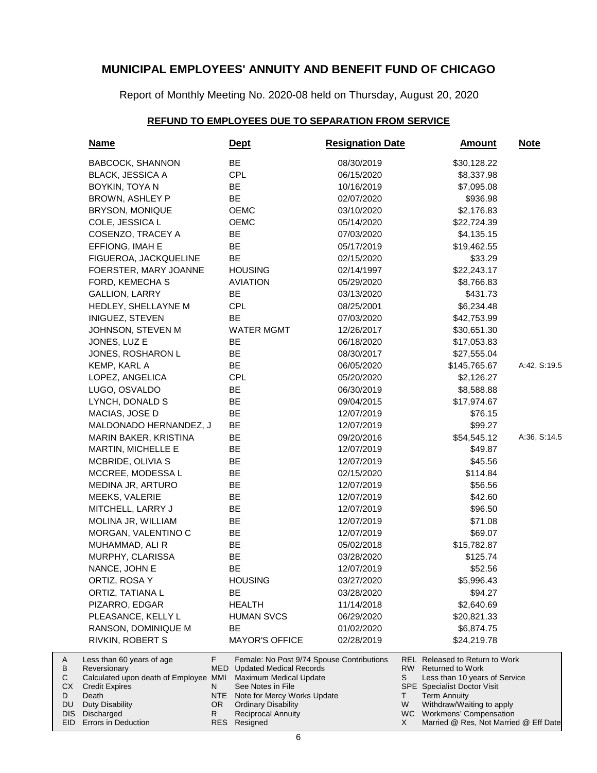Report of Monthly Meeting No. 2020-08 held on Thursday, August 20, 2020

# **REFUND TO EMPLOYEES DUE TO SEPARATION FROM SERVICE**

| <u>Name</u>                                                                                                                                                  |                                    | <u>Dept</u>                                                                                                                                                                                                          | <b>Resignation Date</b> |                     | <b>Amount</b>                                                                                                                                                                                                            | <u>Note</u>  |
|--------------------------------------------------------------------------------------------------------------------------------------------------------------|------------------------------------|----------------------------------------------------------------------------------------------------------------------------------------------------------------------------------------------------------------------|-------------------------|---------------------|--------------------------------------------------------------------------------------------------------------------------------------------------------------------------------------------------------------------------|--------------|
| <b>BABCOCK, SHANNON</b>                                                                                                                                      |                                    | BE                                                                                                                                                                                                                   | 08/30/2019              |                     | \$30,128.22                                                                                                                                                                                                              |              |
| <b>BLACK, JESSICA A</b>                                                                                                                                      |                                    | <b>CPL</b>                                                                                                                                                                                                           | 06/15/2020              |                     | \$8,337.98                                                                                                                                                                                                               |              |
| BOYKIN, TOYA N                                                                                                                                               |                                    | BE                                                                                                                                                                                                                   | 10/16/2019              |                     | \$7,095.08                                                                                                                                                                                                               |              |
| BROWN, ASHLEY P                                                                                                                                              |                                    | BE                                                                                                                                                                                                                   | 02/07/2020              |                     | \$936.98                                                                                                                                                                                                                 |              |
| BRYSON, MONIQUE                                                                                                                                              |                                    | <b>OEMC</b>                                                                                                                                                                                                          | 03/10/2020              |                     | \$2,176.83                                                                                                                                                                                                               |              |
| COLE, JESSICA L                                                                                                                                              |                                    | OEMC                                                                                                                                                                                                                 | 05/14/2020              |                     | \$22,724.39                                                                                                                                                                                                              |              |
| COSENZO, TRACEY A                                                                                                                                            |                                    | BE                                                                                                                                                                                                                   | 07/03/2020              |                     | \$4,135.15                                                                                                                                                                                                               |              |
| EFFIONG, IMAH E                                                                                                                                              |                                    | BE                                                                                                                                                                                                                   | 05/17/2019              |                     | \$19,462.55                                                                                                                                                                                                              |              |
| FIGUEROA, JACKQUELINE                                                                                                                                        |                                    | BE                                                                                                                                                                                                                   | 02/15/2020              |                     | \$33.29                                                                                                                                                                                                                  |              |
| FOERSTER, MARY JOANNE                                                                                                                                        |                                    | <b>HOUSING</b>                                                                                                                                                                                                       | 02/14/1997              |                     | \$22,243.17                                                                                                                                                                                                              |              |
| FORD, KEMECHA S                                                                                                                                              |                                    | <b>AVIATION</b>                                                                                                                                                                                                      | 05/29/2020              |                     | \$8,766.83                                                                                                                                                                                                               |              |
| <b>GALLION, LARRY</b>                                                                                                                                        |                                    | BE                                                                                                                                                                                                                   | 03/13/2020              |                     | \$431.73                                                                                                                                                                                                                 |              |
| HEDLEY, SHELLAYNE M                                                                                                                                          |                                    | <b>CPL</b>                                                                                                                                                                                                           | 08/25/2001              |                     | \$6,234.48                                                                                                                                                                                                               |              |
| INIGUEZ, STEVEN                                                                                                                                              |                                    | <b>BE</b>                                                                                                                                                                                                            | 07/03/2020              |                     | \$42,753.99                                                                                                                                                                                                              |              |
| JOHNSON, STEVEN M                                                                                                                                            |                                    | <b>WATER MGMT</b>                                                                                                                                                                                                    | 12/26/2017              |                     | \$30,651.30                                                                                                                                                                                                              |              |
| JONES, LUZ E                                                                                                                                                 |                                    | BE                                                                                                                                                                                                                   | 06/18/2020              |                     | \$17,053.83                                                                                                                                                                                                              |              |
| JONES, ROSHARON L                                                                                                                                            |                                    | BE                                                                                                                                                                                                                   | 08/30/2017              |                     | \$27,555.04                                                                                                                                                                                                              |              |
| KEMP, KARL A                                                                                                                                                 |                                    | BE                                                                                                                                                                                                                   | 06/05/2020              |                     | \$145,765.67                                                                                                                                                                                                             | A:42, S:19.5 |
| LOPEZ, ANGELICA                                                                                                                                              |                                    | <b>CPL</b>                                                                                                                                                                                                           | 05/20/2020              |                     | \$2,126.27                                                                                                                                                                                                               |              |
| LUGO, OSVALDO                                                                                                                                                |                                    | BE                                                                                                                                                                                                                   | 06/30/2019              |                     | \$8,588.88                                                                                                                                                                                                               |              |
| LYNCH, DONALD S                                                                                                                                              |                                    | BE                                                                                                                                                                                                                   | 09/04/2015              |                     | \$17,974.67                                                                                                                                                                                                              |              |
| MACIAS, JOSE D                                                                                                                                               |                                    | BE                                                                                                                                                                                                                   | 12/07/2019              |                     | \$76.15                                                                                                                                                                                                                  |              |
| MALDONADO HERNANDEZ, J                                                                                                                                       |                                    | BE                                                                                                                                                                                                                   | 12/07/2019              |                     | \$99.27                                                                                                                                                                                                                  |              |
| <b>MARIN BAKER, KRISTINA</b>                                                                                                                                 |                                    | BE                                                                                                                                                                                                                   | 09/20/2016              |                     | \$54,545.12                                                                                                                                                                                                              | A:36, S:14.5 |
| MARTIN, MICHELLE E                                                                                                                                           |                                    | BE                                                                                                                                                                                                                   | 12/07/2019              |                     | \$49.87                                                                                                                                                                                                                  |              |
| MCBRIDE, OLIVIA S                                                                                                                                            |                                    | BE                                                                                                                                                                                                                   | 12/07/2019              |                     | \$45.56                                                                                                                                                                                                                  |              |
| MCCREE, MODESSA L                                                                                                                                            |                                    | BE                                                                                                                                                                                                                   | 02/15/2020              |                     | \$114.84                                                                                                                                                                                                                 |              |
| MEDINA JR, ARTURO                                                                                                                                            |                                    | BE                                                                                                                                                                                                                   | 12/07/2019              |                     | \$56.56                                                                                                                                                                                                                  |              |
| MEEKS, VALERIE                                                                                                                                               |                                    | BE                                                                                                                                                                                                                   | 12/07/2019              |                     | \$42.60                                                                                                                                                                                                                  |              |
| MITCHELL, LARRY J                                                                                                                                            |                                    | BE                                                                                                                                                                                                                   | 12/07/2019              |                     | \$96.50                                                                                                                                                                                                                  |              |
| MOLINA JR, WILLIAM                                                                                                                                           |                                    | BE                                                                                                                                                                                                                   | 12/07/2019              |                     | \$71.08                                                                                                                                                                                                                  |              |
| MORGAN, VALENTINO C                                                                                                                                          |                                    | BE                                                                                                                                                                                                                   | 12/07/2019              |                     | \$69.07                                                                                                                                                                                                                  |              |
| MUHAMMAD, ALI R                                                                                                                                              |                                    | BE                                                                                                                                                                                                                   | 05/02/2018              |                     | \$15,782.87                                                                                                                                                                                                              |              |
| MURPHY, CLARISSA                                                                                                                                             |                                    | BE                                                                                                                                                                                                                   | 03/28/2020              |                     | \$125.74                                                                                                                                                                                                                 |              |
| NANCE, JOHN E                                                                                                                                                |                                    | BE                                                                                                                                                                                                                   | 12/07/2019              |                     | \$52.56                                                                                                                                                                                                                  |              |
| ORTIZ, ROSA Y                                                                                                                                                |                                    | <b>HOUSING</b>                                                                                                                                                                                                       | 03/27/2020              |                     | \$5,996.43                                                                                                                                                                                                               |              |
| ORTIZ, TATIANA L                                                                                                                                             |                                    | <b>BE</b>                                                                                                                                                                                                            | 03/28/2020              |                     | \$94.27                                                                                                                                                                                                                  |              |
| PIZARRO, EDGAR                                                                                                                                               |                                    | <b>HEALTH</b>                                                                                                                                                                                                        | 11/14/2018              |                     | \$2,640.69                                                                                                                                                                                                               |              |
| PLEASANCE, KELLY L                                                                                                                                           |                                    | <b>HUMAN SVCS</b>                                                                                                                                                                                                    | 06/29/2020              |                     | \$20,821.33                                                                                                                                                                                                              |              |
| RANSON, DOMINIQUE M                                                                                                                                          |                                    | <b>BE</b>                                                                                                                                                                                                            | 01/02/2020              |                     | \$6,874.75                                                                                                                                                                                                               |              |
| RIVKIN, ROBERT S                                                                                                                                             |                                    | <b>MAYOR'S OFFICE</b>                                                                                                                                                                                                | 02/28/2019              |                     | \$24,219.78                                                                                                                                                                                                              |              |
| Less than 60 years of age<br>Reversionary<br>Calculated upon death of Employee MMI<br><b>Credit Expires</b><br>Death<br><b>Duty Disability</b><br>Discharged | F.<br>MED.<br>N<br>NTE<br>OR.<br>R | Female: No Post 9/74 Spouse Contributions<br><b>Updated Medical Records</b><br>Maximum Medical Update<br>See Notes in File<br>Note for Mercy Works Update<br><b>Ordinary Disability</b><br><b>Reciprocal Annuity</b> |                         | RW.<br>S<br>T.<br>W | <b>REL Released to Return to Work</b><br><b>Returned to Work</b><br>Less than 10 years of Service<br><b>SPE</b> Specialist Doctor Visit<br><b>Term Annuity</b><br>Withdraw/Waiting to apply<br>WC Workmens' Compensation |              |
| Errors in Deduction                                                                                                                                          |                                    | RES Resigned                                                                                                                                                                                                         |                         | X.                  | Married @ Res, Not Married @ Eff Date                                                                                                                                                                                    |              |

A B C CX D DU DIS EID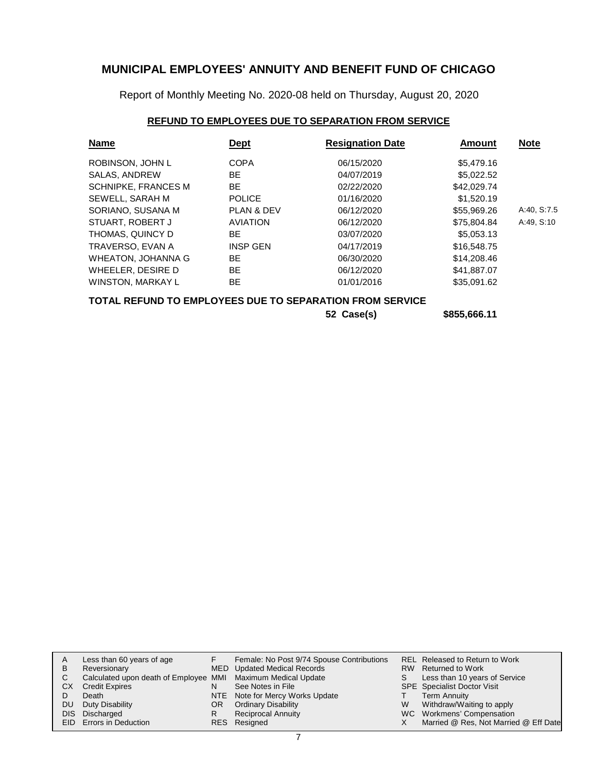Report of Monthly Meeting No. 2020-08 held on Thursday, August 20, 2020

### **REFUND TO EMPLOYEES DUE TO SEPARATION FROM SERVICE**

| <b>Name</b>                | <b>Dept</b>           | <b>Resignation Date</b> | Amount      | <b>Note</b> |
|----------------------------|-----------------------|-------------------------|-------------|-------------|
| ROBINSON, JOHN L           | <b>COPA</b>           | 06/15/2020              | \$5,479.16  |             |
| SALAS, ANDREW              | BE                    | 04/07/2019              | \$5,022.52  |             |
| <b>SCHNIPKE, FRANCES M</b> | <b>BE</b>             | 02/22/2020              | \$42,029.74 |             |
| SEWELL, SARAH M            | <b>POLICE</b>         | 01/16/2020              | \$1.520.19  |             |
| SORIANO, SUSANA M          | <b>PLAN &amp; DEV</b> | 06/12/2020              | \$55,969.26 | A:40, S:7.5 |
| STUART, ROBERT J           | <b>AVIATION</b>       | 06/12/2020              | \$75,804.84 | A:49, S:10  |
| THOMAS, QUINCY D           | <b>BE</b>             | 03/07/2020              | \$5,053.13  |             |
| TRAVERSO, EVAN A           | <b>INSP GEN</b>       | 04/17/2019              | \$16,548.75 |             |
| WHEATON, JOHANNA G         | <b>BE</b>             | 06/30/2020              | \$14,208,46 |             |
| WHEELER, DESIRE D          | <b>BE</b>             | 06/12/2020              | \$41.887.07 |             |
| WINSTON, MARKAY L          | <b>BE</b>             | 01/01/2016              | \$35,091.62 |             |

### **TOTAL REFUND TO EMPLOYEES DUE TO SEPARATION FROM SERVICE**

**52 Case(s) \$855,666.11**

|    | Less than 60 years of age                                    |    | Female: No Post 9/74 Spouse Contributions |   | REL Released to Return to Work        |
|----|--------------------------------------------------------------|----|-------------------------------------------|---|---------------------------------------|
| В  | Reversionary                                                 |    | MED Updated Medical Records               |   | RW Returned to Work                   |
|    | Calculated upon death of Employee MMI Maximum Medical Update |    |                                           |   | Less than 10 years of Service         |
| СX | <b>Credit Expires</b>                                        |    | See Notes in File                         |   | <b>SPE</b> Specialist Doctor Visit    |
|    | Death                                                        |    | NTE Note for Mercy Works Update           |   | Term Annuity                          |
| DU | Duty Disability                                              | OR | <b>Ordinary Disability</b>                | W | Withdraw/Waiting to apply             |
|    | DIS Discharged                                               |    | <b>Reciprocal Annuity</b>                 |   | WC Workmens' Compensation             |
|    | <b>EID</b> Errors in Deduction                               |    | RES Resigned                              |   | Married @ Res, Not Married @ Eff Date |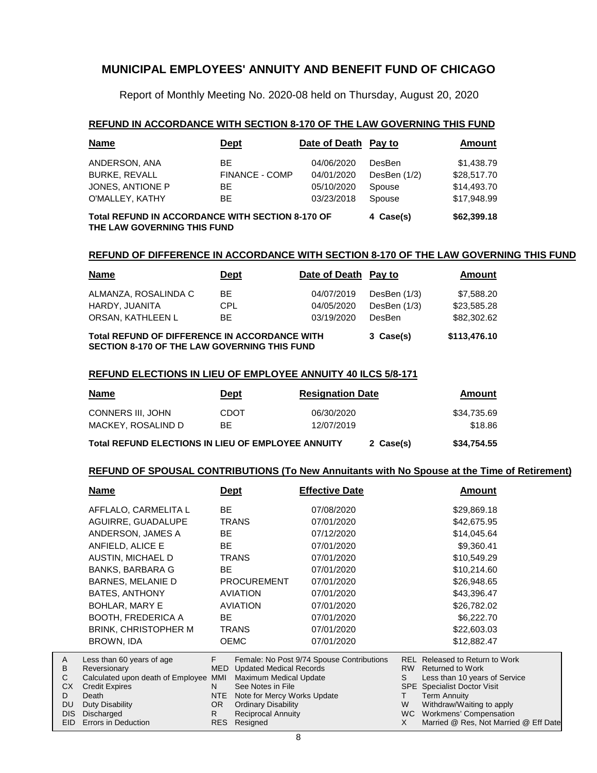Report of Monthly Meeting No. 2020-08 held on Thursday, August 20, 2020

#### **REFUND IN ACCORDANCE WITH SECTION 8-170 OF THE LAW GOVERNING THIS FUND**

| <b>Name</b>                                                                            | <u>Dept</u>           | Date of Death Pay to |                | Amount      |
|----------------------------------------------------------------------------------------|-----------------------|----------------------|----------------|-------------|
| ANDERSON, ANA                                                                          | BE.                   | 04/06/2020           | DesBen         | \$1,438.79  |
| <b>BURKE, REVALL</b>                                                                   | <b>FINANCE - COMP</b> | 04/01/2020           | DesBen $(1/2)$ | \$28,517.70 |
| JONES, ANTIONE P                                                                       | BE.                   | 05/10/2020           | Spouse         | \$14,493.70 |
| O'MALLEY, KATHY                                                                        | BE.                   | 03/23/2018           | Spouse         | \$17.948.99 |
| <b>Total REFUND IN ACCORDANCE WITH SECTION 8-170 OF</b><br>THE LAW GOVERNING THIS FUND | 4 Case(s)             | \$62,399.18          |                |             |

#### **REFUND OF DIFFERENCE IN ACCORDANCE WITH SECTION 8-170 OF THE LAW GOVERNING THIS FUND**

| <b>Name</b>                                                                                          | <b>Dept</b> | Date of Death Pay to |                | Amount      |  |
|------------------------------------------------------------------------------------------------------|-------------|----------------------|----------------|-------------|--|
| ALMANZA, ROSALINDA C                                                                                 | BE.         | 04/07/2019           | DesBen (1/3)   | \$7,588.20  |  |
| HARDY, JUANITA                                                                                       | CPL.        | 04/05/2020           | DesBen $(1/3)$ | \$23,585.28 |  |
| ORSAN, KATHLEEN L                                                                                    | BE.         | 03/19/2020           | <b>DesBen</b>  | \$82,302.62 |  |
| Total REFUND OF DIFFERENCE IN ACCORDANCE WITH<br><b>SECTION 8-170 OF THE LAW GOVERNING THIS FUND</b> | 3 Case(s)   | \$113,476.10         |                |             |  |

#### **REFUND ELECTIONS IN LIEU OF EMPLOYEE ANNUITY 40 ILCS 5/8-171**

| <b>Name</b>                                        | <b>Dept</b> | <b>Resignation Date</b> | Amount      |
|----------------------------------------------------|-------------|-------------------------|-------------|
| CONNERS III. JOHN                                  | <b>CDOT</b> | 06/30/2020              | \$34.735.69 |
| MACKEY, ROSALIND D                                 | BF.         | 12/07/2019              | \$18.86     |
| Total REFUND ELECTIONS IN LIEU OF EMPLOYEE ANNUITY |             | 2 Case(s)               | \$34,754.55 |

#### **REFUND OF SPOUSAL CONTRIBUTIONS (To New Annuitants with No Spouse at the Time of Retirement)**

|                | Name                                                       | <u>Dept</u>      |                                             | <b>Effective Date</b>                     |             | Amount                                                              |
|----------------|------------------------------------------------------------|------------------|---------------------------------------------|-------------------------------------------|-------------|---------------------------------------------------------------------|
|                | AFFLALO, CARMELITA L                                       | <b>BE</b>        |                                             | 07/08/2020                                |             | \$29,869.18                                                         |
|                | AGUIRRE, GUADALUPE                                         |                  | <b>TRANS</b>                                | 07/01/2020                                |             | \$42,675.95                                                         |
|                | ANDERSON, JAMES A                                          | <b>BE</b>        |                                             | 07/12/2020                                |             | \$14,045.64                                                         |
|                | ANFIELD, ALICE E                                           | BE.              |                                             | 07/01/2020                                |             | \$9,360.41                                                          |
|                | AUSTIN, MICHAEL D                                          |                  | <b>TRANS</b>                                | 07/01/2020                                |             | \$10,549.29                                                         |
|                | <b>BANKS, BARBARA G</b>                                    | BE               |                                             | 07/01/2020                                |             | \$10,214.60                                                         |
|                | <b>BARNES, MELANIE D</b>                                   |                  | <b>PROCUREMENT</b>                          | 07/01/2020                                |             | \$26,948.65                                                         |
|                | <b>BATES, ANTHONY</b>                                      |                  | <b>AVIATION</b>                             | 07/01/2020                                |             | \$43,396.47                                                         |
|                | <b>BOHLAR, MARY E</b>                                      |                  | <b>AVIATION</b>                             | 07/01/2020                                | \$26,782.02 |                                                                     |
|                | <b>BOOTH, FREDERICA A</b>                                  | BE               |                                             | 07/01/2020                                | \$6,222.70  |                                                                     |
|                | <b>BRINK, CHRISTOPHER M</b>                                |                  | <b>TRANS</b>                                | 07/01/2020                                | \$22,603.03 |                                                                     |
|                | BROWN, IDA                                                 |                  | <b>OEMC</b>                                 | 07/01/2020                                |             | \$12,882.47                                                         |
| A<br>B         | Less than 60 years of age<br>Reversionary                  | F.               | <b>MED</b> Updated Medical Records          | Female: No Post 9/74 Spouse Contributions | <b>RW</b>   | <b>REL Released to Return to Work</b><br><b>Returned to Work</b>    |
| C<br><b>CX</b> | Calculated upon death of Employee<br><b>Credit Expires</b> | MMI<br>N.        | Maximum Medical Update<br>See Notes in File |                                           | S           | Less than 10 years of Service<br><b>SPE</b> Specialist Doctor Visit |
| D              | Death                                                      | NTE              | Note for Mercy Works Update                 |                                           | T.          | <b>Term Annuity</b>                                                 |
| DU             | Duty Disability                                            | OR.              | <b>Ordinary Disability</b>                  |                                           | W           | Withdraw/Waiting to apply                                           |
| DIS.<br>EID.   | Discharged<br>Errors in Deduction                          | R.<br><b>RES</b> | <b>Reciprocal Annuity</b><br>Resigned       |                                           | WC.<br>X    | Workmens' Compensation<br>Married @ Res, Not Married @ Eff Date     |
|                |                                                            |                  |                                             |                                           |             |                                                                     |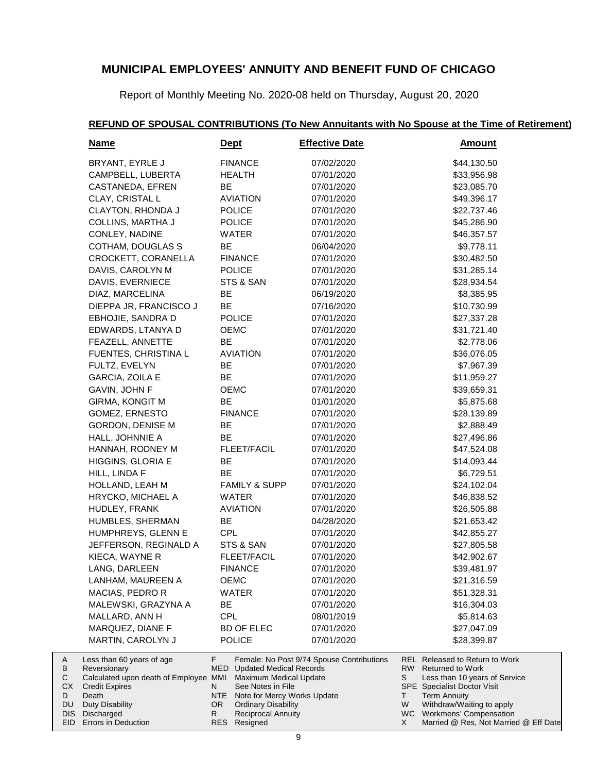Report of Monthly Meeting No. 2020-08 held on Thursday, August 20, 2020

### **REFUND OF SPOUSAL CONTRIBUTIONS (To New Annuitants with No Spouse at the Time of Retirement)**

| <b>Name</b>                                    | <u>Dept</u>                              | <b>Effective Date</b>                                   | <b>Amount</b>                                               |
|------------------------------------------------|------------------------------------------|---------------------------------------------------------|-------------------------------------------------------------|
| BRYANT, EYRLE J                                | <b>FINANCE</b>                           | 07/02/2020                                              | \$44,130.50                                                 |
| CAMPBELL, LUBERTA                              | <b>HEALTH</b>                            | 07/01/2020                                              | \$33,956.98                                                 |
| CASTANEDA, EFREN                               | BE                                       | 07/01/2020                                              | \$23,085.70                                                 |
| CLAY, CRISTAL L                                | <b>AVIATION</b>                          | 07/01/2020                                              | \$49,396.17                                                 |
| CLAYTON, RHONDA J                              | <b>POLICE</b>                            | 07/01/2020                                              | \$22,737.46                                                 |
| COLLINS, MARTHA J                              | <b>POLICE</b>                            | 07/01/2020                                              | \$45,286.90                                                 |
| CONLEY, NADINE                                 | WATER                                    | 07/01/2020                                              | \$46,357.57                                                 |
| COTHAM, DOUGLAS S                              | <b>BE</b>                                | 06/04/2020                                              | \$9,778.11                                                  |
| CROCKETT, CORANELLA                            | <b>FINANCE</b>                           | 07/01/2020                                              | \$30,482.50                                                 |
| DAVIS, CAROLYN M                               | <b>POLICE</b>                            | 07/01/2020                                              | \$31,285.14                                                 |
| DAVIS, EVERNIECE                               | STS & SAN                                | 07/01/2020                                              | \$28,934.54                                                 |
| DIAZ, MARCELINA                                | BE                                       | 06/19/2020                                              | \$8,385.95                                                  |
| DIEPPA JR, FRANCISCO J                         | BE                                       | 07/16/2020                                              | \$10,730.99                                                 |
|                                                | <b>POLICE</b>                            | 07/01/2020                                              | \$27,337.28                                                 |
| EBHOJIE, SANDRA D                              |                                          |                                                         |                                                             |
| EDWARDS, LTANYA D                              | OEMC                                     | 07/01/2020                                              | \$31,721.40                                                 |
| FEAZELL, ANNETTE                               | BE                                       | 07/01/2020                                              | \$2,778.06                                                  |
| FUENTES, CHRISTINA L                           | <b>AVIATION</b>                          | 07/01/2020                                              | \$36,076.05                                                 |
| FULTZ, EVELYN                                  | BE                                       | 07/01/2020                                              | \$7,967.39                                                  |
| GARCIA, ZOILA E                                | BE                                       | 07/01/2020                                              | \$11,959.27                                                 |
| GAVIN, JOHN F                                  | <b>OEMC</b>                              | 07/01/2020                                              | \$39,659.31                                                 |
| <b>GIRMA, KONGIT M</b>                         | <b>BE</b>                                | 01/01/2020                                              | \$5,875.68                                                  |
| GOMEZ, ERNESTO                                 | <b>FINANCE</b>                           | 07/01/2020                                              | \$28,139.89                                                 |
| GORDON, DENISE M                               | BE                                       | 07/01/2020                                              | \$2,888.49                                                  |
| HALL, JOHNNIE A                                | BE                                       | 07/01/2020                                              | \$27,496.86                                                 |
| HANNAH, RODNEY M                               | FLEET/FACIL                              | 07/01/2020                                              | \$47,524.08                                                 |
| HIGGINS, GLORIA E                              | BE                                       | 07/01/2020                                              | \$14,093.44                                                 |
| HILL, LINDA F                                  | BE                                       | 07/01/2020                                              | \$6,729.51                                                  |
| HOLLAND, LEAH M                                | <b>FAMILY &amp; SUPP</b>                 | 07/01/2020                                              | \$24,102.04                                                 |
| HRYCKO, MICHAEL A                              | WATER                                    | 07/01/2020                                              | \$46,838.52                                                 |
| HUDLEY, FRANK                                  | <b>AVIATION</b>                          | 07/01/2020                                              | \$26,505.88                                                 |
| HUMBLES, SHERMAN                               | BE                                       | 04/28/2020                                              | \$21,653.42                                                 |
| HUMPHREYS, GLENN E                             | CPL                                      | 07/01/2020                                              | \$42,855.27                                                 |
| JEFFERSON, REGINALD A                          | STS & SAN                                | 07/01/2020                                              | \$27,805.58                                                 |
| KIECA, WAYNE R                                 | <b>FLEET/FACIL</b>                       | 07/01/2020                                              | \$42,902.67                                                 |
| LANG, DARLEEN                                  | <b>FINANCE</b>                           | 07/01/2020                                              | \$39,481.97                                                 |
| LANHAM, MAUREEN A                              | <b>OEMC</b>                              | 07/01/2020                                              | \$21,316.59                                                 |
| MACIAS, PEDRO R                                | <b>WATER</b>                             | 07/01/2020                                              | \$51,328.31                                                 |
| MALEWSKI, GRAZYNA A                            | BE                                       | 07/01/2020                                              | \$16,304.03                                                 |
| MALLARD, ANN H                                 | <b>CPL</b>                               | 08/01/2019                                              | \$5,814.63                                                  |
| MARQUEZ, DIANE F                               | <b>BD OF ELEC</b>                        | 07/01/2020                                              | \$27,047.09                                                 |
|                                                |                                          |                                                         |                                                             |
| MARTIN, CAROLYN J<br>Less than 60 years of age | <b>POLICE</b><br>F.                      | 07/01/2020<br>Female: No Post 9/74 Spouse Contributions | \$28,399.87<br><b>REL Released to Return to Work</b>        |
| Reversionary                                   | <b>MED</b> Updated Medical Records       |                                                         | RW Returned to Work                                         |
| Calculated upon death of Employee MMI          | Maximum Medical Update                   |                                                         | S<br>Less than 10 years of Service                          |
| <b>Credit Expires</b>                          | See Notes in File<br>N                   |                                                         | SPE Specialist Doctor Visit                                 |
| Death<br>Duty Disability                       | NTE<br>OR.<br><b>Ordinary Disability</b> | Note for Mercy Works Update                             | <b>Term Annuity</b><br>T.<br>W<br>Withdraw/Waiting to apply |
| Discharged                                     | <b>Reciprocal Annuity</b><br>R.          |                                                         | WC Workmens' Compensation                                   |
| EID<br>Errors in Deduction                     | RES Resigned                             |                                                         | Married @ Res, Not Married @ Eff Date<br>X                  |

A B C CX D DU DIS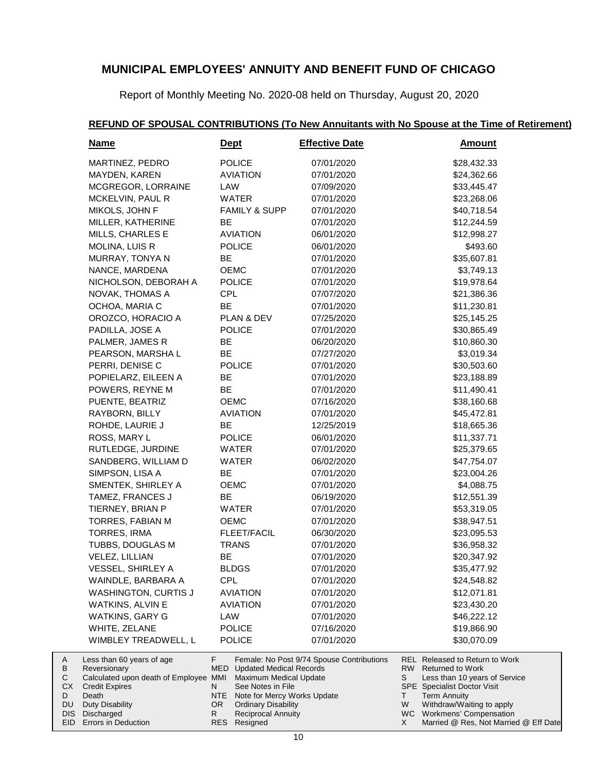Report of Monthly Meeting No. 2020-08 held on Thursday, August 20, 2020

#### **REFUND OF SPOUSAL CONTRIBUTIONS (To New Annuitants with No Spouse at the Time of Retirement)**

| <u>Name</u>                                                                                                                                    | <u>Dept</u>                                                                                                                                                               | <b>Effective Date</b>                     | <u>Amount</u>                                                                                                                                                                                          |
|------------------------------------------------------------------------------------------------------------------------------------------------|---------------------------------------------------------------------------------------------------------------------------------------------------------------------------|-------------------------------------------|--------------------------------------------------------------------------------------------------------------------------------------------------------------------------------------------------------|
| MARTINEZ, PEDRO                                                                                                                                | <b>POLICE</b>                                                                                                                                                             | 07/01/2020                                | \$28,432.33                                                                                                                                                                                            |
| MAYDEN, KAREN                                                                                                                                  | <b>AVIATION</b>                                                                                                                                                           | 07/01/2020                                | \$24,362.66                                                                                                                                                                                            |
| MCGREGOR, LORRAINE                                                                                                                             | LAW                                                                                                                                                                       | 07/09/2020                                | \$33,445.47                                                                                                                                                                                            |
| MCKELVIN, PAUL R                                                                                                                               | WATER                                                                                                                                                                     | 07/01/2020                                | \$23,268.06                                                                                                                                                                                            |
| MIKOLS, JOHN F                                                                                                                                 | <b>FAMILY &amp; SUPP</b>                                                                                                                                                  | 07/01/2020                                | \$40,718.54                                                                                                                                                                                            |
| MILLER, KATHERINE                                                                                                                              | ВE                                                                                                                                                                        | 07/01/2020                                | \$12,244.59                                                                                                                                                                                            |
| MILLS, CHARLES E                                                                                                                               | <b>AVIATION</b>                                                                                                                                                           | 06/01/2020                                | \$12,998.27                                                                                                                                                                                            |
| <b>MOLINA, LUIS R</b>                                                                                                                          | <b>POLICE</b>                                                                                                                                                             | 06/01/2020                                | \$493.60                                                                                                                                                                                               |
| MURRAY, TONYA N                                                                                                                                | ВE                                                                                                                                                                        | 07/01/2020                                | \$35,607.81                                                                                                                                                                                            |
| NANCE, MARDENA                                                                                                                                 | OEMC                                                                                                                                                                      | 07/01/2020                                | \$3,749.13                                                                                                                                                                                             |
| NICHOLSON, DEBORAH A                                                                                                                           | <b>POLICE</b>                                                                                                                                                             | 07/01/2020                                | \$19,978.64                                                                                                                                                                                            |
| NOVAK, THOMAS A                                                                                                                                | <b>CPL</b>                                                                                                                                                                | 07/07/2020                                | \$21,386.36                                                                                                                                                                                            |
| OCHOA, MARIA C                                                                                                                                 | BE                                                                                                                                                                        | 07/01/2020                                | \$11,230.81                                                                                                                                                                                            |
| OROZCO, HORACIO A                                                                                                                              | PLAN & DEV                                                                                                                                                                | 07/25/2020                                | \$25,145.25                                                                                                                                                                                            |
| PADILLA, JOSE A                                                                                                                                | <b>POLICE</b>                                                                                                                                                             | 07/01/2020                                | \$30,865.49                                                                                                                                                                                            |
| PALMER, JAMES R                                                                                                                                | BE                                                                                                                                                                        | 06/20/2020                                | \$10,860.30                                                                                                                                                                                            |
| PEARSON, MARSHA L                                                                                                                              | BE                                                                                                                                                                        | 07/27/2020                                | \$3,019.34                                                                                                                                                                                             |
| PERRI, DENISE C                                                                                                                                | <b>POLICE</b>                                                                                                                                                             | 07/01/2020                                | \$30,503.60                                                                                                                                                                                            |
| POPIELARZ, EILEEN A                                                                                                                            | BE                                                                                                                                                                        | 07/01/2020                                | \$23,188.89                                                                                                                                                                                            |
| POWERS, REYNE M                                                                                                                                | BE                                                                                                                                                                        | 07/01/2020                                | \$11,490.41                                                                                                                                                                                            |
| PUENTE, BEATRIZ                                                                                                                                | <b>OEMC</b>                                                                                                                                                               | 07/16/2020                                | \$38,160.68                                                                                                                                                                                            |
| RAYBORN, BILLY                                                                                                                                 | <b>AVIATION</b>                                                                                                                                                           | 07/01/2020                                | \$45,472.81                                                                                                                                                                                            |
| ROHDE, LAURIE J                                                                                                                                | ВE                                                                                                                                                                        | 12/25/2019                                | \$18,665.36                                                                                                                                                                                            |
| ROSS, MARY L                                                                                                                                   | <b>POLICE</b>                                                                                                                                                             | 06/01/2020                                | \$11,337.71                                                                                                                                                                                            |
| RUTLEDGE, JURDINE                                                                                                                              | WATER                                                                                                                                                                     | 07/01/2020                                | \$25,379.65                                                                                                                                                                                            |
| SANDBERG, WILLIAM D                                                                                                                            | WATER                                                                                                                                                                     | 06/02/2020                                | \$47,754.07                                                                                                                                                                                            |
| SIMPSON, LISA A                                                                                                                                | BE                                                                                                                                                                        | 07/01/2020                                | \$23,004.26                                                                                                                                                                                            |
| SMENTEK, SHIRLEY A                                                                                                                             | <b>OEMC</b>                                                                                                                                                               | 07/01/2020                                | \$4,088.75                                                                                                                                                                                             |
| TAMEZ, FRANCES J                                                                                                                               | BE                                                                                                                                                                        | 06/19/2020                                | \$12,551.39                                                                                                                                                                                            |
| TIERNEY, BRIAN P                                                                                                                               | WATER                                                                                                                                                                     | 07/01/2020                                | \$53,319.05                                                                                                                                                                                            |
| TORRES, FABIAN M                                                                                                                               | <b>OEMC</b>                                                                                                                                                               | 07/01/2020                                | \$38,947.51                                                                                                                                                                                            |
| TORRES, IRMA                                                                                                                                   | FLEET/FACIL                                                                                                                                                               | 06/30/2020                                | \$23,095.53                                                                                                                                                                                            |
| TUBBS, DOUGLAS M                                                                                                                               | <b>TRANS</b>                                                                                                                                                              | 07/01/2020                                | \$36,958.32                                                                                                                                                                                            |
| VELEZ, LILLIAN                                                                                                                                 | <b>BE</b>                                                                                                                                                                 | 07/01/2020                                | \$20,347.92                                                                                                                                                                                            |
| VESSEL, SHIRLEY A                                                                                                                              | <b>BLDGS</b>                                                                                                                                                              | 07/01/2020                                | \$35,477.92                                                                                                                                                                                            |
| WAINDLE, BARBARA A                                                                                                                             | CPL                                                                                                                                                                       | 07/01/2020                                | \$24,548.82                                                                                                                                                                                            |
| WASHINGTON, CURTIS J                                                                                                                           | <b>AVIATION</b>                                                                                                                                                           | 07/01/2020                                | \$12,071.81                                                                                                                                                                                            |
| WATKINS, ALVIN E                                                                                                                               | <b>AVIATION</b>                                                                                                                                                           | 07/01/2020                                | \$23,430.20                                                                                                                                                                                            |
| WATKINS, GARY G                                                                                                                                | LAW                                                                                                                                                                       | 07/01/2020                                | \$46,222.12                                                                                                                                                                                            |
| WHITE, ZELANE                                                                                                                                  | <b>POLICE</b>                                                                                                                                                             | 07/16/2020                                | \$19,866.90                                                                                                                                                                                            |
| WIMBLEY TREADWELL, L                                                                                                                           | <b>POLICE</b>                                                                                                                                                             | 07/01/2020                                | \$30,070.09                                                                                                                                                                                            |
| Less than 60 years of age<br>Reversionary<br>Calculated upon death of Employee MMI<br><b>Credit Expires</b><br>Death<br><b>Duty Disability</b> | F.<br><b>MED</b> Updated Medical Records<br>Maximum Medical Update<br>See Notes in File<br>N.<br>Note for Mercy Works Update<br>NTE.<br><b>Ordinary Disability</b><br>OR. | Female: No Post 9/74 Spouse Contributions | <b>REL Released to Return to Work</b><br>RW Returned to Work<br>Less than 10 years of Service<br>S<br><b>SPE</b> Specialist Doctor Visit<br><b>Term Annuity</b><br>Τ<br>Withdraw/Waiting to apply<br>W |
| Discharged                                                                                                                                     | <b>Reciprocal Annuity</b><br>R.                                                                                                                                           |                                           | WC Workmens' Compensation                                                                                                                                                                              |

Errors in Deduction DIS EID

A B C CX D DU

Resigned

RES

Married @ Res, Not Married @ Eff Date

X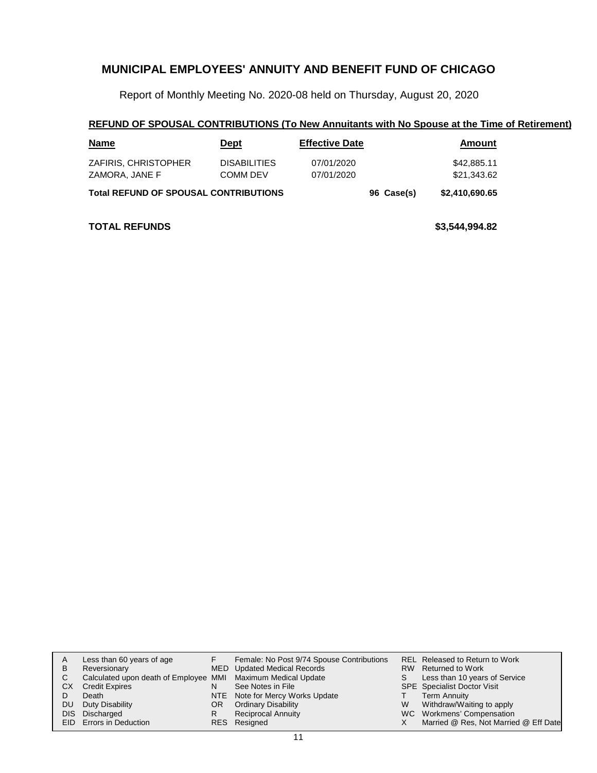Report of Monthly Meeting No. 2020-08 held on Thursday, August 20, 2020

### **REFUND OF SPOUSAL CONTRIBUTIONS (To New Annuitants with No Spouse at the Time of Retirement)**

| <b>Name</b>                                  | <u>Dept</u>                     | <b>Effective Date</b>    |  | Amount                     |
|----------------------------------------------|---------------------------------|--------------------------|--|----------------------------|
| ZAFIRIS, CHRISTOPHER<br>ZAMORA, JANE F       | <b>DISABILITIES</b><br>COMM DEV | 07/01/2020<br>07/01/2020 |  | \$42,885.11<br>\$21,343.62 |
| <b>Total REFUND OF SPOUSAL CONTRIBUTIONS</b> | 96 Case(s)                      | \$2,410,690.65           |  |                            |

**TOTAL REFUNDS \$3,544,994.82**

|    | Less than 60 years of age                                    |     | Female: No Post 9/74 Spouse Contributions |   | REL Released to Return to Work        |
|----|--------------------------------------------------------------|-----|-------------------------------------------|---|---------------------------------------|
| B  | Reversionary                                                 |     | MED Updated Medical Records               |   | RW Returned to Work                   |
| C. | Calculated upon death of Employee MMI Maximum Medical Update |     |                                           |   | Less than 10 years of Service         |
| CХ | <b>Credit Expires</b>                                        |     | See Notes in File                         |   | <b>SPE</b> Specialist Doctor Visit    |
|    | Death                                                        |     | NTE Note for Mercy Works Update           |   | Term Annuity                          |
| DU | Duty Disability                                              | OR. | <b>Ordinary Disability</b>                | W | Withdraw/Waiting to apply             |
|    | DIS Discharged                                               |     | <b>Reciprocal Annuity</b>                 |   | WC Workmens' Compensation             |
|    | EID Errors in Deduction                                      |     | RES Resigned                              |   | Married @ Res, Not Married @ Eff Date |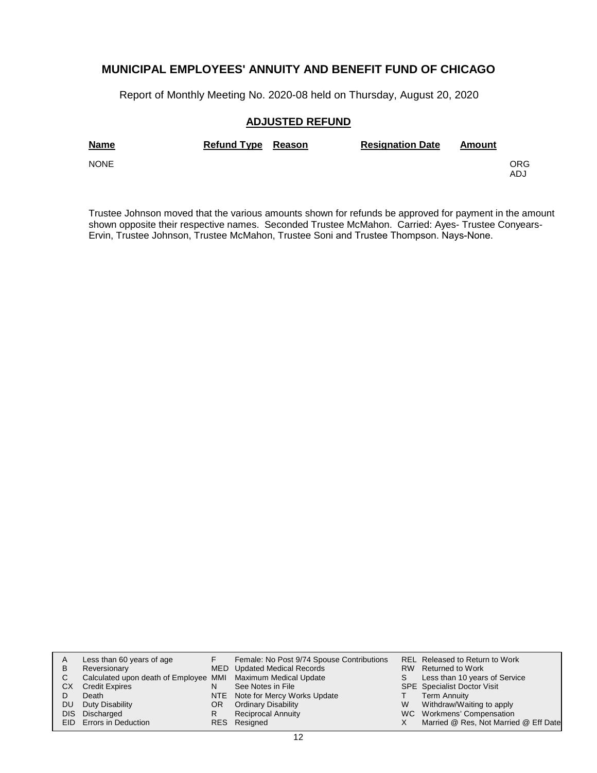Report of Monthly Meeting No. 2020-08 held on Thursday, August 20, 2020

### **ADJUSTED REFUND**

| <b>Name</b> | Refund Type Reason | <b>Resignation Date</b> | Amount |            |
|-------------|--------------------|-------------------------|--------|------------|
| <b>NONE</b> |                    |                         |        | ORG<br>ADJ |

Trustee Johnson moved that the various amounts shown for refunds be approved for payment in the amount shown opposite their respective names. Seconded Trustee McMahon. Carried: Ayes- Trustee Conyears-Ervin, Trustee Johnson, Trustee McMahon, Trustee Soni and Trustee Thompson. Nays-None.

| A   | Less than 60 years of age                                    |    | Female: No Post 9/74 Spouse Contributions |   | REL Released to Return to Work        |
|-----|--------------------------------------------------------------|----|-------------------------------------------|---|---------------------------------------|
| в   | Reversionary                                                 |    | <b>MED</b> Updated Medical Records        |   | RW Returned to Work                   |
| С   | Calculated upon death of Employee MMI Maximum Medical Update |    |                                           |   | Less than 10 years of Service         |
| CХ  | <b>Credit Expires</b>                                        | N  | See Notes in File                         |   | <b>SPE</b> Specialist Doctor Visit    |
|     | Death                                                        |    | NTE Note for Mercy Works Update           |   | Term Annuity                          |
| DU. | Duty Disability                                              | OR | <b>Ordinary Disability</b>                | W | Withdraw/Waiting to apply             |
|     | DIS Discharged                                               | R  | <b>Reciprocal Annuity</b>                 |   | WC Workmens' Compensation             |
|     | <b>EID</b> Errors in Deduction                               |    | RES Resigned                              |   | Married @ Res, Not Married @ Eff Date |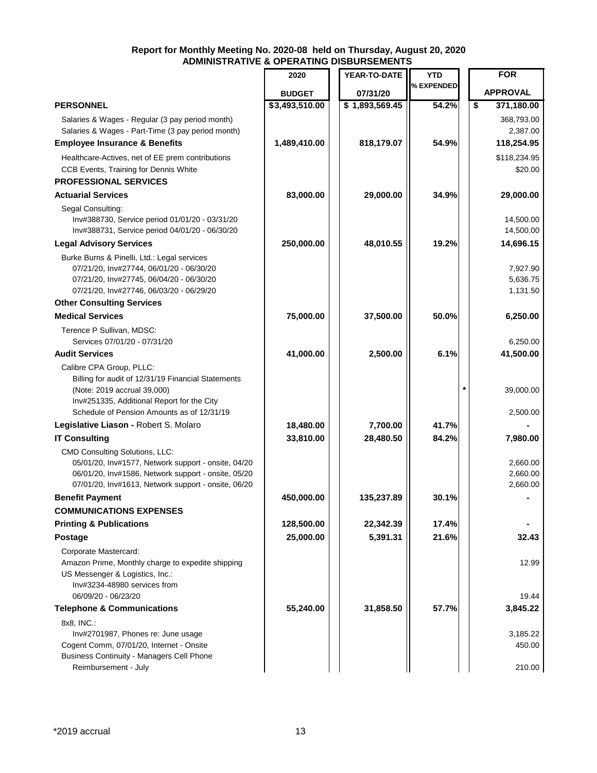|                                                                                                                                                                                                            | 2020           | YEAR-TO-DATE   | <b>YTD</b> | <b>FOR</b>                                         |
|------------------------------------------------------------------------------------------------------------------------------------------------------------------------------------------------------------|----------------|----------------|------------|----------------------------------------------------|
|                                                                                                                                                                                                            | <b>BUDGET</b>  | 07/31/20       | % EXPENDED | <b>APPROVAL</b>                                    |
| <b>PERSONNEL</b>                                                                                                                                                                                           | \$3,493,510.00 | \$1,893,569.45 | 54.2%      | $\overline{\boldsymbol{\mathsf{s}}}$<br>371,180.00 |
| Salaries & Wages - Regular (3 pay period month)<br>Salaries & Wages - Part-Time (3 pay period month)                                                                                                       |                |                |            | 368,793.00<br>2,387.00                             |
| <b>Employee Insurance &amp; Benefits</b>                                                                                                                                                                   | 1,489,410.00   | 818,179.07     | 54.9%      | 118,254.95                                         |
| Healthcare-Actives, net of EE prem contributions<br>CCB Events, Training for Dennis White<br><b>PROFESSIONAL SERVICES</b>                                                                                  |                |                |            | \$118,234.95<br>\$20.00                            |
| <b>Actuarial Services</b>                                                                                                                                                                                  | 83,000.00      | 29,000.00      | 34.9%      | 29,000.00                                          |
| Segal Consulting:<br>Inv#388730, Service period 01/01/20 - 03/31/20<br>Inv#388731, Service period 04/01/20 - 06/30/20                                                                                      |                |                |            | 14,500.00<br>14,500.00                             |
| <b>Legal Advisory Services</b>                                                                                                                                                                             | 250,000.00     | 48,010.55      | 19.2%      | 14,696.15                                          |
| Burke Burns & Pinelli, Ltd.: Legal services<br>07/21/20, Inv#27744, 06/01/20 - 06/30/20<br>07/21/20, Inv#27745, 06/04/20 - 06/30/20<br>07/21/20, Inv#27746, 06/03/20 - 06/29/20                            |                |                |            | 7,927.90<br>5,636.75<br>1,131.50                   |
| <b>Other Consulting Services</b>                                                                                                                                                                           |                |                |            |                                                    |
| <b>Medical Services</b>                                                                                                                                                                                    | 75,000.00      | 37,500.00      | 50.0%      | 6,250.00                                           |
| Terence P Sullivan, MDSC:<br>Services 07/01/20 - 07/31/20                                                                                                                                                  |                |                |            | 6,250.00                                           |
| <b>Audit Services</b>                                                                                                                                                                                      | 41,000.00      | 2,500.00       | 6.1%       | 41,500.00                                          |
| Calibre CPA Group, PLLC:<br>Billing for audit of 12/31/19 Financial Statements<br>(Note: 2019 accrual 39,000)<br>Inv#251335, Additional Report for the City<br>Schedule of Pension Amounts as of 12/31/19  |                |                |            | 39,000.00<br>2,500.00                              |
| Legislative Liason - Robert S. Molaro                                                                                                                                                                      | 18,480.00      | 7,700.00       | 41.7%      |                                                    |
| <b>IT Consulting</b>                                                                                                                                                                                       | 33,810.00      | 28,480.50      | 84.2%      | 7,980.00                                           |
| <b>CMD Consulting Solutions, LLC:</b><br>05/01/20, Inv#1577, Network support - onsite, 04/20<br>06/01/20, Inv#1586, Network support - onsite, 05/20<br>07/01/20, Inv#1613, Network support - onsite, 06/20 |                |                |            | 2,660.00<br>2,660.00<br>2,660.00                   |
| <b>Benefit Payment</b>                                                                                                                                                                                     | 450,000.00     | 135,237.89     | 30.1%      |                                                    |
| <b>COMMUNICATIONS EXPENSES</b>                                                                                                                                                                             |                |                |            |                                                    |
| <b>Printing &amp; Publications</b>                                                                                                                                                                         | 128,500.00     | 22,342.39      | 17.4%      |                                                    |
| <b>Postage</b>                                                                                                                                                                                             | 25,000.00      | 5,391.31       | 21.6%      | 32.43                                              |
| Corporate Mastercard:<br>Amazon Prime, Monthly charge to expedite shipping<br>US Messenger & Logistics, Inc.:<br>Inv#3234-48980 services from<br>06/09/20 - 06/23/20                                       |                |                |            | 12.99<br>19.44                                     |
| <b>Telephone &amp; Communications</b>                                                                                                                                                                      | 55,240.00      | 31,858.50      | 57.7%      | 3,845.22                                           |
| 8x8, INC.:<br>Inv#2701987, Phones re: June usage                                                                                                                                                           |                |                |            | 3,185.22                                           |
| Cogent Comm, 07/01/20, Internet - Onsite<br><b>Business Continuity - Managers Cell Phone</b><br>Reimbursement - July                                                                                       |                |                |            | 450.00<br>210.00                                   |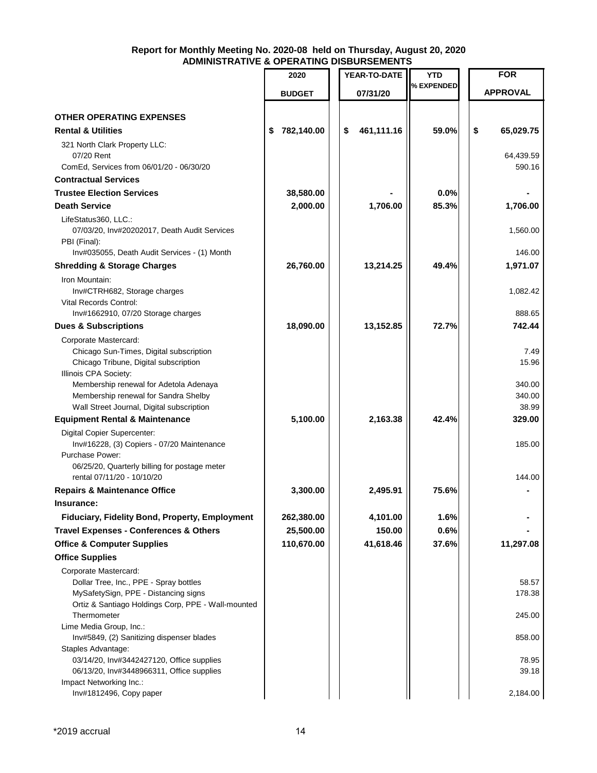|                                                                                            | 2020             | YEAR-TO-DATE     | YTD        | <b>FOR</b>         |
|--------------------------------------------------------------------------------------------|------------------|------------------|------------|--------------------|
|                                                                                            | <b>BUDGET</b>    | 07/31/20         | % EXPENDED | <b>APPROVAL</b>    |
|                                                                                            |                  |                  |            |                    |
| <b>OTHER OPERATING EXPENSES</b>                                                            |                  |                  |            |                    |
| <b>Rental &amp; Utilities</b>                                                              | 782,140.00<br>\$ | 461,111.16<br>\$ | 59.0%      | \$<br>65,029.75    |
| 321 North Clark Property LLC:<br>07/20 Rent                                                |                  |                  |            | 64,439.59          |
| ComEd, Services from 06/01/20 - 06/30/20                                                   |                  |                  |            | 590.16             |
| <b>Contractual Services</b>                                                                |                  |                  |            |                    |
| <b>Trustee Election Services</b>                                                           | 38,580.00        |                  | 0.0%       |                    |
| <b>Death Service</b>                                                                       | 2,000.00         | 1,706.00         | 85.3%      | 1,706.00           |
| LifeStatus360, LLC.:<br>07/03/20, Inv#20202017, Death Audit Services<br>PBI (Final):       |                  |                  |            | 1,560.00<br>146.00 |
| Inv#035055, Death Audit Services - (1) Month                                               |                  |                  |            |                    |
| <b>Shredding &amp; Storage Charges</b><br>Iron Mountain:                                   | 26,760.00        | 13,214.25        | 49.4%      | 1,971.07           |
| Inv#CTRH682, Storage charges                                                               |                  |                  |            | 1,082.42           |
| <b>Vital Records Control:</b>                                                              |                  |                  |            |                    |
| Inv#1662910, 07/20 Storage charges                                                         |                  |                  |            | 888.65             |
| <b>Dues &amp; Subscriptions</b>                                                            | 18,090.00        | 13,152.85        | 72.7%      | 742.44             |
| Corporate Mastercard:                                                                      |                  |                  |            |                    |
| Chicago Sun-Times, Digital subscription                                                    |                  |                  |            | 7.49<br>15.96      |
| Chicago Tribune, Digital subscription<br>Illinois CPA Society:                             |                  |                  |            |                    |
| Membership renewal for Adetola Adenaya                                                     |                  |                  |            | 340.00             |
| Membership renewal for Sandra Shelby                                                       |                  |                  |            | 340.00             |
| Wall Street Journal, Digital subscription                                                  |                  |                  |            | 38.99              |
| <b>Equipment Rental &amp; Maintenance</b>                                                  | 5,100.00         | 2,163.38         | 42.4%      | 329.00             |
| Digital Copier Supercenter:                                                                |                  |                  |            |                    |
| Inv#16228, (3) Copiers - 07/20 Maintenance                                                 |                  |                  |            | 185.00             |
| Purchase Power:                                                                            |                  |                  |            |                    |
| 06/25/20, Quarterly billing for postage meter<br>rental 07/11/20 - 10/10/20                |                  |                  |            | 144.00             |
|                                                                                            |                  | 2,495.91         | 75.6%      |                    |
| <b>Repairs &amp; Maintenance Office</b>                                                    | 3,300.00         |                  |            |                    |
| Insurance:                                                                                 |                  |                  |            |                    |
| Fiduciary, Fidelity Bond, Property, Employment                                             | 262,380.00       | 4,101.00         | 1.6%       |                    |
| <b>Travel Expenses - Conferences &amp; Others</b>                                          | 25,500.00        | 150.00           | 0.6%       |                    |
| <b>Office &amp; Computer Supplies</b>                                                      | 110,670.00       | 41,618.46        | 37.6%      | 11,297.08          |
| <b>Office Supplies</b>                                                                     |                  |                  |            |                    |
| Corporate Mastercard:                                                                      |                  |                  |            |                    |
| Dollar Tree, Inc., PPE - Spray bottles                                                     |                  |                  |            | 58.57              |
| MySafetySign, PPE - Distancing signs<br>Ortiz & Santiago Holdings Corp, PPE - Wall-mounted |                  |                  |            | 178.38             |
| Thermometer                                                                                |                  |                  |            | 245.00             |
| Lime Media Group, Inc.:                                                                    |                  |                  |            |                    |
| Inv#5849, (2) Sanitizing dispenser blades                                                  |                  |                  |            | 858.00             |
| Staples Advantage:                                                                         |                  |                  |            |                    |
| 03/14/20, Inv#3442427120, Office supplies                                                  |                  |                  |            | 78.95              |
| 06/13/20, Inv#3448966311, Office supplies                                                  |                  |                  |            | 39.18              |
| Impact Networking Inc.:<br>Inv#1812496, Copy paper                                         |                  |                  |            | 2,184.00           |
|                                                                                            |                  |                  |            |                    |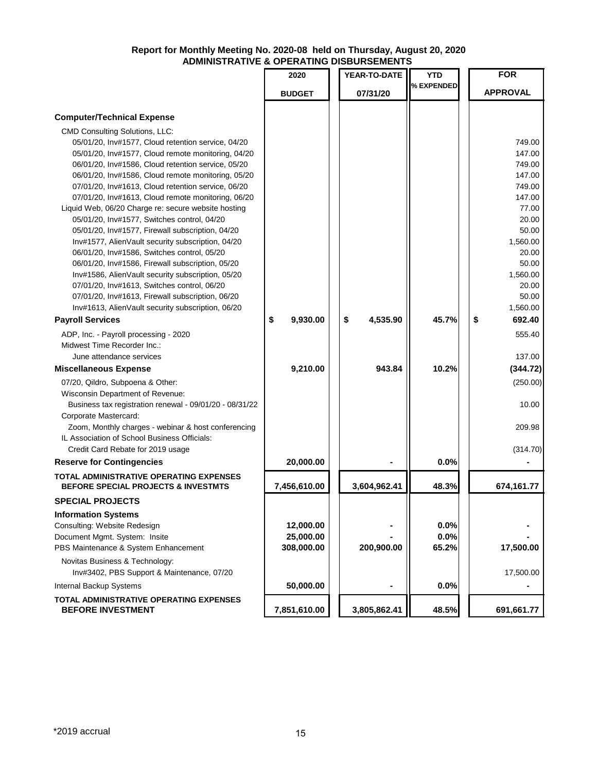|                                                                              | 2020           | YEAR-TO-DATE   | YTD        | <b>FOR</b>      |
|------------------------------------------------------------------------------|----------------|----------------|------------|-----------------|
|                                                                              | <b>BUDGET</b>  | 07/31/20       | % EXPENDED | <b>APPROVAL</b> |
| <b>Computer/Technical Expense</b>                                            |                |                |            |                 |
| <b>CMD Consulting Solutions, LLC:</b>                                        |                |                |            |                 |
| 05/01/20, Inv#1577, Cloud retention service, 04/20                           |                |                |            | 749.00          |
| 05/01/20, Inv#1577, Cloud remote monitoring, 04/20                           |                |                |            | 147.00          |
| 06/01/20, Inv#1586, Cloud retention service, 05/20                           |                |                |            | 749.00          |
| 06/01/20, Inv#1586, Cloud remote monitoring, 05/20                           |                |                |            | 147.00          |
| 07/01/20, Inv#1613, Cloud retention service, 06/20                           |                |                |            | 749.00          |
| 07/01/20, Inv#1613, Cloud remote monitoring, 06/20                           |                |                |            | 147.00          |
| Liquid Web, 06/20 Charge re: secure website hosting                          |                |                |            | 77.00           |
| 05/01/20, Inv#1577, Switches control, 04/20                                  |                |                |            | 20.00           |
| 05/01/20, Inv#1577, Firewall subscription, 04/20                             |                |                |            | 50.00           |
| Inv#1577, AlienVault security subscription, 04/20                            |                |                |            | 1,560.00        |
| 06/01/20, Inv#1586, Switches control, 05/20                                  |                |                |            | 20.00           |
| 06/01/20, Inv#1586, Firewall subscription, 05/20                             |                |                |            | 50.00           |
| Inv#1586, AlienVault security subscription, 05/20                            |                |                |            | 1,560.00        |
| 07/01/20, Inv#1613, Switches control, 06/20                                  |                |                |            | 20.00           |
| 07/01/20, Inv#1613, Firewall subscription, 06/20                             |                |                |            | 50.00           |
| Inv#1613, AlienVault security subscription, 06/20                            |                |                |            | 1,560.00        |
| <b>Payroll Services</b>                                                      | \$<br>9,930.00 | 4,535.90<br>\$ | 45.7%      | \$<br>692.40    |
| ADP, Inc. - Payroll processing - 2020                                        |                |                |            | 555.40          |
| Midwest Time Recorder Inc.:                                                  |                |                |            |                 |
| June attendance services                                                     |                |                |            | 137.00          |
| <b>Miscellaneous Expense</b>                                                 | 9,210.00       | 943.84         | 10.2%      | (344.72)        |
|                                                                              |                |                |            |                 |
| 07/20, Qildro, Subpoena & Other:                                             |                |                |            | (250.00)        |
| Wisconsin Department of Revenue:                                             |                |                |            | 10.00           |
| Business tax registration renewal - 09/01/20 - 08/31/22                      |                |                |            |                 |
| Corporate Mastercard:<br>Zoom, Monthly charges - webinar & host conferencing |                |                |            | 209.98          |
| IL Association of School Business Officials:                                 |                |                |            |                 |
| Credit Card Rebate for 2019 usage                                            |                |                |            | (314.70)        |
| <b>Reserve for Contingencies</b>                                             | 20,000.00      |                | 0.0%       |                 |
| TOTAL ADMINISTRATIVE OPERATING EXPENSES                                      |                |                |            |                 |
| <b>BEFORE SPECIAL PROJECTS &amp; INVESTMTS</b>                               | 7,456,610.00   | 3,604,962.41   | 48.3%      | 674,161.77      |
| <b>SPECIAL PROJECTS</b>                                                      |                |                |            |                 |
| <b>Information Systems</b>                                                   |                |                |            |                 |
| Consulting: Website Redesign                                                 | 12,000.00      |                | 0.0%       |                 |
| Document Mgmt. System: Insite                                                | 25,000.00      |                | 0.0%       |                 |
| PBS Maintenance & System Enhancement                                         | 308,000.00     | 200,900.00     | 65.2%      | 17,500.00       |
| Novitas Business & Technology:                                               |                |                |            |                 |
| Inv#3402, PBS Support & Maintenance, 07/20                                   |                |                |            | 17,500.00       |
| Internal Backup Systems                                                      | 50,000.00      |                | 0.0%       |                 |
| <b>TOTAL ADMINISTRATIVE OPERATING EXPENSES</b><br><b>BEFORE INVESTMENT</b>   | 7,851,610.00   | 3,805,862.41   | 48.5%      | 691,661.77      |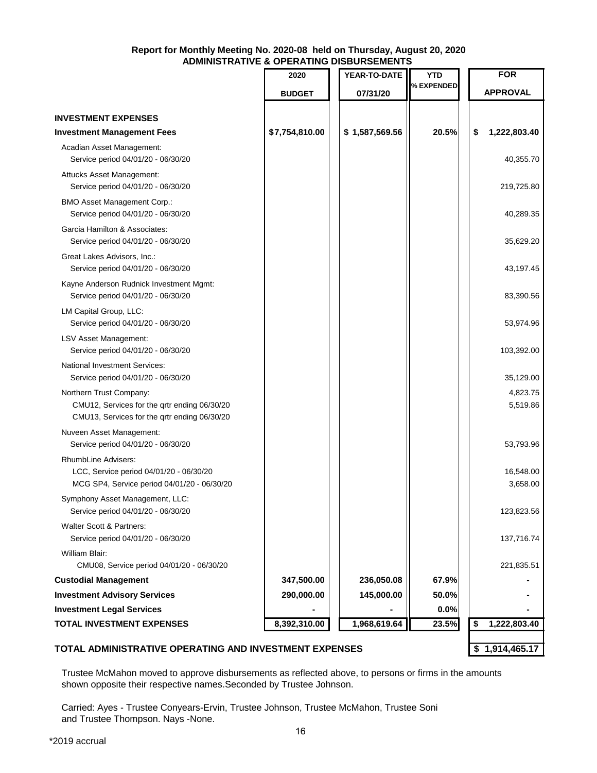|                                                                                                                         | 2020           | YEAR-TO-DATE   | <b>YTD</b> | <b>FOR</b>            |
|-------------------------------------------------------------------------------------------------------------------------|----------------|----------------|------------|-----------------------|
|                                                                                                                         | <b>BUDGET</b>  | 07/31/20       | % EXPENDED | <b>APPROVAL</b>       |
|                                                                                                                         |                |                |            |                       |
| <b>INVESTMENT EXPENSES</b>                                                                                              |                |                |            |                       |
| <b>Investment Management Fees</b>                                                                                       | \$7,754,810.00 | \$1,587,569.56 | 20.5%      | \$<br>1,222,803.40    |
| Acadian Asset Management:<br>Service period 04/01/20 - 06/30/20                                                         |                |                |            | 40,355.70             |
| Attucks Asset Management:<br>Service period 04/01/20 - 06/30/20                                                         |                |                |            | 219,725.80            |
| <b>BMO Asset Management Corp.:</b><br>Service period 04/01/20 - 06/30/20                                                |                |                |            | 40,289.35             |
| Garcia Hamilton & Associates:<br>Service period 04/01/20 - 06/30/20                                                     |                |                |            | 35,629.20             |
| Great Lakes Advisors, Inc.:<br>Service period 04/01/20 - 06/30/20                                                       |                |                |            | 43,197.45             |
| Kayne Anderson Rudnick Investment Mgmt:<br>Service period 04/01/20 - 06/30/20                                           |                |                |            | 83,390.56             |
| LM Capital Group, LLC:<br>Service period 04/01/20 - 06/30/20                                                            |                |                |            | 53,974.96             |
| LSV Asset Management:<br>Service period 04/01/20 - 06/30/20                                                             |                |                |            | 103,392.00            |
| National Investment Services:<br>Service period 04/01/20 - 06/30/20                                                     |                |                |            | 35,129.00             |
| Northern Trust Company:<br>CMU12, Services for the qrtr ending 06/30/20<br>CMU13, Services for the qrtr ending 06/30/20 |                |                |            | 4,823.75<br>5,519.86  |
| Nuveen Asset Management:<br>Service period 04/01/20 - 06/30/20                                                          |                |                |            | 53,793.96             |
| RhumbLine Advisers:<br>LCC, Service period 04/01/20 - 06/30/20<br>MCG SP4, Service period 04/01/20 - 06/30/20           |                |                |            | 16,548.00<br>3,658.00 |
| Symphony Asset Management, LLC:<br>Service period 04/01/20 - 06/30/20                                                   |                |                |            | 123,823.56            |
| Walter Scott & Partners:<br>Service period 04/01/20 - 06/30/20                                                          |                |                |            | 137,716.74            |
| William Blair:                                                                                                          |                |                |            |                       |
| CMU08, Service period 04/01/20 - 06/30/20                                                                               |                |                |            | 221,835.51            |
| <b>Custodial Management</b>                                                                                             | 347,500.00     | 236,050.08     | 67.9%      |                       |
| <b>Investment Advisory Services</b>                                                                                     | 290,000.00     | 145,000.00     | 50.0%      |                       |
| <b>Investment Legal Services</b>                                                                                        |                |                | 0.0%       |                       |
| <b>TOTAL INVESTMENT EXPENSES</b>                                                                                        | 8,392,310.00   | 1,968,619.64   | 23.5%      | \$<br>1,222,803.40    |

### **TOTAL ADMINISTRATIVE OPERATING AND INVESTMENT EXPENSES \$ 1,914,465.17**

Trustee McMahon moved to approve disbursements as reflected above, to persons or firms in the amounts shown opposite their respective names.Seconded by Trustee Johnson.

Carried: Ayes - Trustee Conyears-Ervin, Trustee Johnson, Trustee McMahon, Trustee Soni and Trustee Thompson. Nays -None.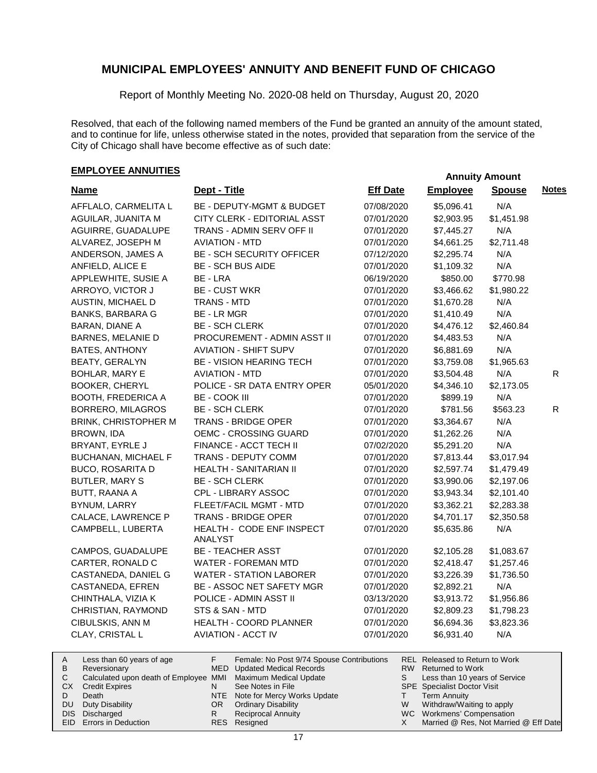Report of Monthly Meeting No. 2020-08 held on Thursday, August 20, 2020

Resolved, that each of the following named members of the Fund be granted an annuity of the amount stated, and to continue for life, unless otherwise stated in the notes, provided that separation from the service of the City of Chicago shall have become effective as of such date:

# **EMPLOYEE ANNUITIES Annuity Amount**

| <b>Name</b>                 | Dept - Title                         | <b>Eff Date</b> | <b>Employee</b> | <b>Spouse</b> | <b>Notes</b> |
|-----------------------------|--------------------------------------|-----------------|-----------------|---------------|--------------|
| AFFLALO, CARMELITA L        | BE - DEPUTY-MGMT & BUDGET            | 07/08/2020      | \$5,096.41      | N/A           |              |
| AGUILAR, JUANITA M          | CITY CLERK - EDITORIAL ASST          | 07/01/2020      | \$2,903.95      | \$1,451.98    |              |
| AGUIRRE, GUADALUPE          | TRANS - ADMIN SERV OFF II            | 07/01/2020      | \$7,445.27      | N/A           |              |
| ALVAREZ, JOSEPH M           | <b>AVIATION - MTD</b>                | 07/01/2020      | \$4,661.25      | \$2,711.48    |              |
| ANDERSON, JAMES A           | <b>BE - SCH SECURITY OFFICER</b>     | 07/12/2020      | \$2,295.74      | N/A           |              |
| ANFIELD, ALICE E            | <b>BE - SCH BUS AIDE</b>             | 07/01/2020      | \$1,109.32      | N/A           |              |
| APPLEWHITE, SUSIE A         | BE - LRA                             | 06/19/2020      | \$850.00        | \$770.98      |              |
| ARROYO, VICTOR J            | <b>BE - CUST WKR</b>                 | 07/01/2020      | \$3,466.62      | \$1,980.22    |              |
| AUSTIN, MICHAEL D           | <b>TRANS - MTD</b>                   | 07/01/2020      | \$1,670.28      | N/A           |              |
| <b>BANKS, BARBARA G</b>     | BE - LR MGR                          | 07/01/2020      | \$1,410.49      | N/A           |              |
| BARAN, DIANE A              | <b>BE - SCH CLERK</b>                | 07/01/2020      | \$4,476.12      | \$2,460.84    |              |
| <b>BARNES, MELANIE D</b>    | PROCUREMENT - ADMIN ASST II          | 07/01/2020      | \$4,483.53      | N/A           |              |
| BATES, ANTHONY              | <b>AVIATION - SHIFT SUPV</b>         | 07/01/2020      | \$6,881.69      | N/A           |              |
| BEATY, GERALYN              | BE - VISION HEARING TECH             | 07/01/2020      | \$3,759.08      | \$1,965.63    |              |
| BOHLAR, MARY E              | <b>AVIATION - MTD</b>                | 07/01/2020      | \$3,504.48      | N/A           | $\mathsf{R}$ |
| <b>BOOKER, CHERYL</b>       | POLICE - SR DATA ENTRY OPER          | 05/01/2020      | \$4,346.10      | \$2,173.05    |              |
| <b>BOOTH, FREDERICA A</b>   | <b>BE - COOK III</b>                 | 07/01/2020      | \$899.19        | N/A           |              |
| BORRERO, MILAGROS           | <b>BE - SCH CLERK</b>                | 07/01/2020      | \$781.56        | \$563.23      | $\mathsf{R}$ |
| <b>BRINK, CHRISTOPHER M</b> | TRANS - BRIDGE OPER                  | 07/01/2020      | \$3,364.67      | N/A           |              |
| BROWN, IDA                  | OEMC - CROSSING GUARD                | 07/01/2020      | \$1,262.26      | N/A           |              |
| BRYANT, EYRLE J             | FINANCE - ACCT TECH II               | 07/02/2020      | \$5,291.20      | N/A           |              |
| <b>BUCHANAN, MICHAEL F</b>  | TRANS - DEPUTY COMM                  | 07/01/2020      | \$7,813.44      | \$3,017.94    |              |
| <b>BUCO, ROSARITA D</b>     | HEALTH - SANITARIAN II               | 07/01/2020      | \$2,597.74      | \$1,479.49    |              |
| <b>BUTLER, MARY S</b>       | <b>BE - SCH CLERK</b>                | 07/01/2020      | \$3,990.06      | \$2,197.06    |              |
| BUTT, RAANA A               | CPL - LIBRARY ASSOC                  | 07/01/2020      | \$3,943.34      | \$2,101.40    |              |
| BYNUM, LARRY                | FLEET/FACIL MGMT - MTD               | 07/01/2020      | \$3,362.21      | \$2,283.38    |              |
| CALACE, LAWRENCE P          | <b>TRANS - BRIDGE OPER</b>           | 07/01/2020      | \$4,701.17      | \$2,350.58    |              |
| CAMPBELL, LUBERTA           | HEALTH - CODE ENF INSPECT<br>ANALYST | 07/01/2020      | \$5,635.86      | N/A           |              |
| CAMPOS, GUADALUPE           | <b>BE - TEACHER ASST</b>             | 07/01/2020      | \$2,105.28      | \$1,083.67    |              |
| CARTER, RONALD C            | <b>WATER - FOREMAN MTD</b>           | 07/01/2020      | \$2,418.47      | \$1,257.46    |              |
| CASTANEDA, DANIEL G         | <b>WATER - STATION LABORER</b>       | 07/01/2020      | \$3,226.39      | \$1,736.50    |              |
| CASTANEDA, EFREN            | BE - ASSOC NET SAFETY MGR            | 07/01/2020      | \$2,892.21      | N/A           |              |
| CHINTHALA, VIZIA K          | POLICE - ADMIN ASST II               | 03/13/2020      | \$3,913.72      | \$1,956.86    |              |
| CHRISTIAN, RAYMOND          | STS & SAN - MTD                      | 07/01/2020      | \$2,809.23      | \$1,798.23    |              |
| CIBULSKIS, ANN M            | HEALTH - COORD PLANNER               | 07/01/2020      | \$6,694.36      | \$3,823.36    |              |
| CLAY, CRISTAL L             | <b>AVIATION - ACCT IV</b>            | 07/01/2020      | \$6,931.40      | N/A           |              |

|           | Less than 60 years of age                                    |    | Female: No Post 9/74 Spouse Contributions |   | REL Released to Return to Work        |
|-----------|--------------------------------------------------------------|----|-------------------------------------------|---|---------------------------------------|
| B         | Reversionary                                                 |    | MED Updated Medical Records               |   | RW Returned to Work                   |
|           | Calculated upon death of Employee MMI Maximum Medical Update |    |                                           |   | Less than 10 years of Service         |
| СX        | <b>Credit Expires</b>                                        | N  | See Notes in File                         |   | <b>SPE</b> Specialist Doctor Visit    |
|           | Death                                                        |    | NTE Note for Mercy Works Update           |   | <b>Term Annuity</b>                   |
| <b>DU</b> | Duty Disability                                              | OR | <b>Ordinary Disability</b>                | W | Withdraw/Waiting to apply             |
|           | DIS Discharged                                               |    | <b>Reciprocal Annuity</b>                 |   | WC Workmens' Compensation             |
|           | EID Errors in Deduction                                      |    | RES Resigned                              |   | Married @ Res, Not Married @ Eff Date |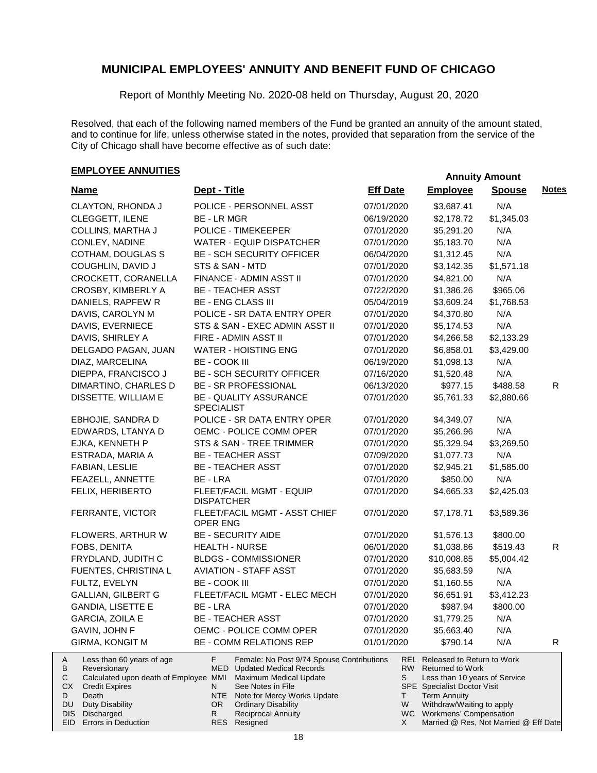Report of Monthly Meeting No. 2020-08 held on Thursday, August 20, 2020

Resolved, that each of the following named members of the Fund be granted an annuity of the amount stated, and to continue for life, unless otherwise stated in the notes, provided that separation from the service of the City of Chicago shall have become effective as of such date:

| <b>Name</b>                                                                                                                                                                                                                              | Dept - Title                                                                                                                                                                                                                                                                               | <b>Eff Date</b>  | <b>Employee</b>                                                                                                                                                                                                                                        | <b>Spouse</b> | <b>Notes</b> |
|------------------------------------------------------------------------------------------------------------------------------------------------------------------------------------------------------------------------------------------|--------------------------------------------------------------------------------------------------------------------------------------------------------------------------------------------------------------------------------------------------------------------------------------------|------------------|--------------------------------------------------------------------------------------------------------------------------------------------------------------------------------------------------------------------------------------------------------|---------------|--------------|
| CLAYTON, RHONDA J                                                                                                                                                                                                                        | POLICE - PERSONNEL ASST                                                                                                                                                                                                                                                                    | 07/01/2020       | \$3,687.41                                                                                                                                                                                                                                             | N/A           |              |
| CLEGGETT, ILENE                                                                                                                                                                                                                          | <b>BE-LRMGR</b>                                                                                                                                                                                                                                                                            | 06/19/2020       | \$2,178.72                                                                                                                                                                                                                                             | \$1,345.03    |              |
| COLLINS, MARTHA J                                                                                                                                                                                                                        | POLICE - TIMEKEEPER                                                                                                                                                                                                                                                                        | 07/01/2020       | \$5,291.20                                                                                                                                                                                                                                             | N/A           |              |
| CONLEY, NADINE                                                                                                                                                                                                                           | WATER - EQUIP DISPATCHER                                                                                                                                                                                                                                                                   | 07/01/2020       | \$5,183.70                                                                                                                                                                                                                                             | N/A           |              |
| COTHAM, DOUGLAS S                                                                                                                                                                                                                        | <b>BE - SCH SECURITY OFFICER</b>                                                                                                                                                                                                                                                           | 06/04/2020       | \$1,312.45                                                                                                                                                                                                                                             | N/A           |              |
| COUGHLIN, DAVID J                                                                                                                                                                                                                        | STS & SAN - MTD                                                                                                                                                                                                                                                                            | 07/01/2020       | \$3,142.35                                                                                                                                                                                                                                             | \$1,571.18    |              |
| CROCKETT, CORANELLA                                                                                                                                                                                                                      | FINANCE - ADMIN ASST II                                                                                                                                                                                                                                                                    | 07/01/2020       | \$4,821.00                                                                                                                                                                                                                                             | N/A           |              |
| CROSBY, KIMBERLY A                                                                                                                                                                                                                       | <b>BE - TEACHER ASST</b>                                                                                                                                                                                                                                                                   | 07/22/2020       | \$1,386.26                                                                                                                                                                                                                                             | \$965.06      |              |
| DANIELS, RAPFEW R                                                                                                                                                                                                                        | <b>BE - ENG CLASS III</b>                                                                                                                                                                                                                                                                  | 05/04/2019       | \$3,609.24                                                                                                                                                                                                                                             | \$1,768.53    |              |
| DAVIS, CAROLYN M                                                                                                                                                                                                                         | POLICE - SR DATA ENTRY OPER                                                                                                                                                                                                                                                                | 07/01/2020       | \$4,370.80                                                                                                                                                                                                                                             | N/A           |              |
| DAVIS, EVERNIECE                                                                                                                                                                                                                         | STS & SAN - EXEC ADMIN ASST II                                                                                                                                                                                                                                                             | 07/01/2020       | \$5,174.53                                                                                                                                                                                                                                             | N/A           |              |
| DAVIS, SHIRLEY A                                                                                                                                                                                                                         | FIRE - ADMIN ASST II                                                                                                                                                                                                                                                                       | 07/01/2020       | \$4,266.58                                                                                                                                                                                                                                             | \$2,133.29    |              |
| DELGADO PAGAN, JUAN                                                                                                                                                                                                                      | <b>WATER - HOISTING ENG</b>                                                                                                                                                                                                                                                                | 07/01/2020       | \$6,858.01                                                                                                                                                                                                                                             | \$3,429.00    |              |
| DIAZ, MARCELINA                                                                                                                                                                                                                          | <b>BE - COOK III</b>                                                                                                                                                                                                                                                                       | 06/19/2020       | \$1,098.13                                                                                                                                                                                                                                             | N/A           |              |
| DIEPPA, FRANCISCO J                                                                                                                                                                                                                      | <b>BE - SCH SECURITY OFFICER</b>                                                                                                                                                                                                                                                           | 07/16/2020       | \$1,520.48                                                                                                                                                                                                                                             | N/A           |              |
| DIMARTINO, CHARLES D                                                                                                                                                                                                                     | BE - SR PROFESSIONAL                                                                                                                                                                                                                                                                       | 06/13/2020       | \$977.15                                                                                                                                                                                                                                               | \$488.58      | R.           |
| DISSETTE, WILLIAM E                                                                                                                                                                                                                      | <b>BE - QUALITY ASSURANCE</b><br><b>SPECIALIST</b>                                                                                                                                                                                                                                         | 07/01/2020       | \$5,761.33                                                                                                                                                                                                                                             | \$2,880.66    |              |
| EBHOJIE, SANDRA D                                                                                                                                                                                                                        | POLICE - SR DATA ENTRY OPER                                                                                                                                                                                                                                                                | 07/01/2020       | \$4,349.07                                                                                                                                                                                                                                             | N/A           |              |
| EDWARDS, LTANYA D                                                                                                                                                                                                                        | OEMC - POLICE COMM OPER                                                                                                                                                                                                                                                                    | 07/01/2020       | \$5,266.96                                                                                                                                                                                                                                             | N/A           |              |
| EJKA, KENNETH P                                                                                                                                                                                                                          | STS & SAN - TREE TRIMMER                                                                                                                                                                                                                                                                   | 07/01/2020       | \$5,329.94                                                                                                                                                                                                                                             | \$3,269.50    |              |
| ESTRADA, MARIA A                                                                                                                                                                                                                         | <b>BE - TEACHER ASST</b>                                                                                                                                                                                                                                                                   | 07/09/2020       | \$1,077.73                                                                                                                                                                                                                                             | N/A           |              |
| FABIAN, LESLIE                                                                                                                                                                                                                           | <b>BE - TEACHER ASST</b>                                                                                                                                                                                                                                                                   | 07/01/2020       | \$2,945.21                                                                                                                                                                                                                                             | \$1,585.00    |              |
| FEAZELL, ANNETTE                                                                                                                                                                                                                         | BE - LRA                                                                                                                                                                                                                                                                                   | 07/01/2020       | \$850.00                                                                                                                                                                                                                                               | N/A           |              |
| FELIX, HERIBERTO                                                                                                                                                                                                                         | FLEET/FACIL MGMT - EQUIP<br><b>DISPATCHER</b>                                                                                                                                                                                                                                              | 07/01/2020       | \$4,665.33                                                                                                                                                                                                                                             | \$2,425.03    |              |
| FERRANTE, VICTOR                                                                                                                                                                                                                         | FLEET/FACIL MGMT - ASST CHIEF<br>OPER ENG                                                                                                                                                                                                                                                  | 07/01/2020       | \$7,178.71                                                                                                                                                                                                                                             | \$3,589.36    |              |
| FLOWERS, ARTHUR W                                                                                                                                                                                                                        | <b>BE - SECURITY AIDE</b>                                                                                                                                                                                                                                                                  | 07/01/2020       | \$1,576.13                                                                                                                                                                                                                                             | \$800.00      |              |
| FOBS, DENITA                                                                                                                                                                                                                             | <b>HEALTH - NURSE</b>                                                                                                                                                                                                                                                                      | 06/01/2020       | \$1,038.86                                                                                                                                                                                                                                             | \$519.43      | $\mathsf{R}$ |
| FRYDLAND, JUDITH C                                                                                                                                                                                                                       | <b>BLDGS - COMMISSIONER</b>                                                                                                                                                                                                                                                                | 07/01/2020       | \$10,008.85                                                                                                                                                                                                                                            | \$5,004.42    |              |
| FUENTES, CHRISTINA L                                                                                                                                                                                                                     | <b>AVIATION - STAFF ASST</b>                                                                                                                                                                                                                                                               | 07/01/2020       | \$5,683.59                                                                                                                                                                                                                                             | N/A           |              |
| FULTZ, EVELYN                                                                                                                                                                                                                            | <b>BE - COOK III</b>                                                                                                                                                                                                                                                                       | 07/01/2020       | \$1,160.55                                                                                                                                                                                                                                             | N/A           |              |
| <b>GALLIAN, GILBERT G</b>                                                                                                                                                                                                                | FLEET/FACIL MGMT - ELEC MECH                                                                                                                                                                                                                                                               | 07/01/2020       | \$6,651.91                                                                                                                                                                                                                                             | \$3,412.23    |              |
| <b>GANDIA, LISETTE E</b>                                                                                                                                                                                                                 | BE - LRA                                                                                                                                                                                                                                                                                   | 07/01/2020       | \$987.94                                                                                                                                                                                                                                               | \$800.00      |              |
| GARCIA, ZOILA E                                                                                                                                                                                                                          | <b>BE - TEACHER ASST</b>                                                                                                                                                                                                                                                                   | 07/01/2020       | \$1,779.25                                                                                                                                                                                                                                             | N/A           |              |
| <b>GAVIN, JOHN F</b>                                                                                                                                                                                                                     | OEMC - POLICE COMM OPER                                                                                                                                                                                                                                                                    | 07/01/2020       | \$5,663.40                                                                                                                                                                                                                                             | N/A           |              |
| <b>GIRMA, KONGIT M</b>                                                                                                                                                                                                                   | BE - COMM RELATIONS REP                                                                                                                                                                                                                                                                    | 01/01/2020       | \$790.14                                                                                                                                                                                                                                               | N/A           | R.           |
| Less than 60 years of age<br>A<br>В<br>Reversionary<br>Calculated upon death of Employee MMI<br>С<br>СX<br><b>Credit Expires</b><br>Death<br>D<br>Duty Disability<br>DU<br>Discharged<br><b>DIS</b><br><b>Errors in Deduction</b><br>EID | F.<br>Female: No Post 9/74 Spouse Contributions<br>MED<br><b>Updated Medical Records</b><br>Maximum Medical Update<br>N<br>See Notes in File<br><b>NTE</b><br>Note for Mercy Works Update<br><b>Ordinary Disability</b><br>OR.<br><b>Reciprocal Annuity</b><br>R<br><b>RES</b><br>Resigned | S<br>T<br>W<br>X | REL Released to Return to Work<br>RW Returned to Work<br>Less than 10 years of Service<br><b>SPE</b> Specialist Doctor Visit<br><b>Term Annuity</b><br>Withdraw/Waiting to apply<br>WC Workmens' Compensation<br>Married @ Res, Not Married @ Eff Date |               |              |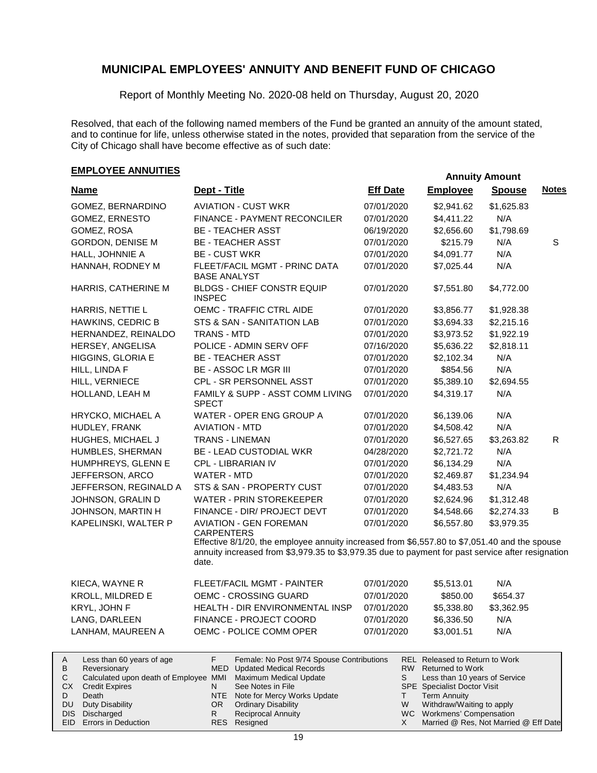Report of Monthly Meeting No. 2020-08 held on Thursday, August 20, 2020

Resolved, that each of the following named members of the Fund be granted an annuity of the amount stated, and to continue for life, unless otherwise stated in the notes, provided that separation from the service of the City of Chicago shall have become effective as of such date:

# **EMPLOYEE ANNUITIES Annuity Amount**

| <b>Name</b>                                         | Dept - Title                                                                                                                                                                                                | <b>Eff Date</b> | <b>Employee</b>                                           | <b>Spouse</b> | <b>Notes</b> |
|-----------------------------------------------------|-------------------------------------------------------------------------------------------------------------------------------------------------------------------------------------------------------------|-----------------|-----------------------------------------------------------|---------------|--------------|
| GOMEZ, BERNARDINO                                   | <b>AVIATION - CUST WKR</b>                                                                                                                                                                                  | 07/01/2020      | \$2,941.62                                                | \$1,625.83    |              |
| GOMEZ, ERNESTO                                      | FINANCE - PAYMENT RECONCILER                                                                                                                                                                                | 07/01/2020      | \$4,411.22                                                | N/A           |              |
| GOMEZ, ROSA                                         | <b>BE - TEACHER ASST</b>                                                                                                                                                                                    | 06/19/2020      | \$2,656.60                                                | \$1,798.69    |              |
| <b>GORDON, DENISE M</b>                             | <b>BE - TEACHER ASST</b>                                                                                                                                                                                    | 07/01/2020      | \$215.79                                                  | N/A           | S            |
| HALL, JOHNNIE A                                     | <b>BE - CUST WKR</b>                                                                                                                                                                                        | 07/01/2020      | \$4,091.77                                                | N/A           |              |
| HANNAH, RODNEY M                                    | FLEET/FACIL MGMT - PRINC DATA<br><b>BASE ANALYST</b>                                                                                                                                                        | 07/01/2020      | \$7,025.44                                                | N/A           |              |
| HARRIS, CATHERINE M                                 | <b>BLDGS - CHIEF CONSTR EQUIP</b><br><b>INSPEC</b>                                                                                                                                                          | 07/01/2020      | \$7,551.80                                                | \$4,772.00    |              |
| HARRIS, NETTIE L                                    | OEMC - TRAFFIC CTRL AIDE                                                                                                                                                                                    | 07/01/2020      | \$3,856.77                                                | \$1,928.38    |              |
| HAWKINS, CEDRIC B                                   | STS & SAN - SANITATION LAB                                                                                                                                                                                  | 07/01/2020      | \$3,694.33                                                | \$2,215.16    |              |
| HERNANDEZ, REINALDO                                 | <b>TRANS - MTD</b>                                                                                                                                                                                          | 07/01/2020      | \$3,973.52                                                | \$1,922.19    |              |
| HERSEY, ANGELISA                                    | POLICE - ADMIN SERV OFF                                                                                                                                                                                     | 07/16/2020      | \$5,636.22                                                | \$2,818.11    |              |
| HIGGINS, GLORIA E                                   | <b>BE - TEACHER ASST</b>                                                                                                                                                                                    | 07/01/2020      | \$2,102.34                                                | N/A           |              |
| HILL, LINDA F                                       | <b>BE - ASSOC LR MGR III</b>                                                                                                                                                                                | 07/01/2020      | \$854.56                                                  | N/A           |              |
| HILL, VERNIECE                                      | CPL - SR PERSONNEL ASST                                                                                                                                                                                     | 07/01/2020      | \$5,389.10                                                | \$2,694.55    |              |
| HOLLAND, LEAH M                                     | FAMILY & SUPP - ASST COMM LIVING<br>SPECT                                                                                                                                                                   | 07/01/2020      | \$4,319.17                                                | N/A           |              |
| HRYCKO, MICHAEL A                                   | WATER - OPER ENG GROUP A                                                                                                                                                                                    | 07/01/2020      | \$6,139.06                                                | N/A           |              |
| HUDLEY, FRANK                                       | <b>AVIATION - MTD</b>                                                                                                                                                                                       | 07/01/2020      | \$4,508.42                                                | N/A           |              |
| HUGHES, MICHAEL J                                   | <b>TRANS - LINEMAN</b>                                                                                                                                                                                      | 07/01/2020      | \$6,527.65                                                | \$3,263.82    | R.           |
| HUMBLES, SHERMAN                                    | <b>BE - LEAD CUSTODIAL WKR</b>                                                                                                                                                                              | 04/28/2020      | \$2,721.72                                                | N/A           |              |
| HUMPHREYS, GLENN E                                  | CPL - LIBRARIAN IV                                                                                                                                                                                          | 07/01/2020      | \$6,134.29                                                | N/A           |              |
| JEFFERSON, ARCO                                     | WATER - MTD                                                                                                                                                                                                 | 07/01/2020      | \$2,469.87                                                | \$1,234.94    |              |
| JEFFERSON, REGINALD A                               | STS & SAN - PROPERTY CUST                                                                                                                                                                                   | 07/01/2020      | \$4,483.53                                                | N/A           |              |
| JOHNSON, GRALIN D                                   | WATER - PRIN STOREKEEPER                                                                                                                                                                                    | 07/01/2020      | \$2,624.96                                                | \$1,312.48    |              |
| JOHNSON, MARTIN H                                   | FINANCE - DIR/ PROJECT DEVT                                                                                                                                                                                 | 07/01/2020      | \$4,548.66                                                | \$2,274.33    | B            |
| KAPELINSKI, WALTER P                                | <b>AVIATION - GEN FOREMAN</b><br><b>CARPENTERS</b>                                                                                                                                                          | 07/01/2020      | \$6,557.80                                                | \$3,979.35    |              |
|                                                     | Effective 8/1/20, the employee annuity increased from \$6,557.80 to \$7,051.40 and the spouse<br>annuity increased from \$3,979.35 to \$3,979.35 due to payment for past service after resignation<br>date. |                 |                                                           |               |              |
| KIECA, WAYNE R                                      | FLEET/FACIL MGMT - PAINTER                                                                                                                                                                                  | 07/01/2020      | \$5,513.01                                                | N/A           |              |
| KROLL, MILDRED E                                    | OEMC - CROSSING GUARD                                                                                                                                                                                       | 07/01/2020      | \$850.00                                                  | \$654.37      |              |
| KRYL, JOHN F                                        | HEALTH - DIR ENVIRONMENTAL INSP                                                                                                                                                                             | 07/01/2020      | \$5,338.80                                                | \$3,362.95    |              |
| LANG, DARLEEN                                       | FINANCE - PROJECT COORD                                                                                                                                                                                     | 07/01/2020      | \$6,336.50                                                | N/A           |              |
| LANHAM, MAUREEN A                                   | OEMC - POLICE COMM OPER                                                                                                                                                                                     | 07/01/2020      | \$3,001.51                                                | N/A           |              |
| Α<br>Less than 60 years of age<br>B<br>Reversionary | F.<br>Female: No Post 9/74 Spouse Contributions<br><b>MED</b> Updated Medical Records                                                                                                                       | RW              | <b>REL Released to Return to Work</b><br>Returned to Work |               |              |

| B | Reversionary                                                 | MED Updated Medical Records     |   | RW Returned to Work                   |
|---|--------------------------------------------------------------|---------------------------------|---|---------------------------------------|
|   | Calculated upon death of Employee MMI Maximum Medical Update |                                 |   | Less than 10 years of Service         |
|   | <b>CX</b> Credit Expires                                     | See Notes in File               |   | <b>SPE</b> Specialist Doctor Visit    |
|   | Death                                                        | NTE Note for Mercy Works Update |   | <b>Term Annuity</b>                   |
|   | DU Duty Disability                                           | OR Ordinary Disability          | W | Withdraw/Waiting to apply             |
|   | DIS Discharged                                               | <b>Reciprocal Annuity</b>       |   | WC Workmens' Compensation             |
|   | EID Errors in Deduction                                      | RES Resigned                    |   | Married @ Res, Not Married @ Eff Date |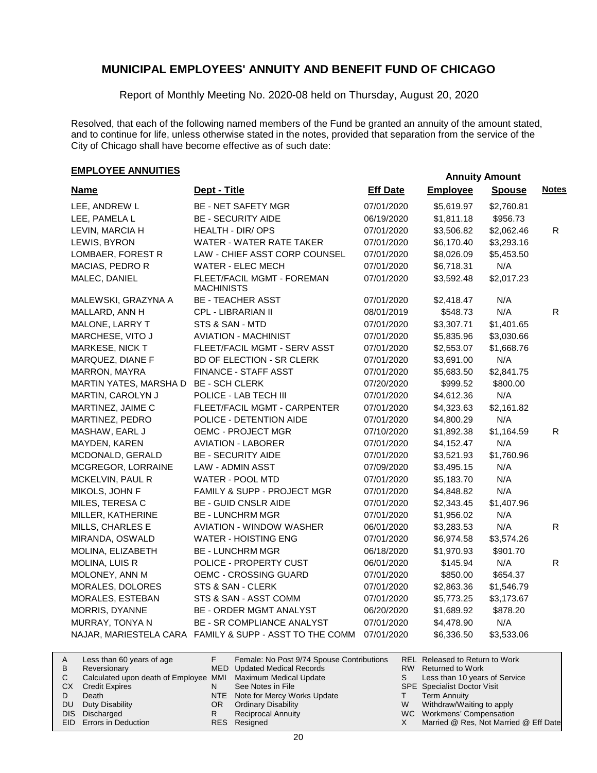Report of Monthly Meeting No. 2020-08 held on Thursday, August 20, 2020

Resolved, that each of the following named members of the Fund be granted an annuity of the amount stated, and to continue for life, unless otherwise stated in the notes, provided that separation from the service of the City of Chicago shall have become effective as of such date:

| <b>Name</b>            | Dept - Title                                            | <b>Eff Date</b> | <b>Employee</b> | <b>Spouse</b> | <b>Notes</b> |
|------------------------|---------------------------------------------------------|-----------------|-----------------|---------------|--------------|
| LEE, ANDREW L          | BE - NET SAFETY MGR                                     | 07/01/2020      | \$5,619.97      | \$2,760.81    |              |
| LEE, PAMELA L          | <b>BE - SECURITY AIDE</b>                               | 06/19/2020      | \$1,811.18      | \$956.73      |              |
| LEVIN, MARCIA H        | <b>HEALTH - DIR/OPS</b>                                 | 07/01/2020      | \$3,506.82      | \$2,062.46    | R.           |
| LEWIS, BYRON           | WATER - WATER RATE TAKER                                | 07/01/2020      | \$6,170.40      | \$3,293.16    |              |
| LOMBAER, FOREST R      | LAW - CHIEF ASST CORP COUNSEL                           | 07/01/2020      | \$8,026.09      | \$5,453.50    |              |
| MACIAS, PEDRO R        | WATER - ELEC MECH                                       | 07/01/2020      | \$6,718.31      | N/A           |              |
| MALEC, DANIEL          | FLEET/FACIL MGMT - FOREMAN<br>MACHINISTS                | 07/01/2020      | \$3,592.48      | \$2,017.23    |              |
| MALEWSKI, GRAZYNA A    | <b>BE - TEACHER ASST</b>                                | 07/01/2020      | \$2,418.47      | N/A           |              |
| MALLARD, ANN H         | CPL - LIBRARIAN II                                      | 08/01/2019      | \$548.73        | N/A           | $\mathsf{R}$ |
| MALONE, LARRY T        | STS & SAN - MTD                                         | 07/01/2020      | \$3,307.71      | \$1,401.65    |              |
| MARCHESE, VITO J       | <b>AVIATION - MACHINIST</b>                             | 07/01/2020      | \$5,835.96      | \$3,030.66    |              |
| MARKESE, NICK T        | FLEET/FACIL MGMT - SERV ASST                            | 07/01/2020      | \$2,553.07      | \$1,668.76    |              |
| MARQUEZ, DIANE F       | BD OF ELECTION - SR CLERK                               | 07/01/2020      | \$3,691.00      | N/A           |              |
| MARRON, MAYRA          | FINANCE - STAFF ASST                                    | 07/01/2020      | \$5,683.50      | \$2,841.75    |              |
| MARTIN YATES, MARSHA D | <b>BE - SCH CLERK</b>                                   | 07/20/2020      | \$999.52        | \$800.00      |              |
| MARTIN, CAROLYN J      | POLICE - LAB TECH III                                   | 07/01/2020      | \$4,612.36      | N/A           |              |
| MARTINEZ, JAIME C      | FLEET/FACIL MGMT - CARPENTER                            | 07/01/2020      | \$4,323.63      | \$2,161.82    |              |
| MARTINEZ, PEDRO        | POLICE - DETENTION AIDE                                 | 07/01/2020      | \$4,800.29      | N/A           |              |
| MASHAW, EARL J         | <b>OEMC - PROJECT MGR</b>                               | 07/10/2020      | \$1,892.38      | \$1,164.59    | R            |
| MAYDEN, KAREN          | <b>AVIATION - LABORER</b>                               | 07/01/2020      | \$4,152.47      | N/A           |              |
| MCDONALD, GERALD       | <b>BE - SECURITY AIDE</b>                               | 07/01/2020      | \$3,521.93      | \$1,760.96    |              |
| MCGREGOR, LORRAINE     | LAW - ADMIN ASST                                        | 07/09/2020      | \$3,495.15      | N/A           |              |
| MCKELVIN, PAUL R       | WATER - POOL MTD                                        | 07/01/2020      | \$5,183.70      | N/A           |              |
| MIKOLS, JOHN F         | FAMILY & SUPP - PROJECT MGR                             | 07/01/2020      | \$4,848.82      | N/A           |              |
| MILES, TERESA C        | <b>BE - GUID CNSLR AIDE</b>                             | 07/01/2020      | \$2,343.45      | \$1,407.96    |              |
| MILLER, KATHERINE      | <b>BE - LUNCHRM MGR</b>                                 | 07/01/2020      | \$1,956.02      | N/A           |              |
| MILLS, CHARLES E       | <b>AVIATION - WINDOW WASHER</b>                         | 06/01/2020      | \$3,283.53      | N/A           | R.           |
| MIRANDA, OSWALD        | WATER - HOISTING ENG                                    | 07/01/2020      | \$6,974.58      | \$3,574.26    |              |
| MOLINA, ELIZABETH      | <b>BE - LUNCHRM MGR</b>                                 | 06/18/2020      | \$1,970.93      | \$901.70      |              |
| MOLINA, LUIS R         | POLICE - PROPERTY CUST                                  | 06/01/2020      | \$145.94        | N/A           | R            |
| MOLONEY, ANN M         | OEMC - CROSSING GUARD                                   | 07/01/2020      | \$850.00        | \$654.37      |              |
| MORALES, DOLORES       | STS & SAN - CLERK                                       | 07/01/2020      | \$2,863.36      | \$1,546.79    |              |
| MORALES, ESTEBAN       | STS & SAN - ASST COMM                                   | 07/01/2020      | \$5,773.25      | \$3,173.67    |              |
| MORRIS, DYANNE         | BE - ORDER MGMT ANALYST                                 | 06/20/2020      | \$1,689.92      | \$878.20      |              |
| MURRAY, TONYA N        | BE - SR COMPLIANCE ANALYST                              | 07/01/2020      | \$4,478.90      | N/A           |              |
|                        | NAJAR, MARIESTELA CARA FAMILY & SUPP - ASST TO THE COMM | 07/01/2020      | \$6,336.50      | \$3,533.06    |              |

| A   | Less than 60 years of age                                    |     | Female: No Post 9/74 Spouse Contributions |   | REL Released to Return to Work        |
|-----|--------------------------------------------------------------|-----|-------------------------------------------|---|---------------------------------------|
| B   | Reversionary                                                 |     | MED Updated Medical Records               |   | RW Returned to Work                   |
|     | Calculated upon death of Employee MMI Maximum Medical Update |     |                                           |   | Less than 10 years of Service         |
|     | <b>CX</b> Credit Expires                                     |     | See Notes in File                         |   | <b>SPE</b> Specialist Doctor Visit    |
|     | Death                                                        |     | NTE Note for Mercy Works Update           |   | <b>Term Annuity</b>                   |
| DU. | Duty Disability                                              | OR. | <b>Ordinary Disability</b>                | W | Withdraw/Waiting to apply             |
|     | DIS Discharged                                               |     | Reciprocal Annuity                        |   | WC Workmens' Compensation             |
|     | EID Errors in Deduction                                      |     | RES Resigned                              |   | Married @ Res, Not Married @ Eff Date |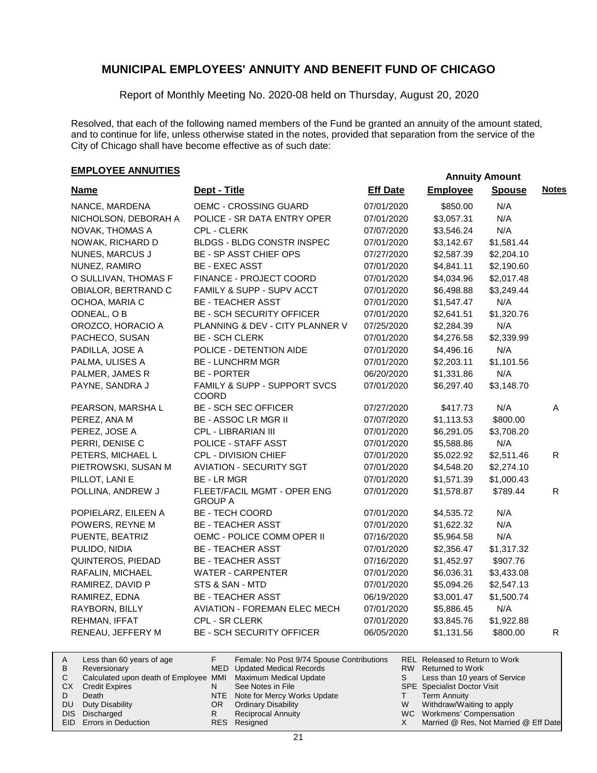Report of Monthly Meeting No. 2020-08 held on Thursday, August 20, 2020

Resolved, that each of the following named members of the Fund be granted an annuity of the amount stated, and to continue for life, unless otherwise stated in the notes, provided that separation from the service of the City of Chicago shall have become effective as of such date:

| <b>Name</b>            | Dept - Title                                  | <b>Eff Date</b> | <b>Employee</b> | <b>Spouse</b> | <b>Notes</b> |
|------------------------|-----------------------------------------------|-----------------|-----------------|---------------|--------------|
| NANCE, MARDENA         | OEMC - CROSSING GUARD                         | 07/01/2020      | \$850.00        | N/A           |              |
| NICHOLSON, DEBORAH A   | POLICE - SR DATA ENTRY OPER                   | 07/01/2020      | \$3,057.31      | N/A           |              |
| NOVAK, THOMAS A        | CPL - CLERK                                   | 07/07/2020      | \$3,546.24      | N/A           |              |
| NOWAK, RICHARD D       | BLDGS - BLDG CONSTR INSPEC                    | 07/01/2020      | \$3,142.67      | \$1,581.44    |              |
| <b>NUNES, MARCUS J</b> | BE - SP ASST CHIEF OPS                        | 07/27/2020      | \$2,587.39      | \$2,204.10    |              |
| NUNEZ, RAMIRO          | <b>BE - EXEC ASST</b>                         | 07/01/2020      | \$4,841.11      | \$2,190.60    |              |
| O SULLIVAN, THOMAS F   | FINANCE - PROJECT COORD                       | 07/01/2020      | \$4,034.96      | \$2,017.48    |              |
| OBIALOR, BERTRAND C    | FAMILY & SUPP - SUPV ACCT                     | 07/01/2020      | \$6,498.88      | \$3,249.44    |              |
| OCHOA, MARIA C         | <b>BE - TEACHER ASST</b>                      | 07/01/2020      | \$1,547.47      | N/A           |              |
| ODNEAL, OB             | <b>BE - SCH SECURITY OFFICER</b>              | 07/01/2020      | \$2,641.51      | \$1,320.76    |              |
| OROZCO, HORACIO A      | PLANNING & DEV - CITY PLANNER V               | 07/25/2020      | \$2,284.39      | N/A           |              |
| PACHECO, SUSAN         | <b>BE - SCH CLERK</b>                         | 07/01/2020      | \$4,276.58      | \$2,339.99    |              |
| PADILLA, JOSE A        | POLICE - DETENTION AIDE                       | 07/01/2020      | \$4,496.16      | N/A           |              |
| PALMA, ULISES A        | <b>BE - LUNCHRM MGR</b>                       | 07/01/2020      | \$2,203.11      | \$1,101.56    |              |
| PALMER, JAMES R        | <b>BE - PORTER</b>                            | 06/20/2020      | \$1,331.86      | N/A           |              |
| PAYNE, SANDRA J        | FAMILY & SUPP - SUPPORT SVCS<br>COORD         | 07/01/2020      | \$6,297.40      | \$3,148.70    |              |
| PEARSON, MARSHA L      | <b>BE - SCH SEC OFFICER</b>                   | 07/27/2020      | \$417.73        | N/A           | A            |
| PEREZ, ANA M           | <b>BE - ASSOC LR MGR II</b>                   | 07/07/2020      | \$1,113.53      | \$800.00      |              |
| PEREZ, JOSE A          | CPL - LIBRARIAN III                           | 07/01/2020      | \$6,291.05      | \$3,708.20    |              |
| PERRI, DENISE C        | POLICE - STAFF ASST                           | 07/01/2020      | \$5,588.86      | N/A           |              |
| PETERS, MICHAEL L      | CPL - DIVISION CHIEF                          | 07/01/2020      | \$5,022.92      | \$2,511.46    | R            |
| PIETROWSKI, SUSAN M    | <b>AVIATION - SECURITY SGT</b>                | 07/01/2020      | \$4,548.20      | \$2,274.10    |              |
| PILLOT, LANI E         | <b>BE-LRMGR</b>                               | 07/01/2020      | \$1,571.39      | \$1,000.43    |              |
| POLLINA, ANDREW J      | FLEET/FACIL MGMT - OPER ENG<br><b>GROUP A</b> | 07/01/2020      | \$1,578.87      | \$789.44      | R            |
| POPIELARZ, EILEEN A    | <b>BE - TECH COORD</b>                        | 07/01/2020      | \$4,535.72      | N/A           |              |
| POWERS, REYNE M        | <b>BE - TEACHER ASST</b>                      | 07/01/2020      | \$1,622.32      | N/A           |              |
| PUENTE, BEATRIZ        | OEMC - POLICE COMM OPER II                    | 07/16/2020      | \$5,964.58      | N/A           |              |
| PULIDO, NIDIA          | <b>BE - TEACHER ASST</b>                      | 07/01/2020      | \$2,356.47      | \$1,317.32    |              |
| QUINTEROS, PIEDAD      | <b>BE - TEACHER ASST</b>                      | 07/16/2020      | \$1,452.97      | \$907.76      |              |
| RAFALIN, MICHAEL       | <b>WATER - CARPENTER</b>                      | 07/01/2020      | \$6,036.31      | \$3,433.08    |              |
| RAMIREZ, DAVID P       | STS & SAN - MTD                               | 07/01/2020      | \$5,094.26      | \$2,547.13    |              |
| RAMIREZ, EDNA          | <b>BE - TEACHER ASST</b>                      | 06/19/2020      | \$3,001.47      | \$1,500.74    |              |
| RAYBORN, BILLY         | <b>AVIATION - FOREMAN ELEC MECH</b>           | 07/01/2020      | \$5,886.45      | N/A           |              |
| REHMAN, IFFAT          | CPL - SR CLERK                                | 07/01/2020      | \$3,845.76      | \$1,922.88    |              |
| RENEAU, JEFFERY M      | <b>BE - SCH SECURITY OFFICER</b>              | 06/05/2020      | \$1,131.56      | \$800.00      | R.           |

| A   | Less than 60 years of age                                    |     | Female: No Post 9/74 Spouse Contributions |   | REL Released to Return to Work        |
|-----|--------------------------------------------------------------|-----|-------------------------------------------|---|---------------------------------------|
| B   | Reversionary                                                 |     | MED Updated Medical Records               |   | RW Returned to Work                   |
|     | Calculated upon death of Employee MMI Maximum Medical Update |     |                                           |   | Less than 10 years of Service         |
| CX. | <b>Credit Expires</b>                                        |     | See Notes in File                         |   | <b>SPE</b> Specialist Doctor Visit    |
|     | Death                                                        |     | NTE Note for Mercy Works Update           |   | Term Annuity                          |
| DU. | Duty Disability                                              | OR. | <b>Ordinary Disability</b>                | W | Withdraw/Waiting to apply             |
|     | DIS Discharged                                               |     | <b>Reciprocal Annuity</b>                 |   | WC Workmens' Compensation             |
|     | EID Errors in Deduction                                      |     | RES Resigned                              |   | Married @ Res, Not Married @ Eff Date |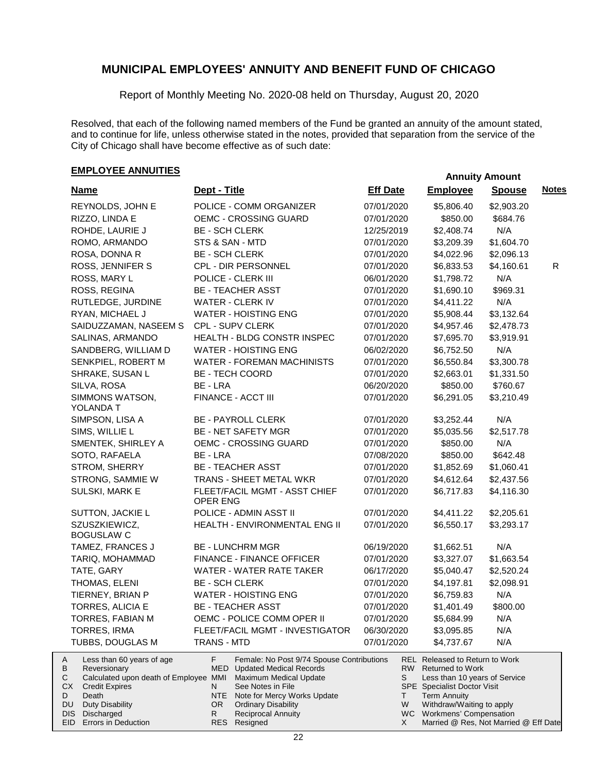Report of Monthly Meeting No. 2020-08 held on Thursday, August 20, 2020

Resolved, that each of the following named members of the Fund be granted an annuity of the amount stated, and to continue for life, unless otherwise stated in the notes, provided that separation from the service of the City of Chicago shall have become effective as of such date:

| <b>Name</b>                                                                                       | Dept - Title                                                                                                   | <b>Eff Date</b> | <b>Employee</b>                                                                               | <b>Spouse</b> | <b>Notes</b> |
|---------------------------------------------------------------------------------------------------|----------------------------------------------------------------------------------------------------------------|-----------------|-----------------------------------------------------------------------------------------------|---------------|--------------|
| REYNOLDS, JOHN E                                                                                  | POLICE - COMM ORGANIZER                                                                                        | 07/01/2020      | \$5,806.40                                                                                    | \$2,903.20    |              |
| RIZZO, LINDA E                                                                                    | OEMC - CROSSING GUARD                                                                                          | 07/01/2020      | \$850.00                                                                                      | \$684.76      |              |
| ROHDE, LAURIE J                                                                                   | <b>BE - SCH CLERK</b>                                                                                          | 12/25/2019      | \$2,408.74                                                                                    | N/A           |              |
| ROMO, ARMANDO                                                                                     | STS & SAN - MTD                                                                                                | 07/01/2020      | \$3,209.39                                                                                    | \$1,604.70    |              |
| ROSA, DONNA R                                                                                     | <b>BE - SCH CLERK</b>                                                                                          | 07/01/2020      | \$4,022.96                                                                                    | \$2,096.13    |              |
| ROSS, JENNIFER S                                                                                  | CPL - DIR PERSONNEL                                                                                            | 07/01/2020      | \$6,833.53                                                                                    | \$4,160.61    | R            |
| ROSS, MARY L                                                                                      | POLICE - CLERK III                                                                                             | 06/01/2020      | \$1,798.72                                                                                    | N/A           |              |
| ROSS, REGINA                                                                                      | <b>BE - TEACHER ASST</b>                                                                                       | 07/01/2020      | \$1,690.10                                                                                    | \$969.31      |              |
| RUTLEDGE, JURDINE                                                                                 | <b>WATER - CLERK IV</b>                                                                                        | 07/01/2020      | \$4,411.22                                                                                    | N/A           |              |
| RYAN, MICHAEL J                                                                                   | <b>WATER - HOISTING ENG</b>                                                                                    | 07/01/2020      | \$5,908.44                                                                                    | \$3,132.64    |              |
| SAIDUZZAMAN, NASEEM S                                                                             | CPL - SUPV CLERK                                                                                               | 07/01/2020      | \$4,957.46                                                                                    | \$2,478.73    |              |
| SALINAS, ARMANDO                                                                                  | HEALTH - BLDG CONSTR INSPEC                                                                                    | 07/01/2020      | \$7,695.70                                                                                    | \$3,919.91    |              |
| SANDBERG, WILLIAM D                                                                               | <b>WATER - HOISTING ENG</b>                                                                                    | 06/02/2020      | \$6,752.50                                                                                    | N/A           |              |
| SENKPIEL, ROBERT M                                                                                | <b>WATER - FOREMAN MACHINISTS</b>                                                                              | 07/01/2020      | \$6,550.84                                                                                    | \$3,300.78    |              |
| SHRAKE, SUSAN L                                                                                   | <b>BE - TECH COORD</b>                                                                                         | 07/01/2020      | \$2,663.01                                                                                    | \$1,331.50    |              |
| SILVA, ROSA                                                                                       | BE - LRA                                                                                                       | 06/20/2020      | \$850.00                                                                                      | \$760.67      |              |
| SIMMONS WATSON,                                                                                   | FINANCE - ACCT III                                                                                             | 07/01/2020      | \$6,291.05                                                                                    | \$3,210.49    |              |
| YOLANDA T                                                                                         |                                                                                                                |                 |                                                                                               |               |              |
| SIMPSON, LISA A                                                                                   | <b>BE - PAYROLL CLERK</b>                                                                                      | 07/01/2020      | \$3,252.44                                                                                    | N/A           |              |
| SIMS, WILLIE L                                                                                    | <b>BE - NET SAFETY MGR</b>                                                                                     | 07/01/2020      | \$5,035.56                                                                                    | \$2,517.78    |              |
| SMENTEK, SHIRLEY A                                                                                | <b>OEMC - CROSSING GUARD</b>                                                                                   | 07/01/2020      | \$850.00                                                                                      | N/A           |              |
| SOTO, RAFAELA                                                                                     | BE - LRA                                                                                                       | 07/08/2020      | \$850.00                                                                                      | \$642.48      |              |
| STROM, SHERRY                                                                                     | <b>BE - TEACHER ASST</b>                                                                                       | 07/01/2020      | \$1,852.69                                                                                    | \$1,060.41    |              |
| STRONG, SAMMIE W                                                                                  | TRANS - SHEET METAL WKR                                                                                        | 07/01/2020      | \$4,612.64                                                                                    | \$2,437.56    |              |
| SULSKI, MARK E                                                                                    | FLEET/FACIL MGMT - ASST CHIEF                                                                                  | 07/01/2020      | \$6,717.83                                                                                    | \$4,116.30    |              |
|                                                                                                   | <b>OPER ENG</b>                                                                                                |                 |                                                                                               |               |              |
| SUTTON, JACKIE L                                                                                  | POLICE - ADMIN ASST II                                                                                         | 07/01/2020      | \$4,411.22                                                                                    | \$2,205.61    |              |
| SZUSZKIEWICZ,                                                                                     | HEALTH - ENVIRONMENTAL ENG II                                                                                  | 07/01/2020      | \$6,550.17                                                                                    | \$3,293.17    |              |
| <b>BOGUSLAW C</b>                                                                                 |                                                                                                                |                 |                                                                                               |               |              |
| TAMEZ, FRANCES J                                                                                  | <b>BE - LUNCHRM MGR</b>                                                                                        | 06/19/2020      | \$1,662.51                                                                                    | N/A           |              |
| TARIQ, MOHAMMAD                                                                                   | FINANCE - FINANCE OFFICER                                                                                      | 07/01/2020      | \$3,327.07                                                                                    | \$1,663.54    |              |
| TATE, GARY                                                                                        | WATER - WATER RATE TAKER                                                                                       | 06/17/2020      | \$5,040.47                                                                                    | \$2,520.24    |              |
| THOMAS, ELENI                                                                                     | <b>BE - SCH CLERK</b>                                                                                          | 07/01/2020      | \$4,197.81                                                                                    | \$2,098.91    |              |
| TIERNEY, BRIAN P                                                                                  | <b>WATER - HOISTING ENG</b>                                                                                    | 07/01/2020      | \$6,759.83                                                                                    | N/A           |              |
| TORRES, ALICIA E                                                                                  | <b>BE - TEACHER ASST</b>                                                                                       | 07/01/2020      | \$1,401.49                                                                                    | \$800.00      |              |
| TORRES, FABIAN M                                                                                  | OEMC - POLICE COMM OPER II                                                                                     | 07/01/2020      | \$5,684.99                                                                                    | N/A           |              |
| TORRES, IRMA                                                                                      | FLEET/FACIL MGMT - INVESTIGATOR                                                                                | 06/30/2020      | \$3,095.85                                                                                    | N/A           |              |
| TUBBS, DOUGLAS M                                                                                  | <b>TRANS - MTD</b>                                                                                             | 07/01/2020      | \$4,737.67                                                                                    | N/A           |              |
| Less than 60 years of age<br>A<br>В<br>Reversionary<br>С<br>Calculated upon death of Employee MMI | F<br>Female: No Post 9/74 Spouse Contributions<br><b>MED</b> Updated Medical Records<br>Maximum Medical Update | S               | <b>REL Released to Return to Work</b><br>RW Returned to Work<br>Less than 10 years of Service |               |              |
| СX<br><b>Credit Expires</b>                                                                       | N<br>See Notes in File                                                                                         |                 | <b>SPE</b> Specialist Doctor Visit                                                            |               |              |
| D<br>Death                                                                                        | NTE<br>Note for Mercy Works Update                                                                             | T               | <b>Term Annuity</b>                                                                           |               |              |
| DU<br><b>Duty Disability</b>                                                                      | OR.<br><b>Ordinary Disability</b>                                                                              | W               | Withdraw/Waiting to apply                                                                     |               |              |
| DIS<br>Discharged<br>EID Errors in Deduction                                                      | <b>Reciprocal Annuity</b><br>R<br><b>RES</b><br>Resigned                                                       | X               | WC Workmens' Compensation<br>Married @ Res, Not Married @ Eff Date                            |               |              |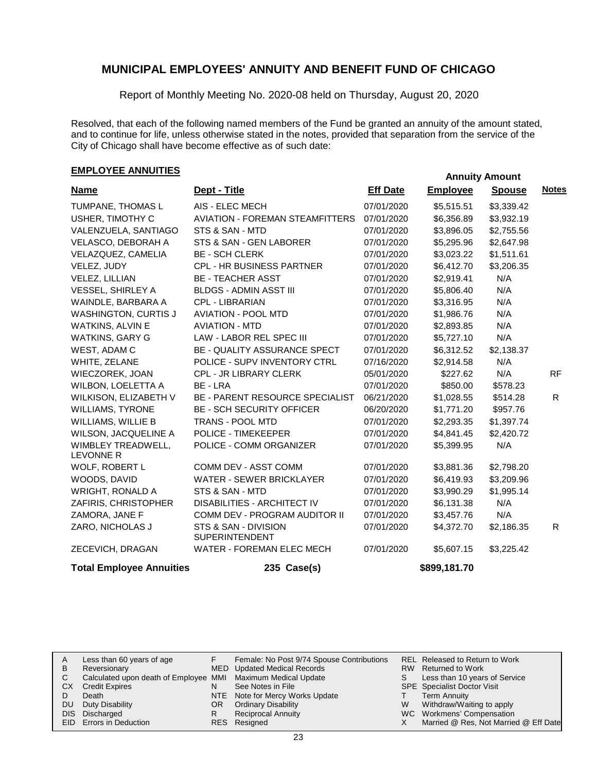Report of Monthly Meeting No. 2020-08 held on Thursday, August 20, 2020

Resolved, that each of the following named members of the Fund be granted an annuity of the amount stated, and to continue for life, unless otherwise stated in the notes, provided that separation from the service of the City of Chicago shall have become effective as of such date:

| <b>Name</b>                            | Dept - Title                                  | <b>Eff Date</b> | <b>Employee</b> | <b>Spouse</b> | <b>Notes</b> |
|----------------------------------------|-----------------------------------------------|-----------------|-----------------|---------------|--------------|
| TUMPANE, THOMAS L                      | AIS - ELEC MECH                               | 07/01/2020      | \$5,515.51      | \$3,339.42    |              |
| USHER, TIMOTHY C                       | <b>AVIATION - FOREMAN STEAMFITTERS</b>        | 07/01/2020      | \$6,356.89      | \$3,932.19    |              |
| VALENZUELA, SANTIAGO                   | STS & SAN - MTD                               | 07/01/2020      | \$3,896.05      | \$2,755.56    |              |
| VELASCO, DEBORAH A                     | STS & SAN - GEN LABORER                       | 07/01/2020      | \$5,295.96      | \$2,647.98    |              |
| VELAZQUEZ, CAMELIA                     | <b>BE - SCH CLERK</b>                         | 07/01/2020      | \$3,023.22      | \$1,511.61    |              |
| VELEZ, JUDY                            | CPL - HR BUSINESS PARTNER                     | 07/01/2020      | \$6,412.70      | \$3,206.35    |              |
| VELEZ, LILLIAN                         | <b>BE - TEACHER ASST</b>                      | 07/01/2020      | \$2,919.41      | N/A           |              |
| VESSEL, SHIRLEY A                      | <b>BLDGS - ADMIN ASST III</b>                 | 07/01/2020      | \$5,806.40      | N/A           |              |
| WAINDLE, BARBARA A                     | <b>CPL - LIBRARIAN</b>                        | 07/01/2020      | \$3,316.95      | N/A           |              |
| <b>WASHINGTON, CURTIS J</b>            | <b>AVIATION - POOL MTD</b>                    | 07/01/2020      | \$1,986.76      | N/A           |              |
| <b>WATKINS, ALVIN E</b>                | <b>AVIATION - MTD</b>                         | 07/01/2020      | \$2,893.85      | N/A           |              |
| <b>WATKINS, GARY G</b>                 | LAW - LABOR REL SPEC III                      | 07/01/2020      | \$5,727.10      | N/A           |              |
| WEST, ADAM C                           | BE - QUALITY ASSURANCE SPECT                  | 07/01/2020      | \$6,312.52      | \$2,138.37    |              |
| WHITE, ZELANE                          | POLICE - SUPV INVENTORY CTRL                  | 07/16/2020      | \$2,914.58      | N/A           |              |
| WIECZOREK, JOAN                        | <b>CPL - JR LIBRARY CLERK</b>                 | 05/01/2020      | \$227.62        | N/A           | <b>RF</b>    |
| WILBON, LOELETTA A                     | BE - LRA                                      | 07/01/2020      | \$850.00        | \$578.23      |              |
| WILKISON, ELIZABETH V                  | BE - PARENT RESOURCE SPECIALIST               | 06/21/2020      | \$1,028.55      | \$514.28      | R.           |
| <b>WILLIAMS, TYRONE</b>                | <b>BE - SCH SECURITY OFFICER</b>              | 06/20/2020      | \$1,771.20      | \$957.76      |              |
| WILLIAMS, WILLIE B                     | TRANS - POOL MTD                              | 07/01/2020      | \$2,293.35      | \$1,397.74    |              |
| WILSON, JACQUELINE A                   | POLICE - TIMEKEEPER                           | 07/01/2020      | \$4,841.45      | \$2,420.72    |              |
| WIMBLEY TREADWELL,<br><b>LEVONNE R</b> | POLICE - COMM ORGANIZER                       | 07/01/2020      | \$5,399.95      | N/A           |              |
| WOLF, ROBERT L                         | COMM DEV - ASST COMM                          | 07/01/2020      | \$3,881.36      | \$2,798.20    |              |
| WOODS, DAVID                           | <b>WATER - SEWER BRICKLAYER</b>               | 07/01/2020      | \$6,419.93      | \$3,209.96    |              |
| <b>WRIGHT, RONALD A</b>                | STS & SAN - MTD                               | 07/01/2020      | \$3,990.29      | \$1,995.14    |              |
| ZAFIRIS, CHRISTOPHER                   | DISABILITIES - ARCHITECT IV                   | 07/01/2020      | \$6,131.38      | N/A           |              |
| ZAMORA, JANE F                         | COMM DEV - PROGRAM AUDITOR II                 | 07/01/2020      | \$3,457.76      | N/A           |              |
| ZARO, NICHOLAS J                       | STS & SAN - DIVISION<br><b>SUPERINTENDENT</b> | 07/01/2020      | \$4,372.70      | \$2,186.35    | R.           |
| ZECEVICH, DRAGAN                       | <b>WATER - FOREMAN ELEC MECH</b>              | 07/01/2020      | \$5,607.15      | \$3,225.42    |              |
| <b>Total Employee Annuities</b>        | 235 Case(s)                                   |                 | \$899,181.70    |               |              |

| A     | Less than 60 years of age                                    |    | Female: No Post 9/74 Spouse Contributions |   | REL Released to Return to Work        |
|-------|--------------------------------------------------------------|----|-------------------------------------------|---|---------------------------------------|
| В     | Reversionary                                                 |    | MED Updated Medical Records               |   | RW Returned to Work                   |
|       | Calculated upon death of Employee MMI Maximum Medical Update |    |                                           |   | Less than 10 years of Service         |
| СX    | <b>Credit Expires</b>                                        |    | See Notes in File                         |   | <b>SPE</b> Specialist Doctor Visit    |
|       | Death                                                        |    | NTE Note for Mercy Works Update           |   | Term Annuity                          |
| DU    | Duty Disability                                              | OR | <b>Ordinary Disability</b>                | W | Withdraw/Waiting to apply             |
| DIS I | Discharged                                                   |    | <b>Reciprocal Annuity</b>                 |   | WC Workmens' Compensation             |
|       | <b>EID</b> Errors in Deduction                               |    | RES Resigned                              |   | Married @ Res, Not Married @ Eff Date |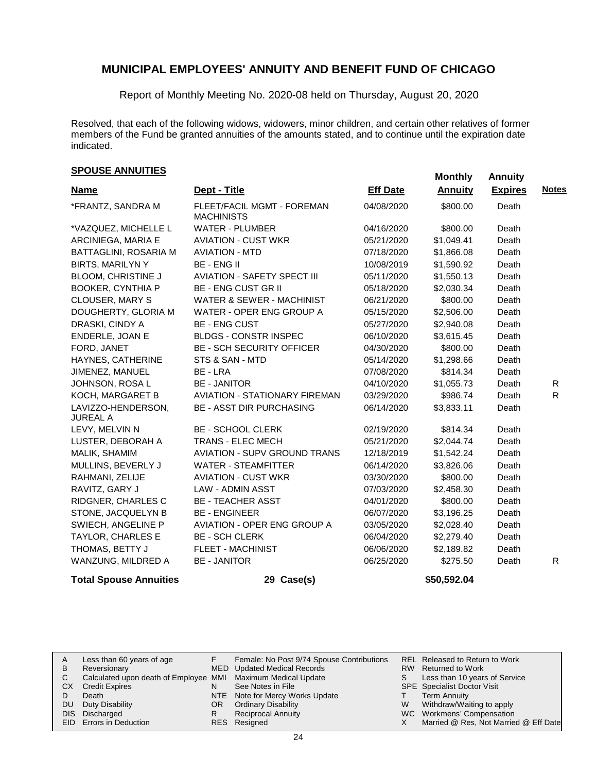Report of Monthly Meeting No. 2020-08 held on Thursday, August 20, 2020

Resolved, that each of the following widows, widowers, minor children, and certain other relatives of former members of the Fund be granted annuities of the amounts stated, and to continue until the expiration date indicated.

# **Monthly Annuities Monthly Annuity Monthly Annuity**

| <b>Name</b>                           | Dept - Title                                    | <b>Eff Date</b> | <b>Annuity</b> | <b>Expires</b> | <b>Notes</b> |
|---------------------------------------|-------------------------------------------------|-----------------|----------------|----------------|--------------|
|                                       |                                                 |                 |                |                |              |
| *FRANTZ, SANDRA M                     | FLEET/FACIL MGMT - FOREMAN<br><b>MACHINISTS</b> | 04/08/2020      | \$800.00       | Death          |              |
| *VAZQUEZ, MICHELLE L                  | <b>WATER - PLUMBER</b>                          | 04/16/2020      | \$800.00       | Death          |              |
| ARCINIEGA, MARIA E                    | <b>AVIATION - CUST WKR</b>                      | 05/21/2020      | \$1,049.41     | Death          |              |
| BATTAGLINI, ROSARIA M                 | <b>AVIATION - MTD</b>                           | 07/18/2020      | \$1,866.08     | Death          |              |
| <b>BIRTS, MARILYN Y</b>               | <b>BE-ENGIL</b>                                 | 10/08/2019      | \$1,590.92     | Death          |              |
| BLOOM, CHRISTINE J                    | <b>AVIATION - SAFETY SPECT III</b>              | 05/11/2020      | \$1,550.13     | Death          |              |
| BOOKER, CYNTHIA P                     | <b>BE - ENG CUST GR II</b>                      | 05/18/2020      | \$2,030.34     | Death          |              |
| <b>CLOUSER, MARY S</b>                | WATER & SEWER - MACHINIST                       | 06/21/2020      | \$800.00       | Death          |              |
| DOUGHERTY, GLORIA M                   | WATER - OPER ENG GROUP A                        | 05/15/2020      | \$2,506.00     | Death          |              |
| DRASKI, CINDY A                       | <b>BE - ENG CUST</b>                            | 05/27/2020      | \$2,940.08     | Death          |              |
| ENDERLE, JOAN E                       | <b>BLDGS - CONSTR INSPEC</b>                    | 06/10/2020      | \$3,615.45     | Death          |              |
| FORD, JANET                           | <b>BE - SCH SECURITY OFFICER</b>                | 04/30/2020      | \$800.00       | Death          |              |
| HAYNES, CATHERINE                     | STS & SAN - MTD                                 | 05/14/2020      | \$1,298.66     | Death          |              |
| JIMENEZ, MANUEL                       | BE - LRA                                        | 07/08/2020      | \$814.34       | Death          |              |
| JOHNSON, ROSA L                       | <b>BE - JANITOR</b>                             | 04/10/2020      | \$1,055.73     | Death          | R            |
| KOCH, MARGARET B                      | <b>AVIATION - STATIONARY FIREMAN</b>            | 03/29/2020      | \$986.74       | Death          | R.           |
| LAVIZZO-HENDERSON,<br><b>JUREAL A</b> | <b>BE - ASST DIR PURCHASING</b>                 | 06/14/2020      | \$3,833.11     | Death          |              |
| LEVY, MELVIN N                        | <b>BE - SCHOOL CLERK</b>                        | 02/19/2020      | \$814.34       | Death          |              |
| LUSTER, DEBORAH A                     | <b>TRANS - ELEC MECH</b>                        | 05/21/2020      | \$2,044.74     | Death          |              |
| MALIK, SHAMIM                         | <b>AVIATION - SUPV GROUND TRANS</b>             | 12/18/2019      | \$1,542.24     | Death          |              |
| MULLINS, BEVERLY J                    | <b>WATER - STEAMFITTER</b>                      | 06/14/2020      | \$3,826.06     | Death          |              |
| RAHMANI, ZELIJE                       | <b>AVIATION - CUST WKR</b>                      | 03/30/2020      | \$800.00       | Death          |              |
| RAVITZ, GARY J                        | LAW - ADMIN ASST                                | 07/03/2020      | \$2,458.30     | Death          |              |
| RIDGNER, CHARLES C                    | <b>BE - TEACHER ASST</b>                        | 04/01/2020      | \$800.00       | Death          |              |
| STONE, JACQUELYN B                    | <b>BE - ENGINEER</b>                            | 06/07/2020      | \$3,196.25     | Death          |              |
| SWIECH, ANGELINE P                    | <b>AVIATION - OPER ENG GROUP A</b>              | 03/05/2020      | \$2,028.40     | Death          |              |
| TAYLOR, CHARLES E                     | <b>BE - SCH CLERK</b>                           | 06/04/2020      | \$2,279.40     | Death          |              |
| THOMAS, BETTY J                       | <b>FLEET - MACHINIST</b>                        | 06/06/2020      | \$2,189.82     | Death          |              |
| WANZUNG, MILDRED A                    | <b>BE - JANITOR</b>                             | 06/25/2020      | \$275.50       | Death          | R.           |
| <b>Total Spouse Annuities</b>         | 29 Case(s)                                      |                 | \$50,592.04    |                |              |

| A  | Less than 60 years of age                                    |     | Female: No Post 9/74 Spouse Contributions |   | <b>REL Released to Return to Work</b> |
|----|--------------------------------------------------------------|-----|-------------------------------------------|---|---------------------------------------|
| в  | Reversionary                                                 |     | MED Updated Medical Records               |   | RW Returned to Work                   |
|    | Calculated upon death of Employee MMI Maximum Medical Update |     |                                           |   | Less than 10 years of Service         |
| СX | <b>Credit Expires</b>                                        |     | See Notes in File                         |   | <b>SPE</b> Specialist Doctor Visit    |
|    | Death                                                        |     | NTE Note for Mercy Works Update           |   | Term Annuity                          |
| DU | Duty Disability                                              | OR. | <b>Ordinary Disability</b>                | W | Withdraw/Waiting to apply             |
|    | DIS Discharged                                               |     | <b>Reciprocal Annuity</b>                 |   | WC Workmens' Compensation             |
|    | <b>EID</b> Errors in Deduction                               |     | RES Resigned                              |   | Married @ Res, Not Married @ Eff Date |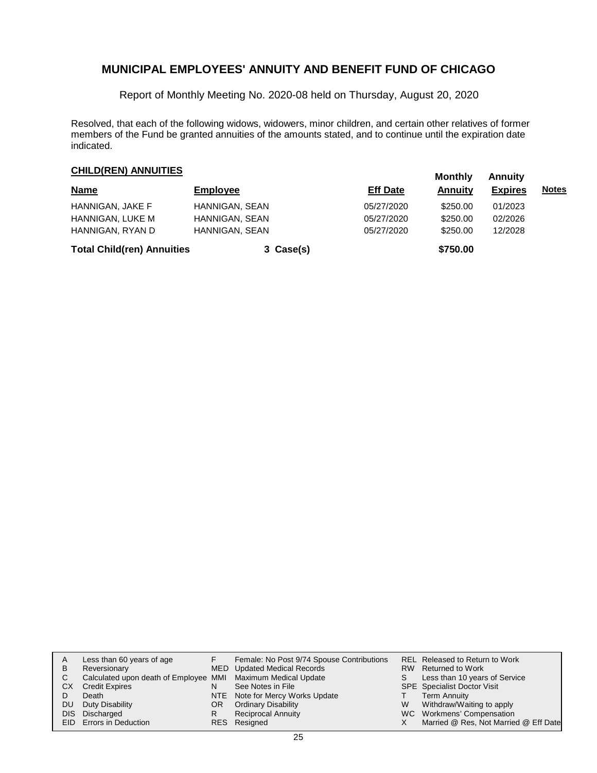Report of Monthly Meeting No. 2020-08 held on Thursday, August 20, 2020

Resolved, that each of the following widows, widowers, minor children, and certain other relatives of former members of the Fund be granted annuities of the amounts stated, and to continue until the expiration date indicated.

# **CHILD(REN) ANNUITIES**<br> **Monthly** Annuity

| <b>Name</b>                       | <b>Employee</b> | <b>Eff Date</b> | Annuity  | <b>Expires</b> | <u>Notes</u> |
|-----------------------------------|-----------------|-----------------|----------|----------------|--------------|
| HANNIGAN, JAKE F                  | HANNIGAN, SEAN  | 05/27/2020      | \$250.00 | 01/2023        |              |
| HANNIGAN, LUKE M                  | HANNIGAN, SEAN  | 05/27/2020      | \$250.00 | 02/2026        |              |
| HANNIGAN, RYAN D                  | HANNIGAN, SEAN  | 05/27/2020      | \$250.00 | 12/2028        |              |
| <b>Total Child(ren) Annuities</b> | 3 Case(s)       |                 | \$750.00 |                |              |

| A   | Less than 60 years of age                                    |     | Female: No Post 9/74 Spouse Contributions |   | REL Released to Return to Work        |
|-----|--------------------------------------------------------------|-----|-------------------------------------------|---|---------------------------------------|
| B   | Reversionary                                                 |     | MED Updated Medical Records               |   | RW Returned to Work                   |
| C.  | Calculated upon death of Employee MMI Maximum Medical Update |     |                                           |   | Less than 10 years of Service         |
| CХ  | <b>Credit Expires</b>                                        | N   | See Notes in File                         |   | <b>SPE</b> Specialist Doctor Visit    |
|     | Death                                                        |     | NTE Note for Mercy Works Update           |   | Term Annuity                          |
| DU. | Duty Disability                                              | OR. | <b>Ordinary Disability</b>                | W | Withdraw/Waiting to apply             |
|     | DIS Discharged                                               | R   | Reciprocal Annuity                        |   | WC Workmens' Compensation             |
|     | EID Errors in Deduction                                      |     | RES Resigned                              |   | Married @ Res, Not Married @ Eff Date |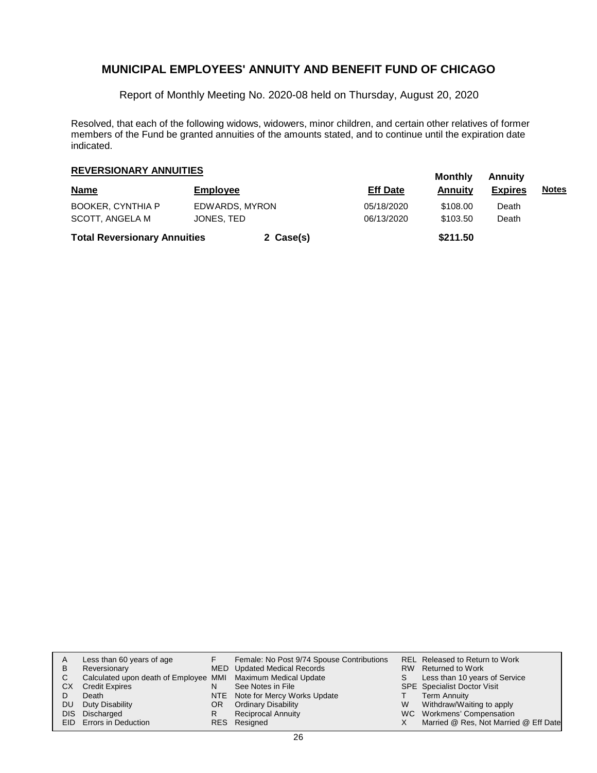Report of Monthly Meeting No. 2020-08 held on Thursday, August 20, 2020

Resolved, that each of the following widows, widowers, minor children, and certain other relatives of former members of the Fund be granted annuities of the amounts stated, and to continue until the expiration date indicated.

# **Monthly Annuity REVERSIONARY ANNUITIES**

| <b>Name</b>                         | <b>Employee</b> |           | <b>Eff Date</b> | <br>Annuitv | .<br><b>Expires</b> | <u>Notes</u> |
|-------------------------------------|-----------------|-----------|-----------------|-------------|---------------------|--------------|
| <b>BOOKER, CYNTHIA P</b>            | EDWARDS, MYRON  |           | 05/18/2020      | \$108.00    | Death               |              |
| SCOTT. ANGELA M                     | JONES, TED      |           | 06/13/2020      | \$103.50    | Death               |              |
| <b>Total Reversionary Annuities</b> |                 | 2 Case(s) |                 | \$211.50    |                     |              |

| A         | Less than 60 years of age                                    |     | Female: No Post 9/74 Spouse Contributions |   | REL Released to Return to Work        |
|-----------|--------------------------------------------------------------|-----|-------------------------------------------|---|---------------------------------------|
| B         | Reversionary                                                 |     | MED Updated Medical Records               |   | RW Returned to Work                   |
| C.        | Calculated upon death of Employee MMI Maximum Medical Update |     |                                           |   | Less than 10 years of Service         |
| СX        | <b>Credit Expires</b>                                        |     | See Notes in File                         |   | <b>SPE</b> Specialist Doctor Visit    |
|           | Death                                                        |     | NTE Note for Mercy Works Update           |   | <b>Term Annuity</b>                   |
| <b>DU</b> | Duty Disability                                              | OR. | <b>Ordinary Disability</b>                | W | Withdraw/Waiting to apply             |
|           | DIS Discharged                                               |     | Reciprocal Annuity                        |   | WC Workmens' Compensation             |
|           | EID Errors in Deduction                                      |     | RES Resigned                              |   | Married @ Res, Not Married @ Eff Date |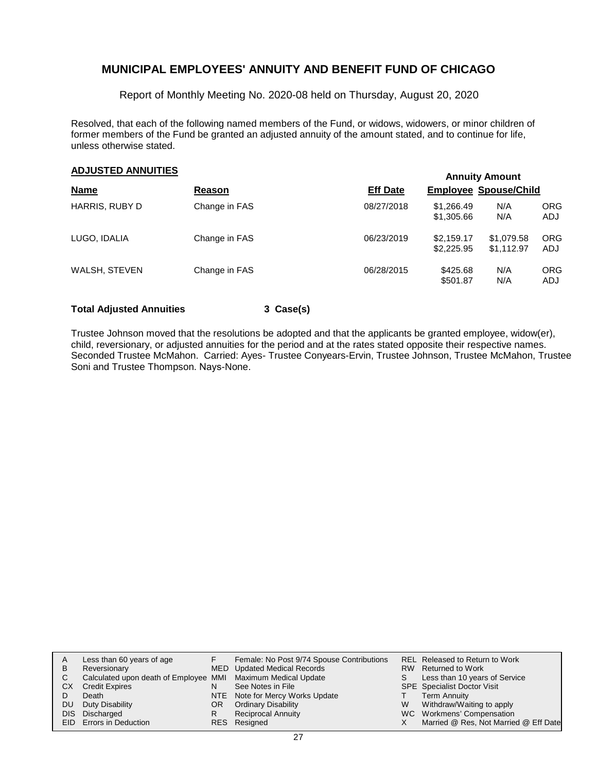Report of Monthly Meeting No. 2020-08 held on Thursday, August 20, 2020

Resolved, that each of the following named members of the Fund, or widows, widowers, or minor children of former members of the Fund be granted an adjusted annuity of the amount stated, and to continue for life, unless otherwise stated.

### **Annuity Amount ADJUSTED ANNUITIES**

|                      |               | AURURY ARVOIT   |                              |                          |                   |  |  |  |
|----------------------|---------------|-----------------|------------------------------|--------------------------|-------------------|--|--|--|
| <b>Name</b>          | Reason        | <b>Eff Date</b> | <b>Employee Spouse/Child</b> |                          |                   |  |  |  |
| HARRIS, RUBY D       | Change in FAS | 08/27/2018      | \$1,266.49<br>\$1,305.66     | N/A<br>N/A               | <b>ORG</b><br>ADJ |  |  |  |
| LUGO, IDALIA         | Change in FAS | 06/23/2019      | \$2,159.17<br>\$2,225,95     | \$1,079.58<br>\$1.112.97 | <b>ORG</b><br>ADJ |  |  |  |
| <b>WALSH, STEVEN</b> | Change in FAS | 06/28/2015      | \$425.68<br>\$501.87         | N/A<br>N/A               | <b>ORG</b><br>ADJ |  |  |  |

#### **Total Adjusted Annuities 3 Case(s)**

Trustee Johnson moved that the resolutions be adopted and that the applicants be granted employee, widow(er), child, reversionary, or adjusted annuities for the period and at the rates stated opposite their respective names. Seconded Trustee McMahon. Carried: Ayes- Trustee Conyears-Ervin, Trustee Johnson, Trustee McMahon, Trustee Soni and Trustee Thompson. Nays-None.

|     | Less than 60 years of age                                    |     | Female: No Post 9/74 Spouse Contributions |   | REL Released to Return to Work        |
|-----|--------------------------------------------------------------|-----|-------------------------------------------|---|---------------------------------------|
| B   | Reversionary                                                 |     | MED Updated Medical Records               |   | RW Returned to Work                   |
|     | Calculated upon death of Employee MMI Maximum Medical Update |     |                                           |   | Less than 10 years of Service         |
| СX  | <b>Credit Expires</b>                                        | N   | See Notes in File                         |   | <b>SPE</b> Specialist Doctor Visit    |
|     | Death                                                        |     | NTE Note for Mercy Works Update           |   | Term Annuity                          |
| DU. | Duty Disability                                              | OR. | <b>Ordinary Disability</b>                | W | Withdraw/Waiting to apply             |
|     | DIS Discharged                                               |     | <b>Reciprocal Annuity</b>                 |   | WC Workmens' Compensation             |
|     | EID Errors in Deduction                                      |     | RES Resigned                              |   | Married @ Res, Not Married @ Eff Date |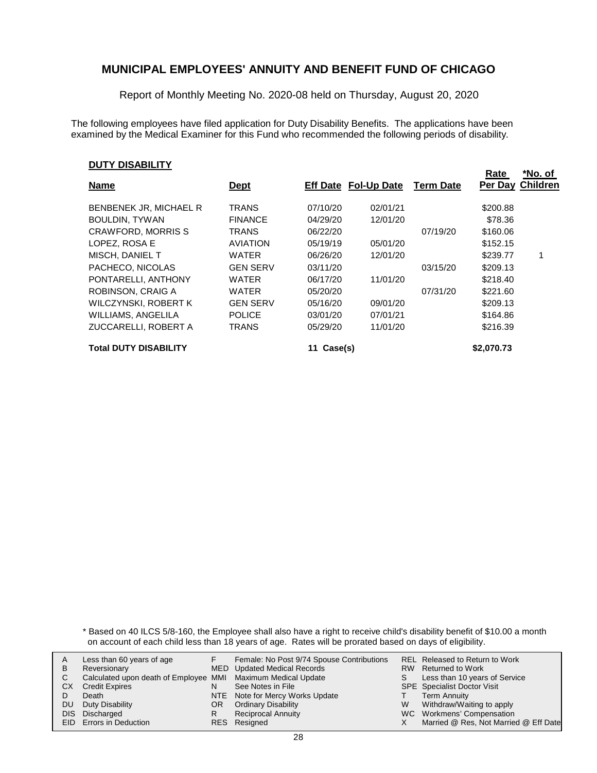Report of Monthly Meeting No. 2020-08 held on Thursday, August 20, 2020

The following employees have filed application for Duty Disability Benefits. The applications have been examined by the Medical Examiner for this Fund who recommended the following periods of disability.

#### **DUTY DISABILITY**

|                              |                 |               |                             |                  | Rate       | *No. of         |
|------------------------------|-----------------|---------------|-----------------------------|------------------|------------|-----------------|
| <b>Name</b>                  | <u>Dept</u>     |               | <b>Eff Date Fol-Up Date</b> | <b>Term Date</b> | Per Day    | <b>Children</b> |
| BENBENEK JR, MICHAEL R       | <b>TRANS</b>    | 07/10/20      | 02/01/21                    |                  | \$200.88   |                 |
| <b>BOULDIN, TYWAN</b>        | <b>FINANCE</b>  | 04/29/20      | 12/01/20                    |                  | \$78.36    |                 |
| <b>CRAWFORD, MORRIS S</b>    | TRANS           | 06/22/20      |                             | 07/19/20         | \$160.06   |                 |
| LOPEZ, ROSA E                | <b>AVIATION</b> | 05/19/19      | 05/01/20                    |                  | \$152.15   |                 |
| MISCH, DANIEL T              | <b>WATER</b>    | 06/26/20      | 12/01/20                    |                  | \$239.77   |                 |
| PACHECO, NICOLAS             | <b>GEN SERV</b> | 03/11/20      |                             | 03/15/20         | \$209.13   |                 |
| PONTARELLI, ANTHONY          | <b>WATER</b>    | 06/17/20      | 11/01/20                    |                  | \$218.40   |                 |
| ROBINSON, CRAIG A            | WATER           | 05/20/20      |                             | 07/31/20         | \$221.60   |                 |
| WILCZYNSKI, ROBERT K         | <b>GEN SERV</b> | 05/16/20      | 09/01/20                    |                  | \$209.13   |                 |
| WILLIAMS, ANGELILA           | <b>POLICE</b>   | 03/01/20      | 07/01/21                    |                  | \$164.86   |                 |
| ZUCCARELLI, ROBERT A         | <b>TRANS</b>    | 05/29/20      | 11/01/20                    |                  | \$216.39   |                 |
| <b>Total DUTY DISABILITY</b> |                 | Case(s)<br>11 |                             |                  | \$2,070.73 |                 |

\* Based on 40 ILCS 5/8-160, the Employee shall also have a right to receive child's disability benefit of \$10.00 a month on account of each child less than 18 years of age. Rates will be prorated based on days of eligibility.

| В  | Less than 60 years of age<br>Reversionary                    |     | Female: No Post 9/74 Spouse Contributions<br>MED Updated Medical Records |   | REL Released to Return to Work<br>RW Returned to Work |
|----|--------------------------------------------------------------|-----|--------------------------------------------------------------------------|---|-------------------------------------------------------|
|    | Calculated upon death of Employee MMI Maximum Medical Update |     |                                                                          |   | Less than 10 years of Service                         |
| CХ | <b>Credit Expires</b>                                        |     | See Notes in File                                                        |   | <b>SPE</b> Specialist Doctor Visit                    |
|    | Death                                                        |     | NTE Note for Mercy Works Update                                          |   | Term Annuity                                          |
| DU | Duty Disability                                              | OR. | <b>Ordinary Disability</b>                                               | W | Withdraw/Waiting to apply                             |
|    | DIS Discharged                                               |     | <b>Reciprocal Annuity</b>                                                |   | WC Workmens' Compensation                             |
|    | <b>EID</b> Errors in Deduction                               |     | RES Resigned                                                             |   | Married @ Res, Not Married @ Eff Date                 |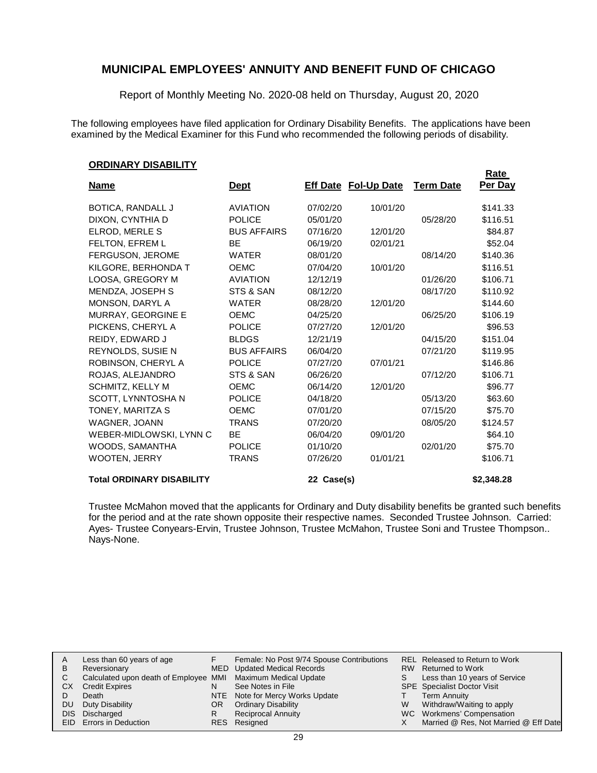Report of Monthly Meeting No. 2020-08 held on Thursday, August 20, 2020

The following employees have filed application for Ordinary Disability Benefits. The applications have been examined by the Medical Examiner for this Fund who recommended the following periods of disability.

#### **ORDINARY DISABILITY**

|                                  |                    |            |                             |                  | <b>Rate</b> |
|----------------------------------|--------------------|------------|-----------------------------|------------------|-------------|
| <b>Name</b>                      | <b>Dept</b>        |            | <b>Eff Date Fol-Up Date</b> | <b>Term Date</b> | Per Day     |
| <b>BOTICA, RANDALL J</b>         | <b>AVIATION</b>    | 07/02/20   | 10/01/20                    |                  | \$141.33    |
| DIXON, CYNTHIA D                 | <b>POLICE</b>      | 05/01/20   |                             | 05/28/20         | \$116.51    |
| ELROD, MERLE S                   | <b>BUS AFFAIRS</b> | 07/16/20   | 12/01/20                    |                  | \$84.87     |
| FELTON, EFREM L                  | BE                 | 06/19/20   | 02/01/21                    |                  | \$52.04     |
| FERGUSON, JEROME                 | <b>WATER</b>       | 08/01/20   |                             | 08/14/20         | \$140.36    |
| KILGORE, BERHONDA T              | <b>OEMC</b>        | 07/04/20   | 10/01/20                    |                  | \$116.51    |
| LOOSA, GREGORY M                 | <b>AVIATION</b>    | 12/12/19   |                             | 01/26/20         | \$106.71    |
| MENDZA, JOSEPH S                 | STS & SAN          | 08/12/20   |                             | 08/17/20         | \$110.92    |
| MONSON, DARYL A                  | <b>WATER</b>       | 08/28/20   | 12/01/20                    |                  | \$144.60    |
| MURRAY, GEORGINE E               | <b>OEMC</b>        | 04/25/20   |                             | 06/25/20         | \$106.19    |
| PICKENS, CHERYL A                | <b>POLICE</b>      | 07/27/20   | 12/01/20                    |                  | \$96.53     |
| REIDY, EDWARD J                  | <b>BLDGS</b>       | 12/21/19   |                             | 04/15/20         | \$151.04    |
| REYNOLDS, SUSIE N                | <b>BUS AFFAIRS</b> | 06/04/20   |                             | 07/21/20         | \$119.95    |
| ROBINSON, CHERYL A               | <b>POLICE</b>      | 07/27/20   | 07/01/21                    |                  | \$146.86    |
| ROJAS, ALEJANDRO                 | STS & SAN          | 06/26/20   |                             | 07/12/20         | \$106.71    |
| <b>SCHMITZ, KELLY M</b>          | <b>OEMC</b>        | 06/14/20   | 12/01/20                    |                  | \$96.77     |
| SCOTT, LYNNTOSHA N               | <b>POLICE</b>      | 04/18/20   |                             | 05/13/20         | \$63.60     |
| TONEY, MARITZA S                 | <b>OEMC</b>        | 07/01/20   |                             | 07/15/20         | \$75.70     |
| WAGNER, JOANN                    | <b>TRANS</b>       | 07/20/20   |                             | 08/05/20         | \$124.57    |
| WEBER-MIDLOWSKI, LYNN C          | BE                 | 06/04/20   | 09/01/20                    |                  | \$64.10     |
| WOODS, SAMANTHA                  | <b>POLICE</b>      | 01/10/20   |                             | 02/01/20         | \$75.70     |
| <b>WOOTEN, JERRY</b>             | <b>TRANS</b>       | 07/26/20   | 01/01/21                    |                  | \$106.71    |
| <b>Total ORDINARY DISABILITY</b> |                    | 22 Case(s) |                             |                  | \$2,348.28  |

Trustee McMahon moved that the applicants for Ordinary and Duty disability benefits be granted such benefits for the period and at the rate shown opposite their respective names. Seconded Trustee Johnson. Carried: Ayes- Trustee Conyears-Ervin, Trustee Johnson, Trustee McMahon, Trustee Soni and Trustee Thompson.. Nays-None.

| A   | Less than 60 years of age                                    |     | Female: No Post 9/74 Spouse Contributions |   | REL Released to Return to Work        |
|-----|--------------------------------------------------------------|-----|-------------------------------------------|---|---------------------------------------|
| B   | Reversionary                                                 |     | MED Updated Medical Records               |   | RW Returned to Work                   |
|     | Calculated upon death of Employee MMI Maximum Medical Update |     |                                           |   | Less than 10 years of Service         |
| CХ  | <b>Credit Expires</b>                                        |     | See Notes in File                         |   | <b>SPE</b> Specialist Doctor Visit    |
|     | Death                                                        |     | NTE Note for Mercy Works Update           |   | <b>Term Annuity</b>                   |
| DU. | Duty Disability                                              | OR. | <b>Ordinary Disability</b>                | W | Withdraw/Waiting to apply             |
|     | DIS Discharged                                               |     | <b>Reciprocal Annuity</b>                 |   | WC Workmens' Compensation             |
|     | EID Errors in Deduction                                      |     | RES Resigned                              |   | Married @ Res, Not Married @ Eff Date |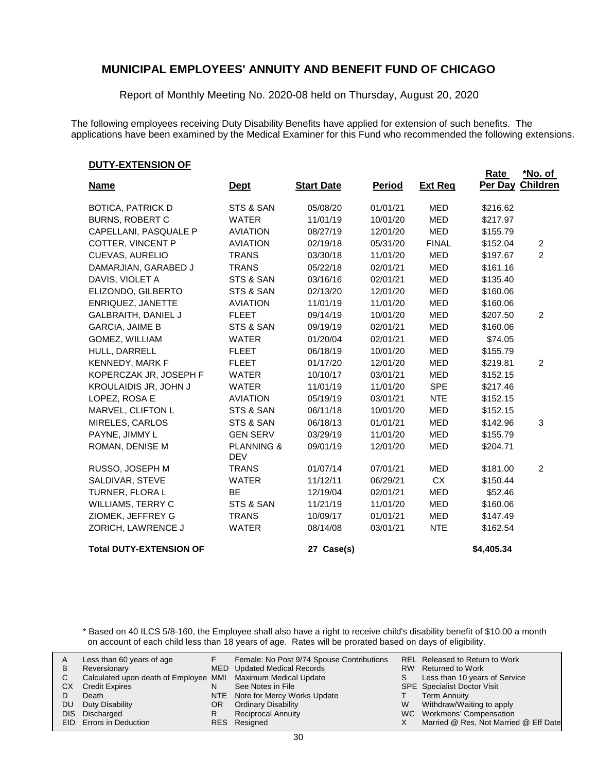Report of Monthly Meeting No. 2020-08 held on Thursday, August 20, 2020

The following employees receiving Duty Disability Benefits have applied for extension of such benefits. The applications have been examined by the Medical Examiner for this Fund who recommended the following extensions.

**Rate**

#### **DUTY-EXTENSION OF**

|                                |                                     |                   |               |                | Rate       | <u>*No. of</u>   |
|--------------------------------|-------------------------------------|-------------------|---------------|----------------|------------|------------------|
| <b>Name</b>                    | <b>Dept</b>                         | <b>Start Date</b> | <b>Period</b> | <b>Ext Req</b> |            | Per Day Children |
| <b>BOTICA, PATRICK D</b>       | STS & SAN                           | 05/08/20          | 01/01/21      | <b>MED</b>     | \$216.62   |                  |
| <b>BURNS, ROBERT C</b>         | <b>WATER</b>                        | 11/01/19          | 10/01/20      | <b>MED</b>     | \$217.97   |                  |
| CAPELLANI, PASQUALE P          | <b>AVIATION</b>                     | 08/27/19          | 12/01/20      | <b>MED</b>     | \$155.79   |                  |
| COTTER, VINCENT P              | <b>AVIATION</b>                     | 02/19/18          | 05/31/20      | <b>FINAL</b>   | \$152.04   | 2                |
| CUEVAS, AURELIO                | <b>TRANS</b>                        | 03/30/18          | 11/01/20      | <b>MED</b>     | \$197.67   | $\overline{2}$   |
| DAMARJIAN, GARABED J           | <b>TRANS</b>                        | 05/22/18          | 02/01/21      | <b>MED</b>     | \$161.16   |                  |
| DAVIS, VIOLET A                | STS & SAN                           | 03/16/16          | 02/01/21      | <b>MED</b>     | \$135.40   |                  |
| ELIZONDO, GILBERTO             | STS & SAN                           | 02/13/20          | 12/01/20      | <b>MED</b>     | \$160.06   |                  |
| ENRIQUEZ, JANETTE              | <b>AVIATION</b>                     | 11/01/19          | 11/01/20      | <b>MED</b>     | \$160.06   |                  |
| <b>GALBRAITH, DANIEL J</b>     | <b>FLEET</b>                        | 09/14/19          | 10/01/20      | <b>MED</b>     | \$207.50   | 2                |
| <b>GARCIA, JAIME B</b>         | STS & SAN                           | 09/19/19          | 02/01/21      | <b>MED</b>     | \$160.06   |                  |
| GOMEZ, WILLIAM                 | <b>WATER</b>                        | 01/20/04          | 02/01/21      | <b>MED</b>     | \$74.05    |                  |
| HULL, DARRELL                  | <b>FLEET</b>                        | 06/18/19          | 10/01/20      | <b>MED</b>     | \$155.79   |                  |
| KENNEDY, MARK F                | <b>FLEET</b>                        | 01/17/20          | 12/01/20      | <b>MED</b>     | \$219.81   | $\overline{2}$   |
| KOPERCZAK JR, JOSEPH F         | <b>WATER</b>                        | 10/10/17          | 03/01/21      | <b>MED</b>     | \$152.15   |                  |
| <b>KROULAIDIS JR, JOHN J</b>   | <b>WATER</b>                        | 11/01/19          | 11/01/20      | <b>SPE</b>     | \$217.46   |                  |
| LOPEZ, ROSA E                  | <b>AVIATION</b>                     | 05/19/19          | 03/01/21      | <b>NTE</b>     | \$152.15   |                  |
| MARVEL, CLIFTON L              | STS & SAN                           | 06/11/18          | 10/01/20      | <b>MED</b>     | \$152.15   |                  |
| MIRELES, CARLOS                | STS & SAN                           | 06/18/13          | 01/01/21      | <b>MED</b>     | \$142.96   | 3                |
| PAYNE, JIMMY L                 | <b>GEN SERV</b>                     | 03/29/19          | 11/01/20      | <b>MED</b>     | \$155.79   |                  |
| ROMAN, DENISE M                | <b>PLANNING &amp;</b><br><b>DEV</b> | 09/01/19          | 12/01/20      | <b>MED</b>     | \$204.71   |                  |
| RUSSO, JOSEPH M                | <b>TRANS</b>                        | 01/07/14          | 07/01/21      | <b>MED</b>     | \$181.00   | 2                |
| SALDIVAR, STEVE                | <b>WATER</b>                        | 11/12/11          | 06/29/21      | <b>CX</b>      | \$150.44   |                  |
| TURNER, FLORA L                | <b>BE</b>                           | 12/19/04          | 02/01/21      | <b>MED</b>     | \$52.46    |                  |
| WILLIAMS, TERRY C              | STS & SAN                           | 11/21/19          | 11/01/20      | <b>MED</b>     | \$160.06   |                  |
| ZIOMEK, JEFFREY G              | <b>TRANS</b>                        | 10/09/17          | 01/01/21      | <b>MED</b>     | \$147.49   |                  |
| ZORICH, LAWRENCE J             | <b>WATER</b>                        | 08/14/08          | 03/01/21      | <b>NTE</b>     | \$162.54   |                  |
| <b>Total DUTY-EXTENSION OF</b> |                                     | 27 Case(s)        |               |                | \$4,405.34 |                  |

\* Based on 40 ILCS 5/8-160, the Employee shall also have a right to receive child's disability benefit of \$10.00 a month on account of each child less than 18 years of age. Rates will be prorated based on days of eligibility.

| В  | Less than 60 years of age<br>Reversionary                    |     | Female: No Post 9/74 Spouse Contributions<br>MED Updated Medical Records |   | REL Released to Return to Work<br>RW Returned to Work |
|----|--------------------------------------------------------------|-----|--------------------------------------------------------------------------|---|-------------------------------------------------------|
|    |                                                              |     |                                                                          |   |                                                       |
|    | Calculated upon death of Employee MMI Maximum Medical Update |     |                                                                          |   | Less than 10 years of Service                         |
| CХ | <b>Credit Expires</b>                                        |     | See Notes in File                                                        |   | <b>SPE</b> Specialist Doctor Visit                    |
|    | Death                                                        |     | NTE Note for Mercy Works Update                                          |   | <b>Term Annuity</b>                                   |
| DU | Duty Disability                                              | OR. | <b>Ordinary Disability</b>                                               | W | Withdraw/Waiting to apply                             |
|    | DIS Discharged                                               |     | <b>Reciprocal Annuity</b>                                                |   | WC Workmens' Compensation                             |
|    | <b>EID</b> Errors in Deduction                               |     | RES Resigned                                                             |   | Married @ Res, Not Married @ Eff Date                 |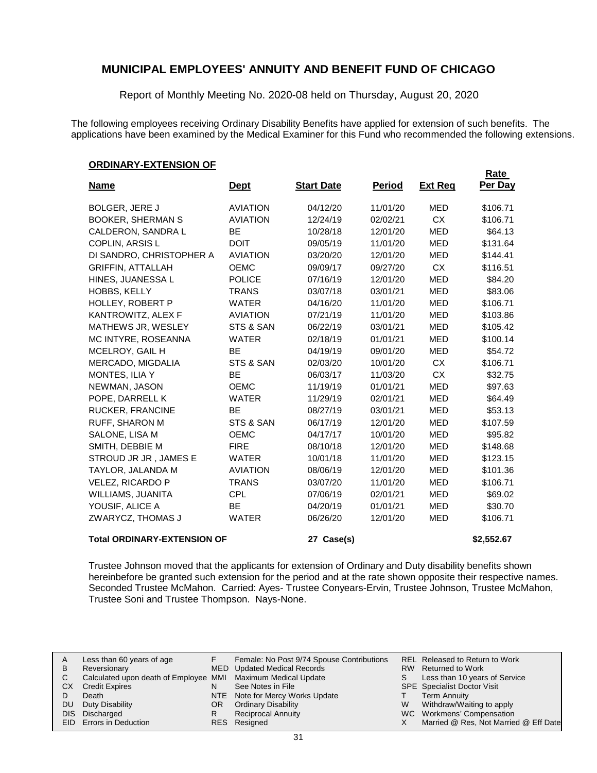Report of Monthly Meeting No. 2020-08 held on Thursday, August 20, 2020

The following employees receiving Ordinary Disability Benefits have applied for extension of such benefits. The applications have been examined by the Medical Examiner for this Fund who recommended the following extensions.

#### **ORDINARY-EXTENSION OF**

|                                    |                 |                   |               |                | Rate       |
|------------------------------------|-----------------|-------------------|---------------|----------------|------------|
| <b>Name</b>                        | <u>Dept</u>     | <b>Start Date</b> | <b>Period</b> | <b>Ext Reg</b> | Per Day    |
| <b>BOLGER, JERE J</b>              | <b>AVIATION</b> | 04/12/20          | 11/01/20      | <b>MED</b>     | \$106.71   |
| <b>BOOKER, SHERMAN S</b>           | <b>AVIATION</b> | 12/24/19          | 02/02/21      | <b>CX</b>      | \$106.71   |
| CALDERON, SANDRA L                 | <b>BE</b>       | 10/28/18          | 12/01/20      | <b>MED</b>     | \$64.13    |
| COPLIN, ARSIS L                    | <b>DOIT</b>     | 09/05/19          | 11/01/20      | <b>MED</b>     | \$131.64   |
| DI SANDRO, CHRISTOPHER A           | <b>AVIATION</b> | 03/20/20          | 12/01/20      | <b>MED</b>     | \$144.41   |
| <b>GRIFFIN, ATTALLAH</b>           | <b>OEMC</b>     | 09/09/17          | 09/27/20      | <b>CX</b>      | \$116.51   |
| HINES, JUANESSA L                  | <b>POLICE</b>   | 07/16/19          | 12/01/20      | <b>MED</b>     | \$84.20    |
| <b>HOBBS, KELLY</b>                | <b>TRANS</b>    | 03/07/18          | 03/01/21      | <b>MED</b>     | \$83.06    |
| HOLLEY, ROBERT P                   | <b>WATER</b>    | 04/16/20          | 11/01/20      | <b>MED</b>     | \$106.71   |
| KANTROWITZ, ALEX F                 | <b>AVIATION</b> | 07/21/19          | 11/01/20      | <b>MED</b>     | \$103.86   |
| MATHEWS JR, WESLEY                 | STS & SAN       | 06/22/19          | 03/01/21      | <b>MED</b>     | \$105.42   |
| MC INTYRE, ROSEANNA                | <b>WATER</b>    | 02/18/19          | 01/01/21      | <b>MED</b>     | \$100.14   |
| MCELROY, GAIL H                    | <b>BE</b>       | 04/19/19          | 09/01/20      | <b>MED</b>     | \$54.72    |
| MERCADO, MIGDALIA                  | STS & SAN       | 02/03/20          | 10/01/20      | <b>CX</b>      | \$106.71   |
| MONTES, ILIA Y                     | <b>BE</b>       | 06/03/17          | 11/03/20      | <b>CX</b>      | \$32.75    |
| NEWMAN, JASON                      | <b>OEMC</b>     | 11/19/19          | 01/01/21      | <b>MED</b>     | \$97.63    |
| POPE, DARRELL K                    | <b>WATER</b>    | 11/29/19          | 02/01/21      | <b>MED</b>     | \$64.49    |
| RUCKER, FRANCINE                   | <b>BE</b>       | 08/27/19          | 03/01/21      | <b>MED</b>     | \$53.13    |
| RUFF, SHARON M                     | STS & SAN       | 06/17/19          | 12/01/20      | <b>MED</b>     | \$107.59   |
| SALONE, LISA M                     | <b>OEMC</b>     | 04/17/17          | 10/01/20      | <b>MED</b>     | \$95.82    |
| SMITH, DEBBIE M                    | <b>FIRE</b>     | 08/10/18          | 12/01/20      | <b>MED</b>     | \$148.68   |
| STROUD JR JR, JAMES E              | <b>WATER</b>    | 10/01/18          | 11/01/20      | <b>MED</b>     | \$123.15   |
| TAYLOR, JALANDA M                  | <b>AVIATION</b> | 08/06/19          | 12/01/20      | <b>MED</b>     | \$101.36   |
| <b>VELEZ, RICARDO P</b>            | <b>TRANS</b>    | 03/07/20          | 11/01/20      | <b>MED</b>     | \$106.71   |
| WILLIAMS, JUANITA                  | <b>CPL</b>      | 07/06/19          | 02/01/21      | <b>MED</b>     | \$69.02    |
| YOUSIF, ALICE A                    | <b>BE</b>       | 04/20/19          | 01/01/21      | <b>MED</b>     | \$30.70    |
| ZWARYCZ, THOMAS J                  | <b>WATER</b>    | 06/26/20          | 12/01/20      | <b>MED</b>     | \$106.71   |
| <b>Total ORDINARY-EXTENSION OF</b> |                 | 27 Case(s)        |               |                | \$2,552.67 |

Trustee Johnson moved that the applicants for extension of Ordinary and Duty disability benefits shown hereinbefore be granted such extension for the period and at the rate shown opposite their respective names. Seconded Trustee McMahon. Carried: Ayes- Trustee Conyears-Ervin, Trustee Johnson, Trustee McMahon, Trustee Soni and Trustee Thompson. Nays-None.

| A  | Less than 60 years of age                                    |    | Female: No Post 9/74 Spouse Contributions |   | REL Released to Return to Work        |
|----|--------------------------------------------------------------|----|-------------------------------------------|---|---------------------------------------|
| В  | Reversionary                                                 |    | MED Updated Medical Records               |   | RW Returned to Work                   |
|    | Calculated upon death of Employee MMI Maximum Medical Update |    |                                           |   | Less than 10 years of Service         |
| СX | <b>Credit Expires</b>                                        |    | See Notes in File                         |   | <b>SPE</b> Specialist Doctor Visit    |
|    | Death                                                        |    | NTE Note for Mercy Works Update           |   | <b>Term Annuity</b>                   |
| DU | Duty Disability                                              | OR | <b>Ordinary Disability</b>                | w | Withdraw/Waiting to apply             |
|    | DIS Discharged                                               |    | <b>Reciprocal Annuity</b>                 |   | WC Workmens' Compensation             |
|    | EID Errors in Deduction                                      |    | RES Resigned                              |   | Married @ Res, Not Married @ Eff Date |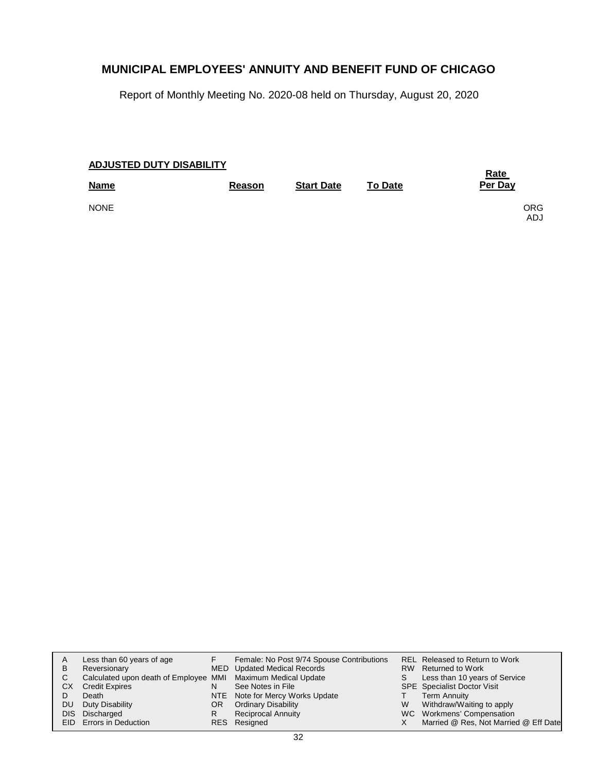Report of Monthly Meeting No. 2020-08 held on Thursday, August 20, 2020

| <b>ADJUSTED DUTY DISABILITY</b> | <u>Rate</u>   |                   |                |                    |
|---------------------------------|---------------|-------------------|----------------|--------------------|
| <b>Name</b>                     | <b>Reason</b> | <b>Start Date</b> | <b>To Date</b> | Per Day            |
| <b>NONE</b>                     |               |                   |                | ORG.<br><b>ADJ</b> |

| A   | Less than 60 years of age                                    |     | Female: No Post 9/74 Spouse Contributions |   | REL Released to Return to Work        |
|-----|--------------------------------------------------------------|-----|-------------------------------------------|---|---------------------------------------|
| B   | Reversionary                                                 |     | MED Updated Medical Records               |   | RW Returned to Work                   |
|     | Calculated upon death of Employee MMI Maximum Medical Update |     |                                           |   | Less than 10 years of Service         |
| CX. | <b>Credit Expires</b>                                        | N   | See Notes in File                         |   | <b>SPE</b> Specialist Doctor Visit    |
|     | Death                                                        |     | NTE Note for Mercy Works Update           |   | Term Annuity                          |
| DU. | Duty Disability                                              | OR. | <b>Ordinary Disability</b>                | W | Withdraw/Waiting to apply             |
|     | DIS Discharged                                               |     | <b>Reciprocal Annuity</b>                 |   | WC Workmens' Compensation             |
|     | EID Errors in Deduction                                      |     | RES Resigned                              |   | Married @ Res, Not Married @ Eff Date |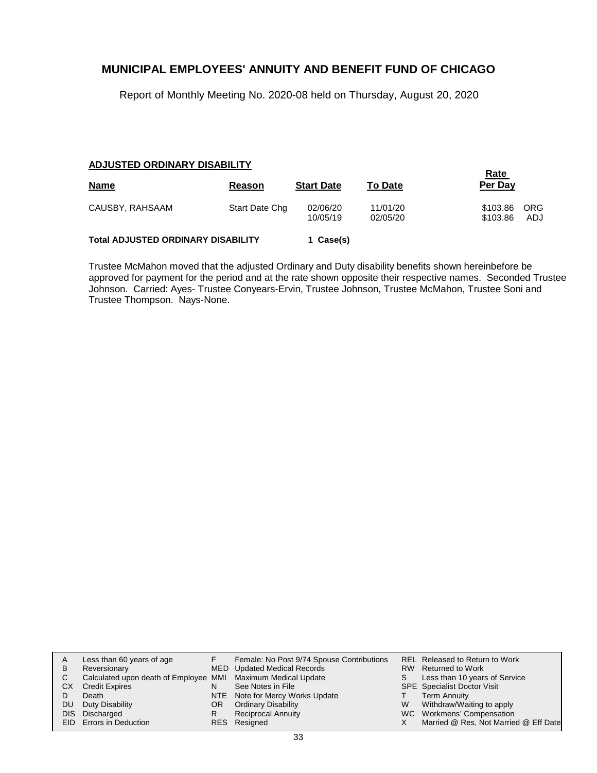Report of Monthly Meeting No. 2020-08 held on Thursday, August 20, 2020

#### **ADJUSTED ORDINARY DISABILITY**

| <b>Name</b>                               | Reason         | <b>Start Date</b>    | <b>To Date</b>       | <u>Rate</u><br>Per Day |            |
|-------------------------------------------|----------------|----------------------|----------------------|------------------------|------------|
| CAUSBY, RAHSAAM                           | Start Date Chg | 02/06/20<br>10/05/19 | 11/01/20<br>02/05/20 | \$103.86<br>\$103.86   | ORG<br>ADJ |
| <b>Total ADJUSTED ORDINARY DISABILITY</b> |                | 1 Case(s)            |                      |                        |            |

Trustee McMahon moved that the adjusted Ordinary and Duty disability benefits shown hereinbefore be approved for payment for the period and at the rate shown opposite their respective names. Seconded Trustee Johnson. Carried: Ayes- Trustee Conyears-Ervin, Trustee Johnson, Trustee McMahon, Trustee Soni and Trustee Thompson. Nays-None.

| A   | Less than 60 years of age                                    |     | Female: No Post 9/74 Spouse Contributions |   | REL Released to Return to Work        |
|-----|--------------------------------------------------------------|-----|-------------------------------------------|---|---------------------------------------|
| B   | Reversionary                                                 |     | MED Updated Medical Records               |   | RW Returned to Work                   |
| C.  | Calculated upon death of Employee MMI Maximum Medical Update |     |                                           |   | Less than 10 years of Service         |
| СX  | <b>Credit Expires</b>                                        |     | See Notes in File                         |   | <b>SPE</b> Specialist Doctor Visit    |
|     | Death                                                        |     | NTE Note for Mercy Works Update           |   | <b>Term Annuity</b>                   |
| DU. | Duty Disability                                              | OR. | <b>Ordinary Disability</b>                | W | Withdraw/Waiting to apply             |
|     | DIS Discharged                                               | R.  | <b>Reciprocal Annuity</b>                 |   | WC Workmens' Compensation             |
|     | EID Errors in Deduction                                      |     | RES Resigned                              |   | Married @ Res, Not Married @ Eff Date |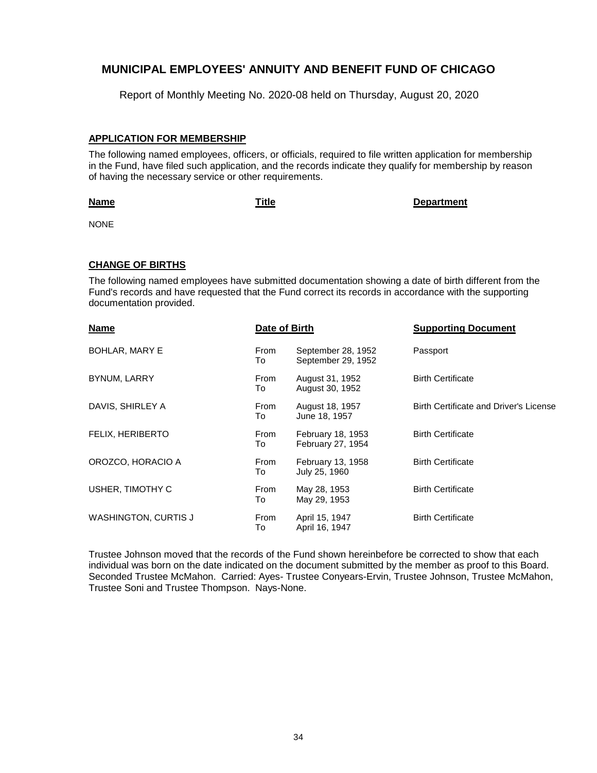Report of Monthly Meeting No. 2020-08 held on Thursday, August 20, 2020

#### **APPLICATION FOR MEMBERSHIP**

The following named employees, officers, or officials, required to file written application for membership in the Fund, have filed such application, and the records indicate they qualify for membership by reason of having the necessary service or other requirements.

#### **Name**

**Title Department**

NONE

#### **CHANGE OF BIRTHS**

The following named employees have submitted documentation showing a date of birth different from the Fund's records and have requested that the Fund correct its records in accordance with the supporting documentation provided.

| <b>Name</b>                 | Date of Birth |                                          | <b>Supporting Document</b>             |
|-----------------------------|---------------|------------------------------------------|----------------------------------------|
| <b>BOHLAR, MARY E</b>       | From<br>To    | September 28, 1952<br>September 29, 1952 | Passport                               |
| <b>BYNUM, LARRY</b>         | From<br>To    | August 31, 1952<br>August 30, 1952       | <b>Birth Certificate</b>               |
| DAVIS, SHIRLEY A            | From<br>To    | August 18, 1957<br>June 18, 1957         | Birth Certificate and Driver's License |
| FELIX, HERIBERTO            | From<br>To    | February 18, 1953<br>February 27, 1954   | <b>Birth Certificate</b>               |
| OROZCO, HORACIO A           | From<br>To    | February 13, 1958<br>July 25, 1960       | <b>Birth Certificate</b>               |
| USHER, TIMOTHY C            | From<br>To    | May 28, 1953<br>May 29, 1953             | <b>Birth Certificate</b>               |
| <b>WASHINGTON, CURTIS J</b> | From<br>To    | April 15, 1947<br>April 16, 1947         | <b>Birth Certificate</b>               |

Trustee Johnson moved that the records of the Fund shown hereinbefore be corrected to show that each individual was born on the date indicated on the document submitted by the member as proof to this Board. Seconded Trustee McMahon. Carried: Ayes- Trustee Conyears-Ervin, Trustee Johnson, Trustee McMahon, Trustee Soni and Trustee Thompson. Nays-None.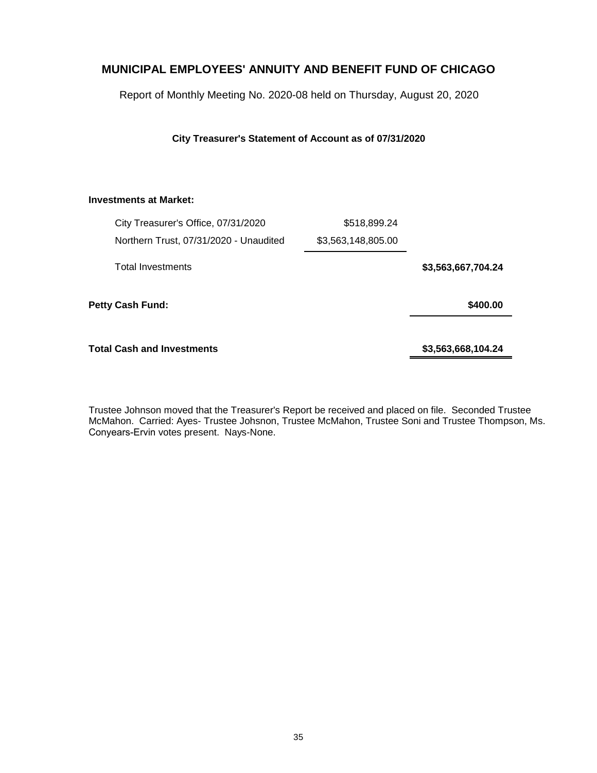Report of Monthly Meeting No. 2020-08 held on Thursday, August 20, 2020

**City Treasurer's Statement of Account as of 07/31/2020**

#### **Investments at Market:**

| City Treasurer's Office, 07/31/2020    | \$518,899.24       |                    |
|----------------------------------------|--------------------|--------------------|
| Northern Trust, 07/31/2020 - Unaudited | \$3,563,148,805.00 |                    |
| <b>Total Investments</b>               |                    | \$3,563,667,704.24 |
| <b>Petty Cash Fund:</b>                |                    | \$400.00           |
| Total Cash and Investments             |                    | \$3,563,668,104.24 |

Trustee Johnson moved that the Treasurer's Report be received and placed on file. Seconded Trustee McMahon. Carried: Ayes- Trustee Johsnon, Trustee McMahon, Trustee Soni and Trustee Thompson, Ms. Conyears-Ervin votes present. Nays-None.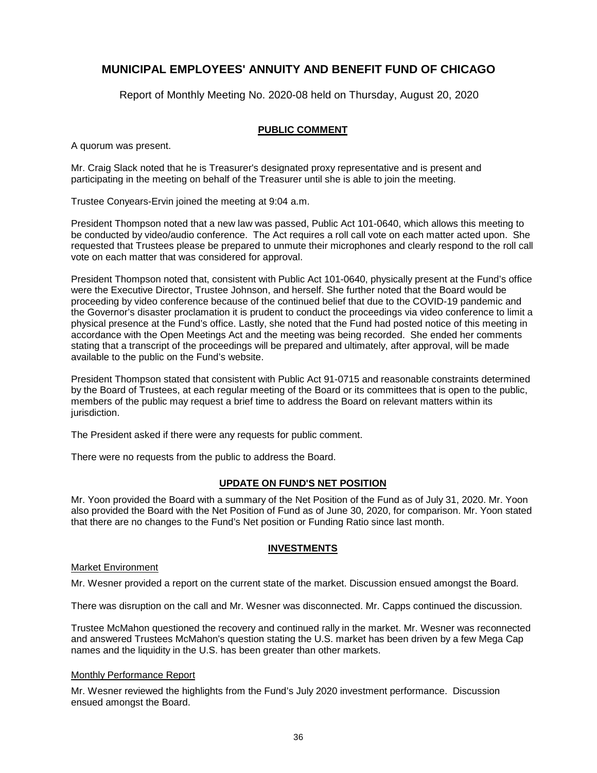Report of Monthly Meeting No. 2020-08 held on Thursday, August 20, 2020

#### **PUBLIC COMMENT**

A quorum was present.

Mr. Craig Slack noted that he is Treasurer's designated proxy representative and is present and participating in the meeting on behalf of the Treasurer until she is able to join the meeting.

Trustee Conyears-Ervin joined the meeting at 9:04 a.m.

President Thompson noted that a new law was passed, Public Act 101-0640, which allows this meeting to be conducted by video/audio conference. The Act requires a roll call vote on each matter acted upon. She requested that Trustees please be prepared to unmute their microphones and clearly respond to the roll call vote on each matter that was considered for approval.

President Thompson noted that, consistent with Public Act 101-0640, physically present at the Fund's office were the Executive Director, Trustee Johnson, and herself. She further noted that the Board would be proceeding by video conference because of the continued belief that due to the COVID-19 pandemic and the Governor's disaster proclamation it is prudent to conduct the proceedings via video conference to limit a physical presence at the Fund's office. Lastly, she noted that the Fund had posted notice of this meeting in accordance with the Open Meetings Act and the meeting was being recorded. She ended her comments stating that a transcript of the proceedings will be prepared and ultimately, after approval, will be made available to the public on the Fund's website.

President Thompson stated that consistent with Public Act 91-0715 and reasonable constraints determined by the Board of Trustees, at each regular meeting of the Board or its committees that is open to the public, members of the public may request a brief time to address the Board on relevant matters within its jurisdiction.

The President asked if there were any requests for public comment.

There were no requests from the public to address the Board.

#### **UPDATE ON FUND'S NET POSITION**

Mr. Yoon provided the Board with a summary of the Net Position of the Fund as of July 31, 2020. Mr. Yoon also provided the Board with the Net Position of Fund as of June 30, 2020, for comparison. Mr. Yoon stated that there are no changes to the Fund's Net position or Funding Ratio since last month.

#### **INVESTMENTS**

#### Market Environment

Mr. Wesner provided a report on the current state of the market. Discussion ensued amongst the Board.

There was disruption on the call and Mr. Wesner was disconnected. Mr. Capps continued the discussion.

Trustee McMahon questioned the recovery and continued rally in the market. Mr. Wesner was reconnected and answered Trustees McMahon's question stating the U.S. market has been driven by a few Mega Cap names and the liquidity in the U.S. has been greater than other markets.

#### Monthly Performance Report

Mr. Wesner reviewed the highlights from the Fund's July 2020 investment performance. Discussion ensued amongst the Board.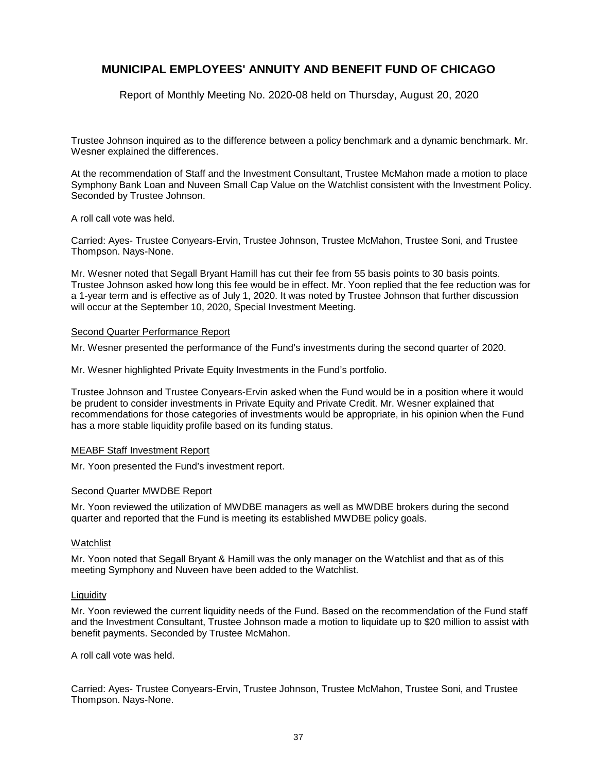Report of Monthly Meeting No. 2020-08 held on Thursday, August 20, 2020

Trustee Johnson inquired as to the difference between a policy benchmark and a dynamic benchmark. Mr. Wesner explained the differences.

At the recommendation of Staff and the Investment Consultant, Trustee McMahon made a motion to place Symphony Bank Loan and Nuveen Small Cap Value on the Watchlist consistent with the Investment Policy. Seconded by Trustee Johnson.

A roll call vote was held.

Carried: Ayes- Trustee Conyears-Ervin, Trustee Johnson, Trustee McMahon, Trustee Soni, and Trustee Thompson. Nays-None.

Mr. Wesner noted that Segall Bryant Hamill has cut their fee from 55 basis points to 30 basis points. Trustee Johnson asked how long this fee would be in effect. Mr. Yoon replied that the fee reduction was for a 1-year term and is effective as of July 1, 2020. It was noted by Trustee Johnson that further discussion will occur at the September 10, 2020, Special Investment Meeting.

#### Second Quarter Performance Report

Mr. Wesner presented the performance of the Fund's investments during the second quarter of 2020.

Mr. Wesner highlighted Private Equity Investments in the Fund's portfolio.

Trustee Johnson and Trustee Conyears-Ervin asked when the Fund would be in a position where it would be prudent to consider investments in Private Equity and Private Credit. Mr. Wesner explained that recommendations for those categories of investments would be appropriate, in his opinion when the Fund has a more stable liquidity profile based on its funding status.

#### MEABF Staff Investment Report

Mr. Yoon presented the Fund's investment report.

#### Second Quarter MWDBE Report

Mr. Yoon reviewed the utilization of MWDBE managers as well as MWDBE brokers during the second quarter and reported that the Fund is meeting its established MWDBE policy goals.

#### Watchlist

Mr. Yoon noted that Segall Bryant & Hamill was the only manager on the Watchlist and that as of this meeting Symphony and Nuveen have been added to the Watchlist.

#### Liquidity

Mr. Yoon reviewed the current liquidity needs of the Fund. Based on the recommendation of the Fund staff and the Investment Consultant, Trustee Johnson made a motion to liquidate up to \$20 million to assist with benefit payments. Seconded by Trustee McMahon.

A roll call vote was held.

Carried: Ayes- Trustee Conyears-Ervin, Trustee Johnson, Trustee McMahon, Trustee Soni, and Trustee Thompson. Nays-None.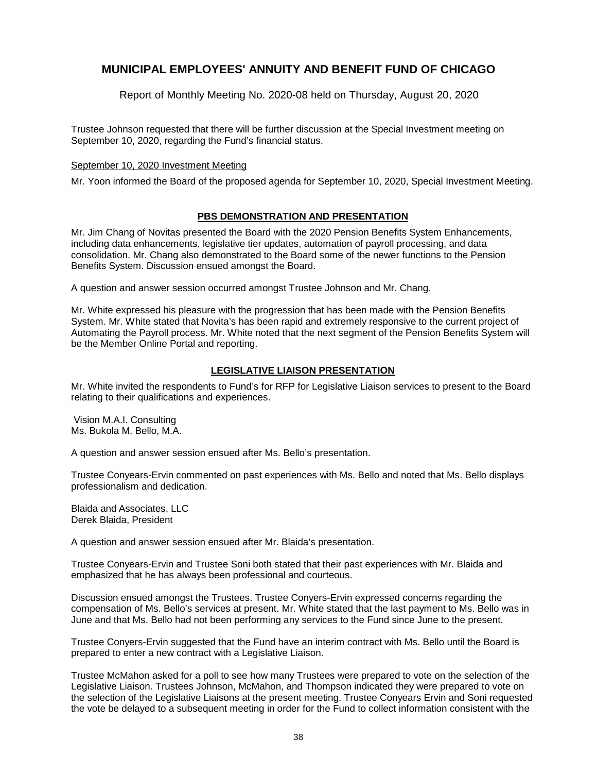Report of Monthly Meeting No. 2020-08 held on Thursday, August 20, 2020

Trustee Johnson requested that there will be further discussion at the Special Investment meeting on September 10, 2020, regarding the Fund's financial status.

#### September 10, 2020 Investment Meeting

Mr. Yoon informed the Board of the proposed agenda for September 10, 2020, Special Investment Meeting.

### **PBS DEMONSTRATION AND PRESENTATION**

Mr. Jim Chang of Novitas presented the Board with the 2020 Pension Benefits System Enhancements, including data enhancements, legislative tier updates, automation of payroll processing, and data consolidation. Mr. Chang also demonstrated to the Board some of the newer functions to the Pension Benefits System. Discussion ensued amongst the Board.

A question and answer session occurred amongst Trustee Johnson and Mr. Chang.

Mr. White expressed his pleasure with the progression that has been made with the Pension Benefits System. Mr. White stated that Novita's has been rapid and extremely responsive to the current project of Automating the Payroll process. Mr. White noted that the next segment of the Pension Benefits System will be the Member Online Portal and reporting.

### **LEGISLATIVE LIAISON PRESENTATION**

Mr. White invited the respondents to Fund's for RFP for Legislative Liaison services to present to the Board relating to their qualifications and experiences.

Vision M.A.I. Consulting Ms. Bukola M. Bello, M.A.

A question and answer session ensued after Ms. Bello's presentation.

Trustee Conyears-Ervin commented on past experiences with Ms. Bello and noted that Ms. Bello displays professionalism and dedication.

Blaida and Associates, LLC Derek Blaida, President

A question and answer session ensued after Mr. Blaida's presentation.

Trustee Conyears-Ervin and Trustee Soni both stated that their past experiences with Mr. Blaida and emphasized that he has always been professional and courteous.

Discussion ensued amongst the Trustees. Trustee Conyers-Ervin expressed concerns regarding the compensation of Ms. Bello's services at present. Mr. White stated that the last payment to Ms. Bello was in June and that Ms. Bello had not been performing any services to the Fund since June to the present.

Trustee Conyers-Ervin suggested that the Fund have an interim contract with Ms. Bello until the Board is prepared to enter a new contract with a Legislative Liaison.

Trustee McMahon asked for a poll to see how many Trustees were prepared to vote on the selection of the Legislative Liaison. Trustees Johnson, McMahon, and Thompson indicated they were prepared to vote on the selection of the Legislative Liaisons at the present meeting. Trustee Conyears Ervin and Soni requested the vote be delayed to a subsequent meeting in order for the Fund to collect information consistent with the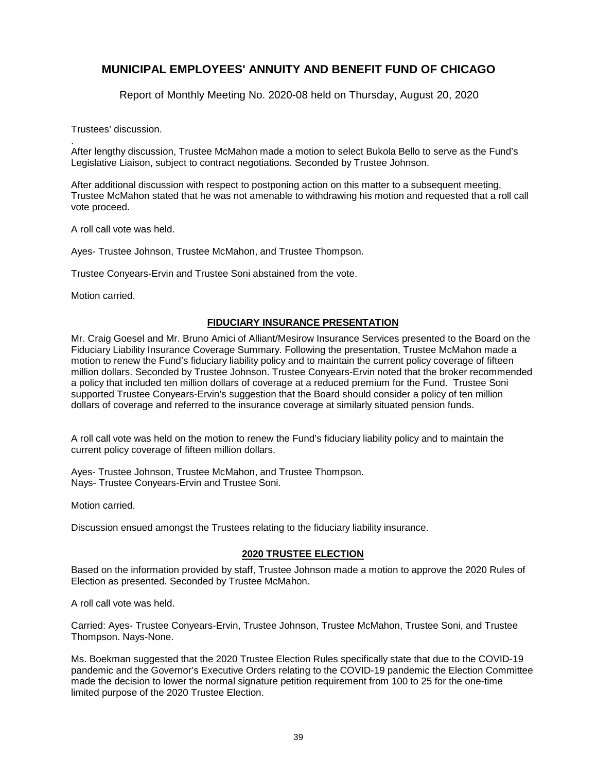Report of Monthly Meeting No. 2020-08 held on Thursday, August 20, 2020

Trustees' discussion.

. After lengthy discussion, Trustee McMahon made a motion to select Bukola Bello to serve as the Fund's Legislative Liaison, subject to contract negotiations. Seconded by Trustee Johnson.

After additional discussion with respect to postponing action on this matter to a subsequent meeting, Trustee McMahon stated that he was not amenable to withdrawing his motion and requested that a roll call vote proceed.

A roll call vote was held.

Ayes- Trustee Johnson, Trustee McMahon, and Trustee Thompson.

Trustee Conyears-Ervin and Trustee Soni abstained from the vote.

Motion carried.

### **FIDUCIARY INSURANCE PRESENTATION**

Mr. Craig Goesel and Mr. Bruno Amici of Alliant/Mesirow Insurance Services presented to the Board on the Fiduciary Liability Insurance Coverage Summary. Following the presentation, Trustee McMahon made a motion to renew the Fund's fiduciary liability policy and to maintain the current policy coverage of fifteen million dollars. Seconded by Trustee Johnson. Trustee Conyears-Ervin noted that the broker recommended a policy that included ten million dollars of coverage at a reduced premium for the Fund. Trustee Soni supported Trustee Conyears-Ervin's suggestion that the Board should consider a policy of ten million dollars of coverage and referred to the insurance coverage at similarly situated pension funds.

A roll call vote was held on the motion to renew the Fund's fiduciary liability policy and to maintain the current policy coverage of fifteen million dollars.

Ayes- Trustee Johnson, Trustee McMahon, and Trustee Thompson. Nays- Trustee Conyears-Ervin and Trustee Soni.

Motion carried.

Discussion ensued amongst the Trustees relating to the fiduciary liability insurance.

#### **2020 TRUSTEE ELECTION**

Based on the information provided by staff, Trustee Johnson made a motion to approve the 2020 Rules of Election as presented. Seconded by Trustee McMahon.

A roll call vote was held.

Carried: Ayes- Trustee Conyears-Ervin, Trustee Johnson, Trustee McMahon, Trustee Soni, and Trustee Thompson. Nays-None.

Ms. Boekman suggested that the 2020 Trustee Election Rules specifically state that due to the COVID-19 pandemic and the Governor's Executive Orders relating to the COVID-19 pandemic the Election Committee made the decision to lower the normal signature petition requirement from 100 to 25 for the one-time limited purpose of the 2020 Trustee Election.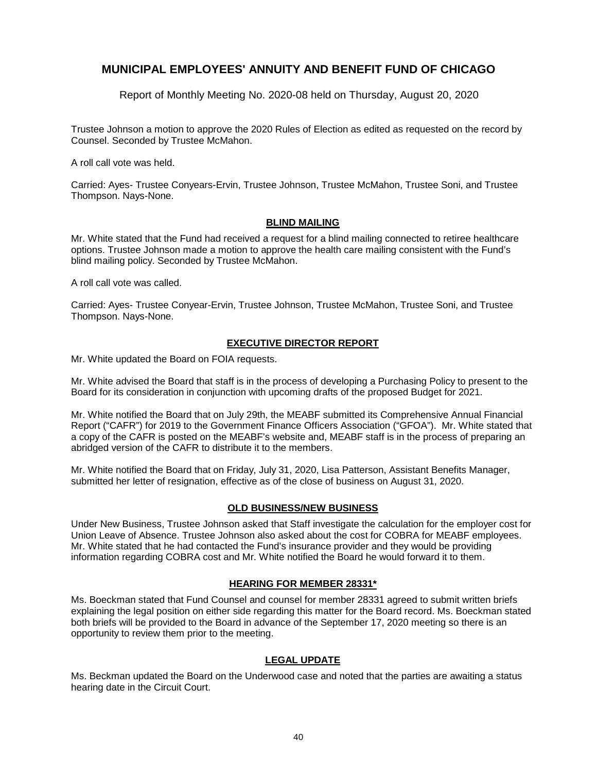Report of Monthly Meeting No. 2020-08 held on Thursday, August 20, 2020

Trustee Johnson a motion to approve the 2020 Rules of Election as edited as requested on the record by Counsel. Seconded by Trustee McMahon.

A roll call vote was held.

Carried: Ayes- Trustee Conyears-Ervin, Trustee Johnson, Trustee McMahon, Trustee Soni, and Trustee Thompson. Nays-None.

### **BLIND MAILING**

Mr. White stated that the Fund had received a request for a blind mailing connected to retiree healthcare options. Trustee Johnson made a motion to approve the health care mailing consistent with the Fund's blind mailing policy. Seconded by Trustee McMahon.

A roll call vote was called.

Carried: Ayes- Trustee Conyear-Ervin, Trustee Johnson, Trustee McMahon, Trustee Soni, and Trustee Thompson. Nays-None.

### **EXECUTIVE DIRECTOR REPORT**

Mr. White updated the Board on FOIA requests.

Mr. White advised the Board that staff is in the process of developing a Purchasing Policy to present to the Board for its consideration in conjunction with upcoming drafts of the proposed Budget for 2021.

Mr. White notified the Board that on July 29th, the MEABF submitted its Comprehensive Annual Financial Report ("CAFR") for 2019 to the Government Finance Officers Association ("GFOA"). Mr. White stated that a copy of the CAFR is posted on the MEABF's website and, MEABF staff is in the process of preparing an abridged version of the CAFR to distribute it to the members.

Mr. White notified the Board that on Friday, July 31, 2020, Lisa Patterson, Assistant Benefits Manager, submitted her letter of resignation, effective as of the close of business on August 31, 2020.

### **OLD BUSINESS/NEW BUSINESS**

Under New Business, Trustee Johnson asked that Staff investigate the calculation for the employer cost for Union Leave of Absence. Trustee Johnson also asked about the cost for COBRA for MEABF employees. Mr. White stated that he had contacted the Fund's insurance provider and they would be providing information regarding COBRA cost and Mr. White notified the Board he would forward it to them.

### **HEARING FOR MEMBER 28331\***

Ms. Boeckman stated that Fund Counsel and counsel for member 28331 agreed to submit written briefs explaining the legal position on either side regarding this matter for the Board record. Ms. Boeckman stated both briefs will be provided to the Board in advance of the September 17, 2020 meeting so there is an opportunity to review them prior to the meeting.

### **LEGAL UPDATE**

Ms. Beckman updated the Board on the Underwood case and noted that the parties are awaiting a status hearing date in the Circuit Court.